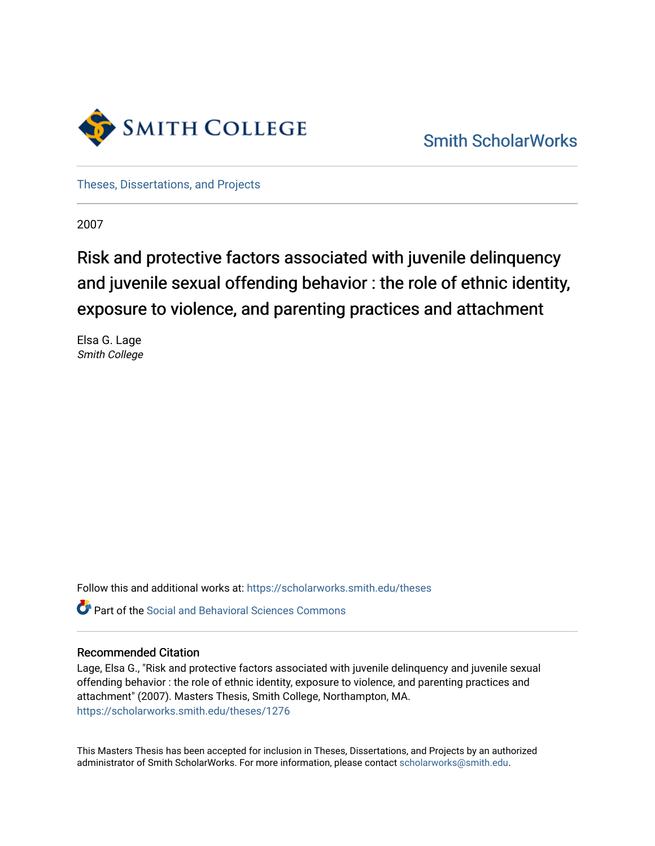

[Smith ScholarWorks](https://scholarworks.smith.edu/) 

[Theses, Dissertations, and Projects](https://scholarworks.smith.edu/theses) 

2007

# Risk and protective factors associated with juvenile delinquency and juvenile sexual offending behavior : the role of ethnic identity, exposure to violence, and parenting practices and attachment

Elsa G. Lage Smith College

Follow this and additional works at: [https://scholarworks.smith.edu/theses](https://scholarworks.smith.edu/theses?utm_source=scholarworks.smith.edu%2Ftheses%2F1276&utm_medium=PDF&utm_campaign=PDFCoverPages) 

Part of the [Social and Behavioral Sciences Commons](http://network.bepress.com/hgg/discipline/316?utm_source=scholarworks.smith.edu%2Ftheses%2F1276&utm_medium=PDF&utm_campaign=PDFCoverPages) 

# Recommended Citation

Lage, Elsa G., "Risk and protective factors associated with juvenile delinquency and juvenile sexual offending behavior : the role of ethnic identity, exposure to violence, and parenting practices and attachment" (2007). Masters Thesis, Smith College, Northampton, MA. [https://scholarworks.smith.edu/theses/1276](https://scholarworks.smith.edu/theses/1276?utm_source=scholarworks.smith.edu%2Ftheses%2F1276&utm_medium=PDF&utm_campaign=PDFCoverPages)

This Masters Thesis has been accepted for inclusion in Theses, Dissertations, and Projects by an authorized administrator of Smith ScholarWorks. For more information, please contact [scholarworks@smith.edu](mailto:scholarworks@smith.edu).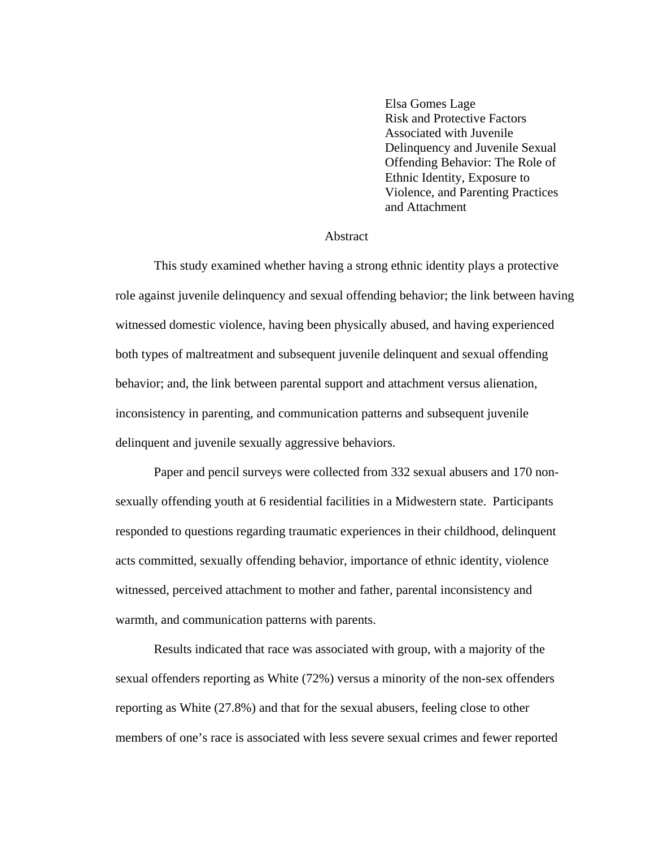Elsa Gomes Lage Risk and Protective Factors Associated with Juvenile Delinquency and Juvenile Sexual Offending Behavior: The Role of Ethnic Identity, Exposure to Violence, and Parenting Practices and Attachment

#### Abstract

 This study examined whether having a strong ethnic identity plays a protective role against juvenile delinquency and sexual offending behavior; the link between having witnessed domestic violence, having been physically abused, and having experienced both types of maltreatment and subsequent juvenile delinquent and sexual offending behavior; and, the link between parental support and attachment versus alienation, inconsistency in parenting, and communication patterns and subsequent juvenile delinquent and juvenile sexually aggressive behaviors.

 Paper and pencil surveys were collected from 332 sexual abusers and 170 nonsexually offending youth at 6 residential facilities in a Midwestern state. Participants responded to questions regarding traumatic experiences in their childhood, delinquent acts committed, sexually offending behavior, importance of ethnic identity, violence witnessed, perceived attachment to mother and father, parental inconsistency and warmth, and communication patterns with parents.

 Results indicated that race was associated with group, with a majority of the sexual offenders reporting as White (72%) versus a minority of the non-sex offenders reporting as White (27.8%) and that for the sexual abusers, feeling close to other members of one's race is associated with less severe sexual crimes and fewer reported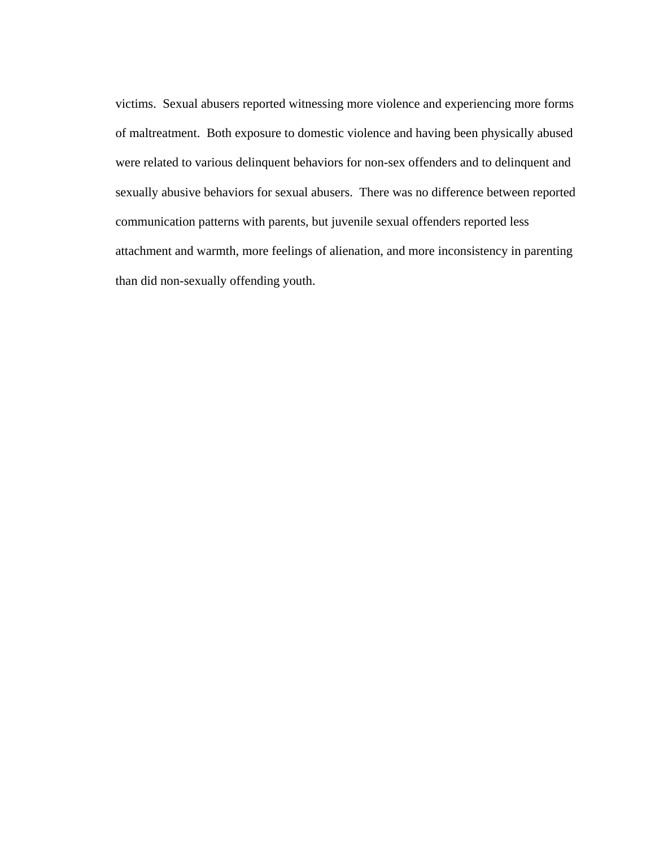victims. Sexual abusers reported witnessing more violence and experiencing more forms of maltreatment. Both exposure to domestic violence and having been physically abused were related to various delinquent behaviors for non-sex offenders and to delinquent and sexually abusive behaviors for sexual abusers. There was no difference between reported communication patterns with parents, but juvenile sexual offenders reported less attachment and warmth, more feelings of alienation, and more inconsistency in parenting than did non-sexually offending youth.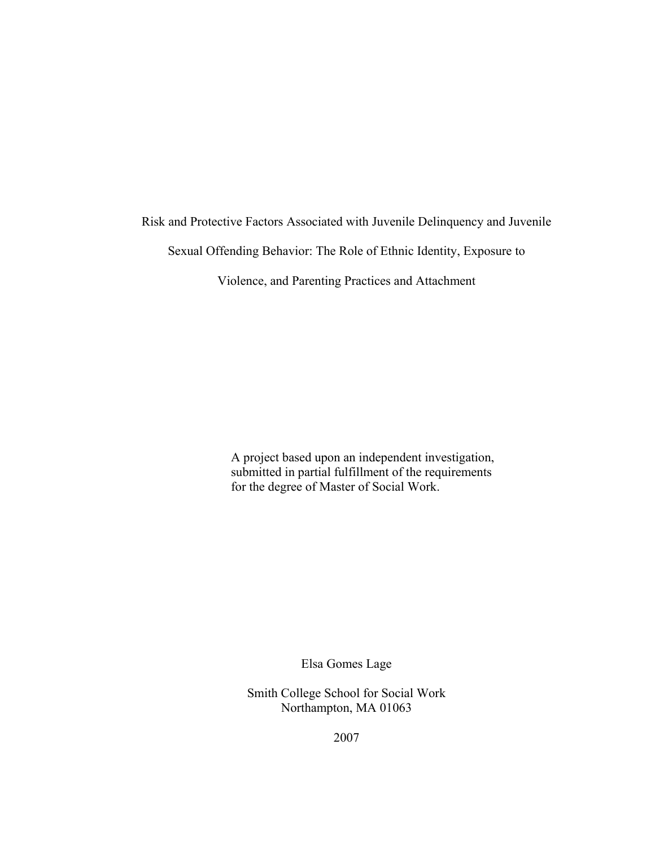Risk and Protective Factors Associated with Juvenile Delinquency and Juvenile

Sexual Offending Behavior: The Role of Ethnic Identity, Exposure to

Violence, and Parenting Practices and Attachment

A project based upon an independent investigation, submitted in partial fulfillment of the requirements for the degree of Master of Social Work.

Elsa Gomes Lage

Smith College School for Social Work Northampton, MA 01063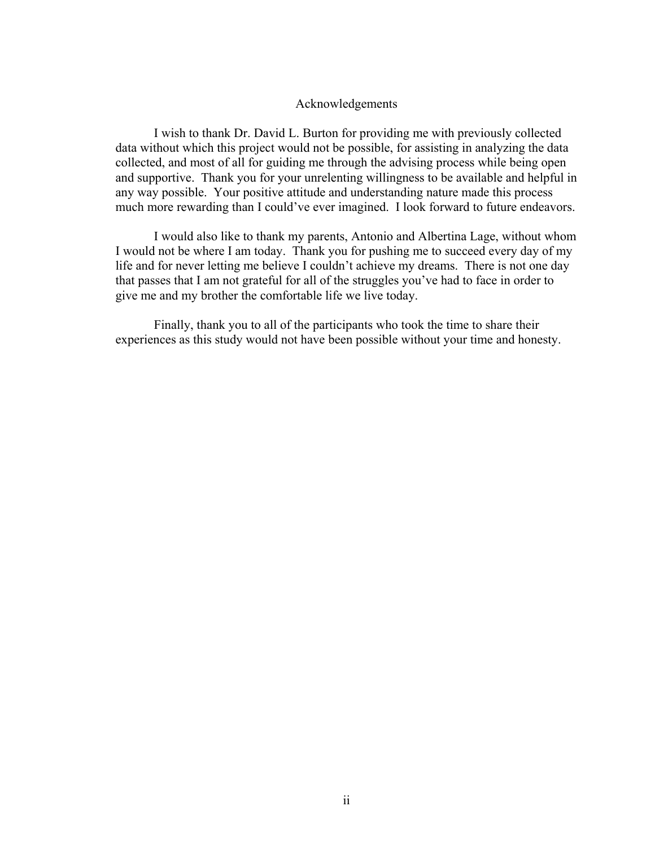# Acknowledgements

 I wish to thank Dr. David L. Burton for providing me with previously collected data without which this project would not be possible, for assisting in analyzing the data collected, and most of all for guiding me through the advising process while being open and supportive. Thank you for your unrelenting willingness to be available and helpful in any way possible. Your positive attitude and understanding nature made this process much more rewarding than I could've ever imagined. I look forward to future endeavors.

I would also like to thank my parents, Antonio and Albertina Lage, without whom I would not be where I am today. Thank you for pushing me to succeed every day of my life and for never letting me believe I couldn't achieve my dreams. There is not one day that passes that I am not grateful for all of the struggles you've had to face in order to give me and my brother the comfortable life we live today.

Finally, thank you to all of the participants who took the time to share their experiences as this study would not have been possible without your time and honesty.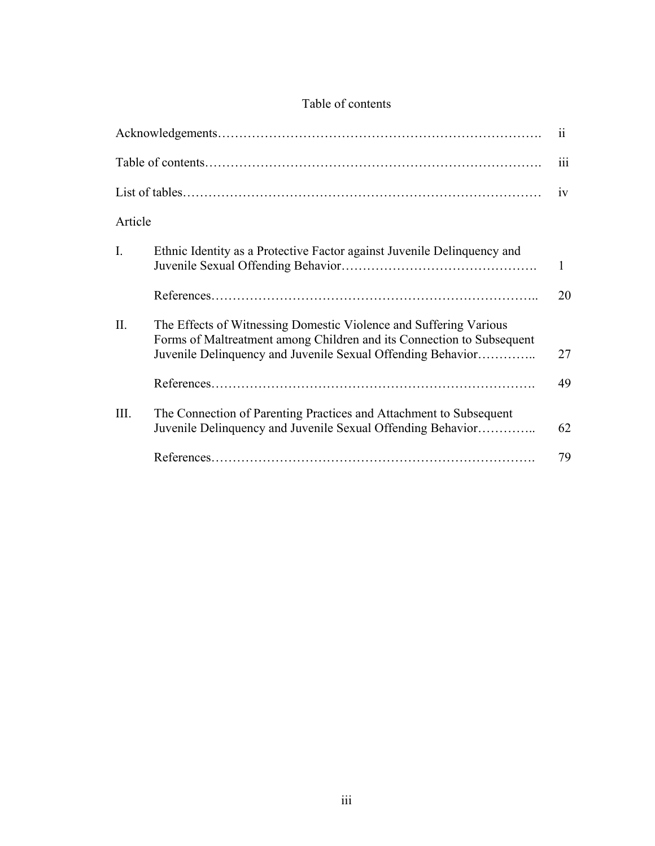|  | Table of contents |
|--|-------------------|
|--|-------------------|

| 11             |                                                                                                                                                                                                           |    |  |  |
|----------------|-----------------------------------------------------------------------------------------------------------------------------------------------------------------------------------------------------------|----|--|--|
| 111            |                                                                                                                                                                                                           |    |  |  |
| 1V             |                                                                                                                                                                                                           |    |  |  |
| Article        |                                                                                                                                                                                                           |    |  |  |
| $\mathbf{I}$ . | Ethnic Identity as a Protective Factor against Juvenile Delinquency and                                                                                                                                   | 1  |  |  |
|                |                                                                                                                                                                                                           | 20 |  |  |
| II.            | The Effects of Witnessing Domestic Violence and Suffering Various<br>Forms of Maltreatment among Children and its Connection to Subsequent<br>Juvenile Delinquency and Juvenile Sexual Offending Behavior | 27 |  |  |
|                |                                                                                                                                                                                                           | 49 |  |  |
| III.           | The Connection of Parenting Practices and Attachment to Subsequent<br>Juvenile Delinquency and Juvenile Sexual Offending Behavior                                                                         | 62 |  |  |
|                |                                                                                                                                                                                                           | 79 |  |  |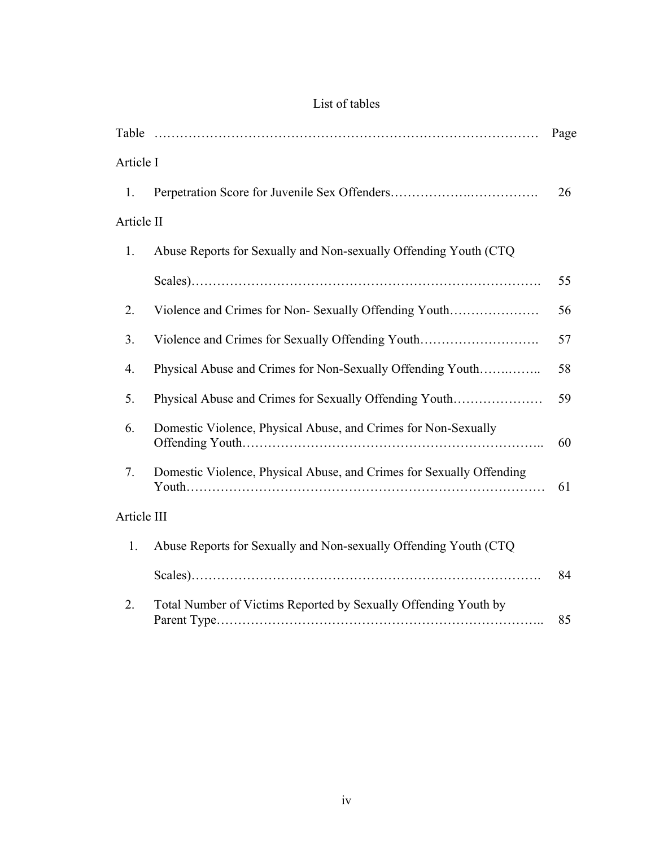| List of tables |  |
|----------------|--|
|                |  |

|                                                                                                                                                                               |                                                                   | Page |  |  |
|-------------------------------------------------------------------------------------------------------------------------------------------------------------------------------|-------------------------------------------------------------------|------|--|--|
| Article I                                                                                                                                                                     |                                                                   |      |  |  |
| 1.                                                                                                                                                                            |                                                                   | 26   |  |  |
| Article II                                                                                                                                                                    |                                                                   |      |  |  |
| 1.                                                                                                                                                                            | Abuse Reports for Sexually and Non-sexually Offending Youth (CTQ) |      |  |  |
|                                                                                                                                                                               |                                                                   | 55   |  |  |
| 2.                                                                                                                                                                            | Violence and Crimes for Non-Sexually Offending Youth              | 56   |  |  |
| 3.                                                                                                                                                                            | Violence and Crimes for Sexually Offending Youth                  | 57   |  |  |
| 4.                                                                                                                                                                            | Physical Abuse and Crimes for Non-Sexually Offending Youth        | 58   |  |  |
| 5.                                                                                                                                                                            | Physical Abuse and Crimes for Sexually Offending Youth            | 59   |  |  |
| 6.                                                                                                                                                                            | Domestic Violence, Physical Abuse, and Crimes for Non-Sexually    |      |  |  |
| Domestic Violence, Physical Abuse, and Crimes for Sexually Offending<br>7.<br>Article III<br>Abuse Reports for Sexually and Non-sexually Offending Youth (CTQ)<br>$1_{\cdot}$ |                                                                   | 61   |  |  |
|                                                                                                                                                                               |                                                                   |      |  |  |
|                                                                                                                                                                               |                                                                   |      |  |  |
|                                                                                                                                                                               |                                                                   | 84   |  |  |
| 2.                                                                                                                                                                            | Total Number of Victims Reported by Sexually Offending Youth by   | 85   |  |  |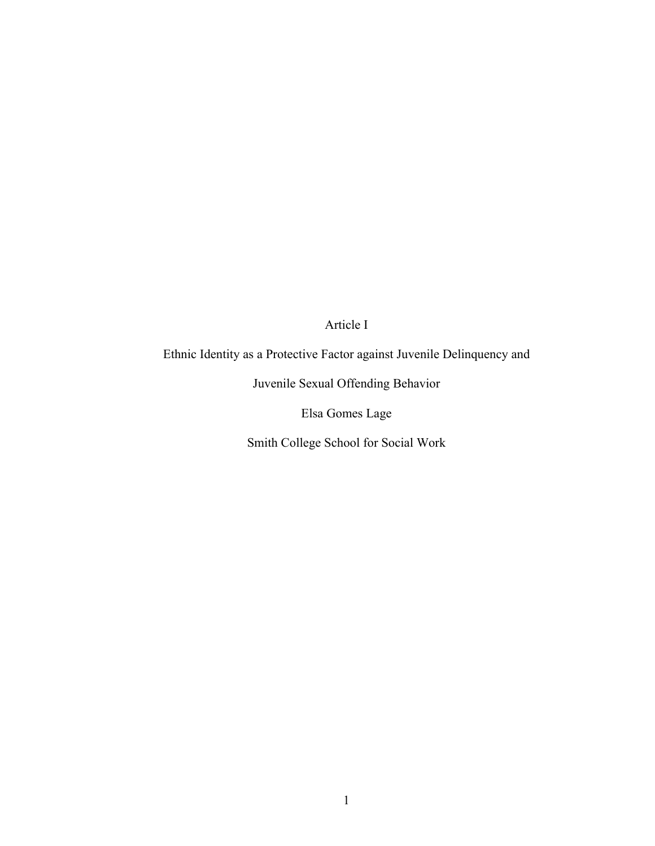Article I

Ethnic Identity as a Protective Factor against Juvenile Delinquency and

Juvenile Sexual Offending Behavior

Elsa Gomes Lage

Smith College School for Social Work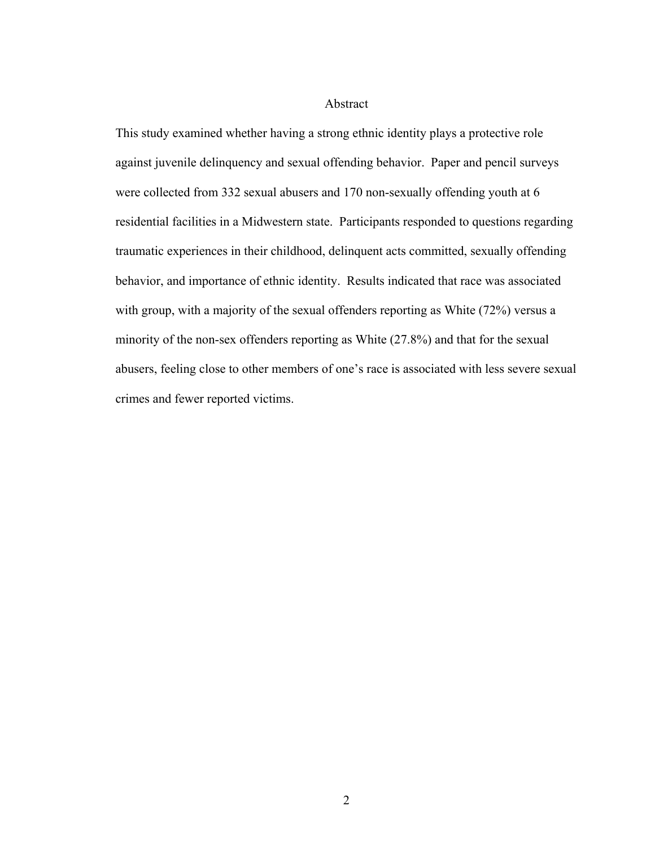# Abstract

This study examined whether having a strong ethnic identity plays a protective role against juvenile delinquency and sexual offending behavior. Paper and pencil surveys were collected from 332 sexual abusers and 170 non-sexually offending youth at 6 residential facilities in a Midwestern state. Participants responded to questions regarding traumatic experiences in their childhood, delinquent acts committed, sexually offending behavior, and importance of ethnic identity. Results indicated that race was associated with group, with a majority of the sexual offenders reporting as White (72%) versus a minority of the non-sex offenders reporting as White (27.8%) and that for the sexual abusers, feeling close to other members of one's race is associated with less severe sexual crimes and fewer reported victims.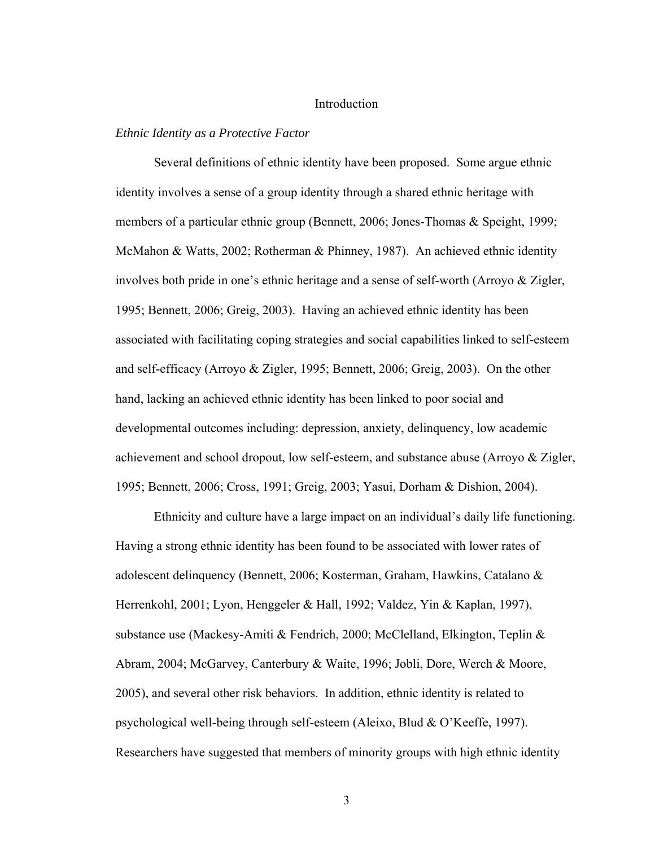# Introduction

#### *Ethnic Identity as a Protective Factor*

 Several definitions of ethnic identity have been proposed. Some argue ethnic identity involves a sense of a group identity through a shared ethnic heritage with members of a particular ethnic group (Bennett, 2006; Jones-Thomas & Speight, 1999; McMahon & Watts, 2002; Rotherman & Phinney, 1987). An achieved ethnic identity involves both pride in one's ethnic heritage and a sense of self-worth (Arroyo & Zigler, 1995; Bennett, 2006; Greig, 2003). Having an achieved ethnic identity has been associated with facilitating coping strategies and social capabilities linked to self-esteem and self-efficacy (Arroyo & Zigler, 1995; Bennett, 2006; Greig, 2003). On the other hand, lacking an achieved ethnic identity has been linked to poor social and developmental outcomes including: depression, anxiety, delinquency, low academic achievement and school dropout, low self-esteem, and substance abuse (Arroyo & Zigler, 1995; Bennett, 2006; Cross, 1991; Greig, 2003; Yasui, Dorham & Dishion, 2004).

Ethnicity and culture have a large impact on an individual's daily life functioning. Having a strong ethnic identity has been found to be associated with lower rates of adolescent delinquency (Bennett, 2006; Kosterman, Graham, Hawkins, Catalano & Herrenkohl, 2001; Lyon, Henggeler & Hall, 1992; Valdez, Yin & Kaplan, 1997), substance use (Mackesy-Amiti & Fendrich, 2000; McClelland, Elkington, Teplin & Abram, 2004; McGarvey, Canterbury & Waite, 1996; Jobli, Dore, Werch & Moore, 2005), and several other risk behaviors. In addition, ethnic identity is related to psychological well-being through self-esteem (Aleixo, Blud & O'Keeffe, 1997). Researchers have suggested that members of minority groups with high ethnic identity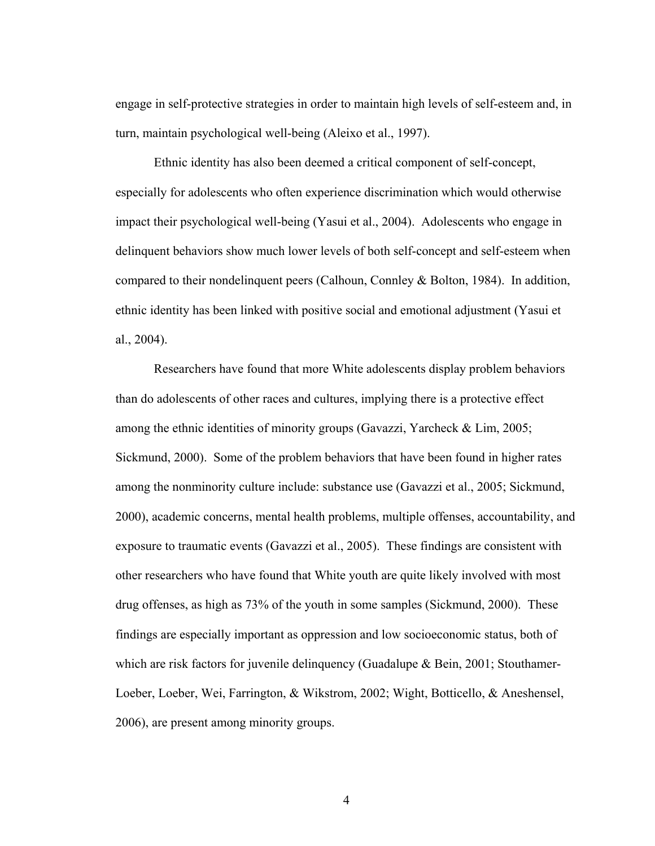engage in self-protective strategies in order to maintain high levels of self-esteem and, in turn, maintain psychological well-being (Aleixo et al., 1997).

Ethnic identity has also been deemed a critical component of self-concept, especially for adolescents who often experience discrimination which would otherwise impact their psychological well-being (Yasui et al., 2004). Adolescents who engage in delinquent behaviors show much lower levels of both self-concept and self-esteem when compared to their nondelinquent peers (Calhoun, Connley & Bolton, 1984). In addition, ethnic identity has been linked with positive social and emotional adjustment (Yasui et al., 2004).

Researchers have found that more White adolescents display problem behaviors than do adolescents of other races and cultures, implying there is a protective effect among the ethnic identities of minority groups (Gavazzi, Yarcheck & Lim, 2005; Sickmund, 2000). Some of the problem behaviors that have been found in higher rates among the nonminority culture include: substance use (Gavazzi et al., 2005; Sickmund, 2000), academic concerns, mental health problems, multiple offenses, accountability, and exposure to traumatic events (Gavazzi et al., 2005). These findings are consistent with other researchers who have found that White youth are quite likely involved with most drug offenses, as high as 73% of the youth in some samples (Sickmund, 2000). These findings are especially important as oppression and low socioeconomic status, both of which are risk factors for juvenile delinquency (Guadalupe & Bein, 2001; Stouthamer-Loeber, Loeber, Wei, Farrington, & Wikstrom, 2002; Wight, Botticello, & Aneshensel, 2006), are present among minority groups.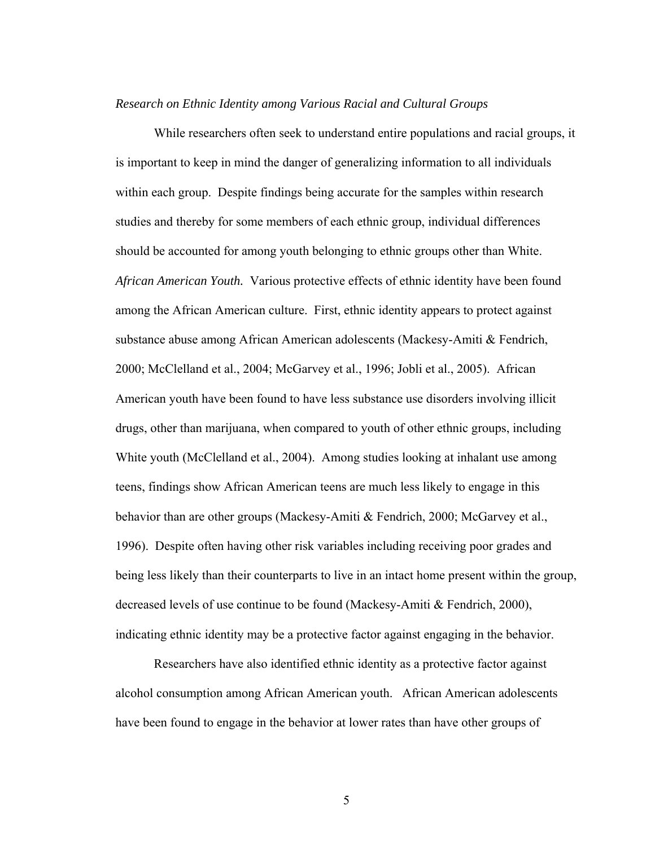# *Research on Ethnic Identity among Various Racial and Cultural Groups*

While researchers often seek to understand entire populations and racial groups, it is important to keep in mind the danger of generalizing information to all individuals within each group. Despite findings being accurate for the samples within research studies and thereby for some members of each ethnic group, individual differences should be accounted for among youth belonging to ethnic groups other than White. *African American Youth.* Various protective effects of ethnic identity have been found among the African American culture. First, ethnic identity appears to protect against substance abuse among African American adolescents (Mackesy-Amiti & Fendrich, 2000; McClelland et al., 2004; McGarvey et al., 1996; Jobli et al., 2005). African American youth have been found to have less substance use disorders involving illicit drugs, other than marijuana, when compared to youth of other ethnic groups, including White youth (McClelland et al., 2004). Among studies looking at inhalant use among teens, findings show African American teens are much less likely to engage in this behavior than are other groups (Mackesy-Amiti & Fendrich, 2000; McGarvey et al., 1996). Despite often having other risk variables including receiving poor grades and being less likely than their counterparts to live in an intact home present within the group, decreased levels of use continue to be found (Mackesy-Amiti & Fendrich, 2000), indicating ethnic identity may be a protective factor against engaging in the behavior.

 Researchers have also identified ethnic identity as a protective factor against alcohol consumption among African American youth. African American adolescents have been found to engage in the behavior at lower rates than have other groups of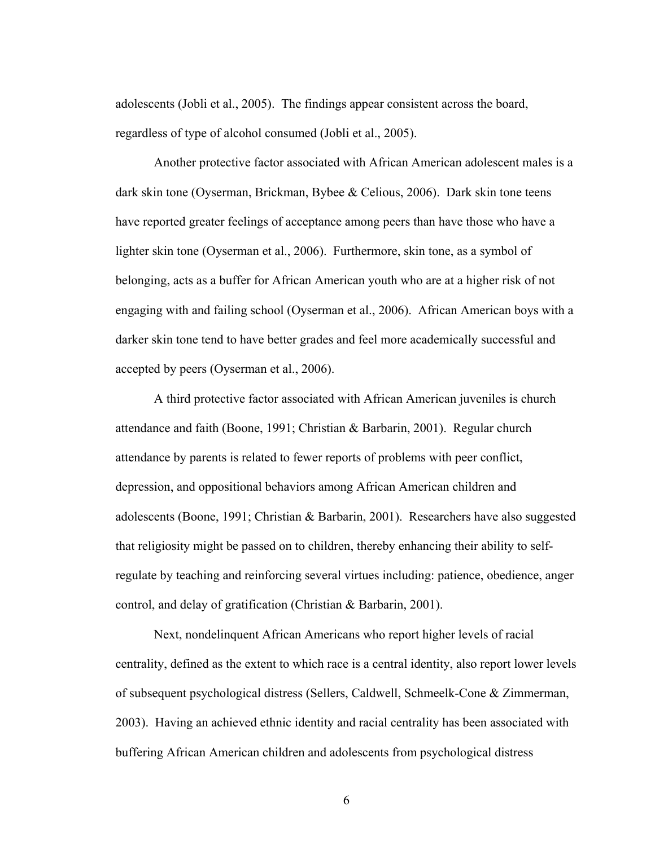adolescents (Jobli et al., 2005). The findings appear consistent across the board, regardless of type of alcohol consumed (Jobli et al., 2005).

 Another protective factor associated with African American adolescent males is a dark skin tone (Oyserman, Brickman, Bybee & Celious, 2006). Dark skin tone teens have reported greater feelings of acceptance among peers than have those who have a lighter skin tone (Oyserman et al., 2006). Furthermore, skin tone, as a symbol of belonging, acts as a buffer for African American youth who are at a higher risk of not engaging with and failing school (Oyserman et al., 2006). African American boys with a darker skin tone tend to have better grades and feel more academically successful and accepted by peers (Oyserman et al., 2006).

 A third protective factor associated with African American juveniles is church attendance and faith (Boone, 1991; Christian & Barbarin, 2001). Regular church attendance by parents is related to fewer reports of problems with peer conflict, depression, and oppositional behaviors among African American children and adolescents (Boone, 1991; Christian & Barbarin, 2001). Researchers have also suggested that religiosity might be passed on to children, thereby enhancing their ability to selfregulate by teaching and reinforcing several virtues including: patience, obedience, anger control, and delay of gratification (Christian & Barbarin, 2001).

 Next, nondelinquent African Americans who report higher levels of racial centrality, defined as the extent to which race is a central identity, also report lower levels of subsequent psychological distress (Sellers, Caldwell, Schmeelk-Cone & Zimmerman, 2003). Having an achieved ethnic identity and racial centrality has been associated with buffering African American children and adolescents from psychological distress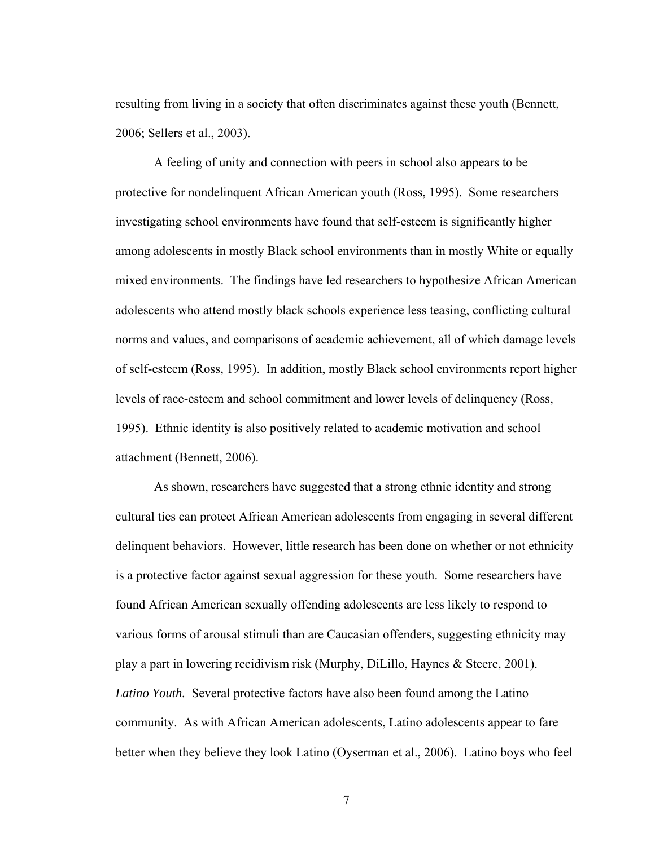resulting from living in a society that often discriminates against these youth (Bennett, 2006; Sellers et al., 2003).

 A feeling of unity and connection with peers in school also appears to be protective for nondelinquent African American youth (Ross, 1995). Some researchers investigating school environments have found that self-esteem is significantly higher among adolescents in mostly Black school environments than in mostly White or equally mixed environments. The findings have led researchers to hypothesize African American adolescents who attend mostly black schools experience less teasing, conflicting cultural norms and values, and comparisons of academic achievement, all of which damage levels of self-esteem (Ross, 1995). In addition, mostly Black school environments report higher levels of race-esteem and school commitment and lower levels of delinquency (Ross, 1995). Ethnic identity is also positively related to academic motivation and school attachment (Bennett, 2006).

 As shown, researchers have suggested that a strong ethnic identity and strong cultural ties can protect African American adolescents from engaging in several different delinquent behaviors. However, little research has been done on whether or not ethnicity is a protective factor against sexual aggression for these youth. Some researchers have found African American sexually offending adolescents are less likely to respond to various forms of arousal stimuli than are Caucasian offenders, suggesting ethnicity may play a part in lowering recidivism risk (Murphy, DiLillo, Haynes & Steere, 2001). *Latino Youth.* Several protective factors have also been found among the Latino community. As with African American adolescents, Latino adolescents appear to fare better when they believe they look Latino (Oyserman et al., 2006). Latino boys who feel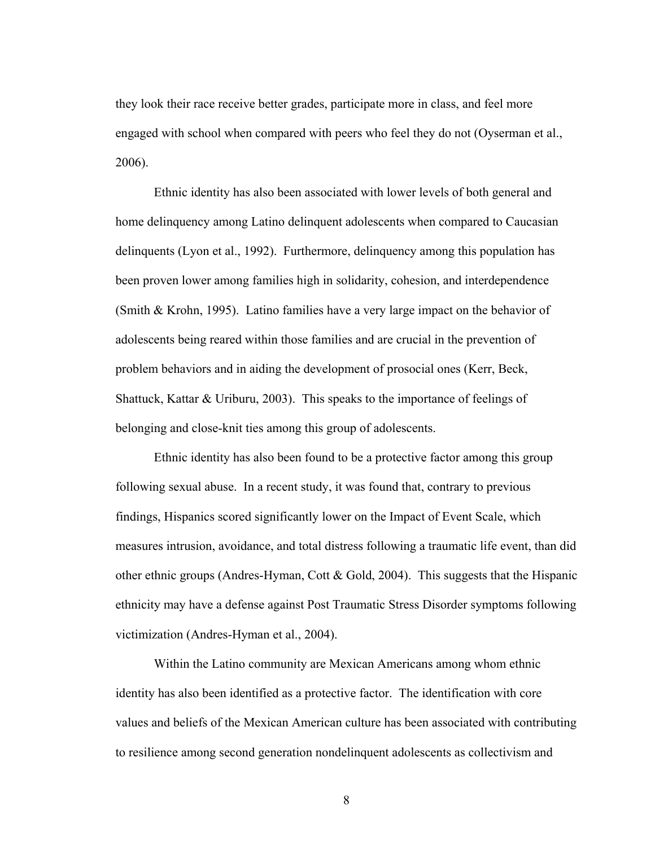they look their race receive better grades, participate more in class, and feel more engaged with school when compared with peers who feel they do not (Oyserman et al., 2006).

Ethnic identity has also been associated with lower levels of both general and home delinquency among Latino delinquent adolescents when compared to Caucasian delinquents (Lyon et al., 1992). Furthermore, delinquency among this population has been proven lower among families high in solidarity, cohesion, and interdependence (Smith & Krohn, 1995). Latino families have a very large impact on the behavior of adolescents being reared within those families and are crucial in the prevention of problem behaviors and in aiding the development of prosocial ones (Kerr, Beck, Shattuck, Kattar & Uriburu, 2003). This speaks to the importance of feelings of belonging and close-knit ties among this group of adolescents.

Ethnic identity has also been found to be a protective factor among this group following sexual abuse. In a recent study, it was found that, contrary to previous findings, Hispanics scored significantly lower on the Impact of Event Scale, which measures intrusion, avoidance, and total distress following a traumatic life event, than did other ethnic groups (Andres-Hyman, Cott & Gold, 2004). This suggests that the Hispanic ethnicity may have a defense against Post Traumatic Stress Disorder symptoms following victimization (Andres-Hyman et al., 2004).

Within the Latino community are Mexican Americans among whom ethnic identity has also been identified as a protective factor. The identification with core values and beliefs of the Mexican American culture has been associated with contributing to resilience among second generation nondelinquent adolescents as collectivism and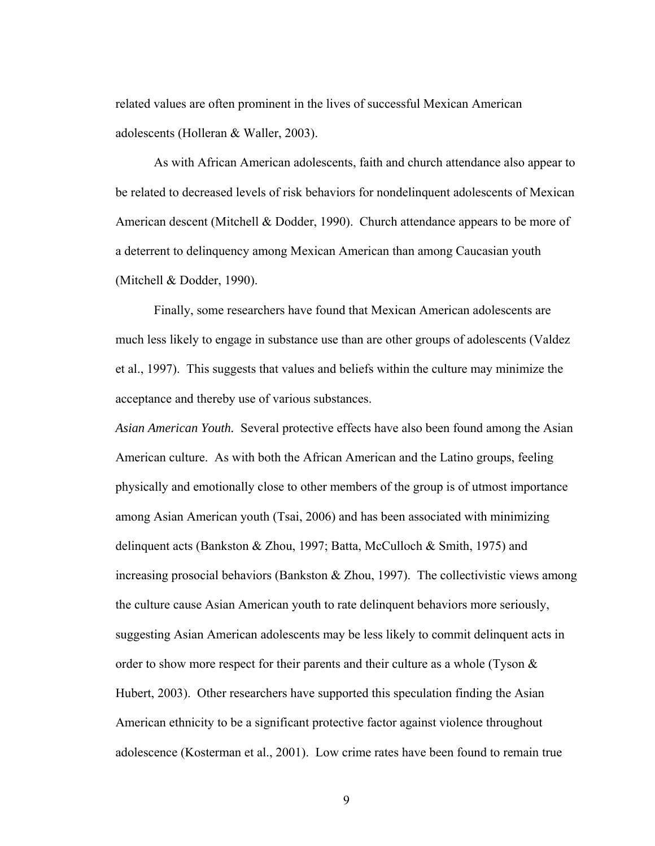related values are often prominent in the lives of successful Mexican American adolescents (Holleran & Waller, 2003).

As with African American adolescents, faith and church attendance also appear to be related to decreased levels of risk behaviors for nondelinquent adolescents of Mexican American descent (Mitchell & Dodder, 1990). Church attendance appears to be more of a deterrent to delinquency among Mexican American than among Caucasian youth (Mitchell & Dodder, 1990).

Finally, some researchers have found that Mexican American adolescents are much less likely to engage in substance use than are other groups of adolescents (Valdez et al., 1997). This suggests that values and beliefs within the culture may minimize the acceptance and thereby use of various substances.

*Asian American Youth.* Several protective effects have also been found among the Asian American culture. As with both the African American and the Latino groups, feeling physically and emotionally close to other members of the group is of utmost importance among Asian American youth (Tsai, 2006) and has been associated with minimizing delinquent acts (Bankston & Zhou, 1997; Batta, McCulloch & Smith, 1975) and increasing prosocial behaviors (Bankston  $&$  Zhou, 1997). The collectivistic views among the culture cause Asian American youth to rate delinquent behaviors more seriously, suggesting Asian American adolescents may be less likely to commit delinquent acts in order to show more respect for their parents and their culture as a whole (Tyson & Hubert, 2003). Other researchers have supported this speculation finding the Asian American ethnicity to be a significant protective factor against violence throughout adolescence (Kosterman et al., 2001). Low crime rates have been found to remain true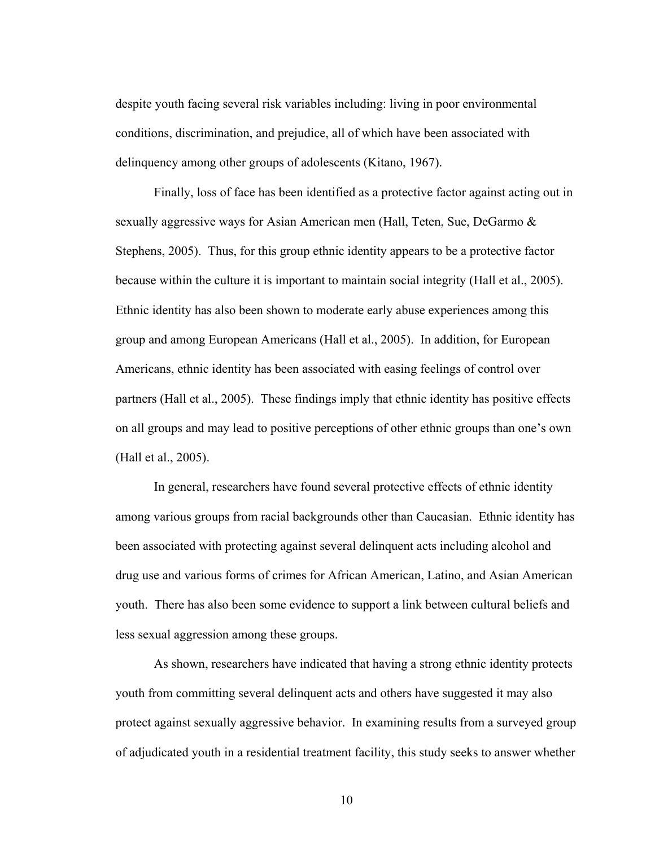despite youth facing several risk variables including: living in poor environmental conditions, discrimination, and prejudice, all of which have been associated with delinquency among other groups of adolescents (Kitano, 1967).

Finally, loss of face has been identified as a protective factor against acting out in sexually aggressive ways for Asian American men (Hall, Teten, Sue, DeGarmo & Stephens, 2005). Thus, for this group ethnic identity appears to be a protective factor because within the culture it is important to maintain social integrity (Hall et al., 2005). Ethnic identity has also been shown to moderate early abuse experiences among this group and among European Americans (Hall et al., 2005). In addition, for European Americans, ethnic identity has been associated with easing feelings of control over partners (Hall et al., 2005). These findings imply that ethnic identity has positive effects on all groups and may lead to positive perceptions of other ethnic groups than one's own (Hall et al., 2005).

In general, researchers have found several protective effects of ethnic identity among various groups from racial backgrounds other than Caucasian. Ethnic identity has been associated with protecting against several delinquent acts including alcohol and drug use and various forms of crimes for African American, Latino, and Asian American youth. There has also been some evidence to support a link between cultural beliefs and less sexual aggression among these groups.

As shown, researchers have indicated that having a strong ethnic identity protects youth from committing several delinquent acts and others have suggested it may also protect against sexually aggressive behavior. In examining results from a surveyed group of adjudicated youth in a residential treatment facility, this study seeks to answer whether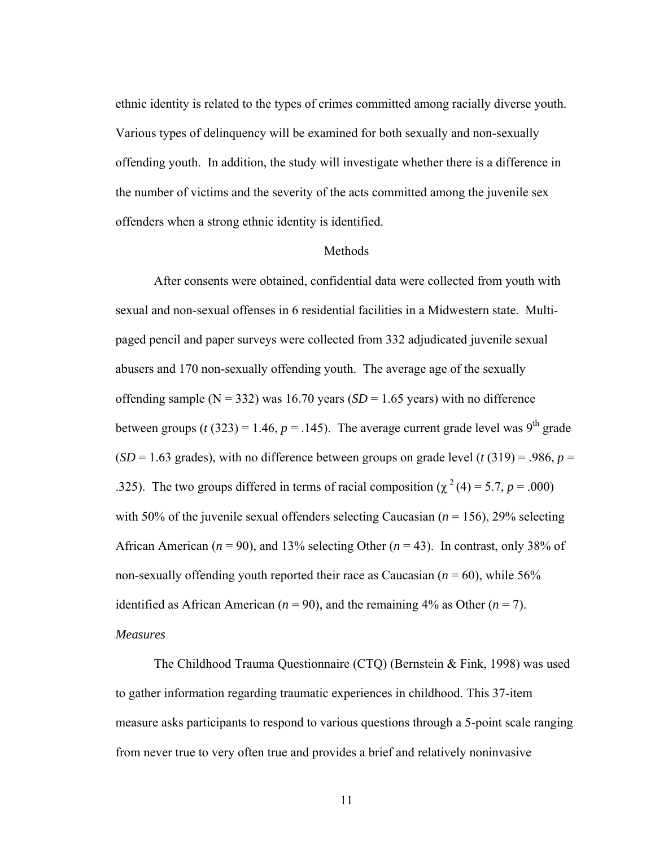ethnic identity is related to the types of crimes committed among racially diverse youth. Various types of delinquency will be examined for both sexually and non-sexually offending youth. In addition, the study will investigate whether there is a difference in the number of victims and the severity of the acts committed among the juvenile sex offenders when a strong ethnic identity is identified.

# Methods

After consents were obtained, confidential data were collected from youth with sexual and non-sexual offenses in 6 residential facilities in a Midwestern state. Multipaged pencil and paper surveys were collected from 332 adjudicated juvenile sexual abusers and 170 non-sexually offending youth. The average age of the sexually offending sample ( $N = 332$ ) was 16.70 years ( $SD = 1.65$  years) with no difference between groups ( $t$  (323) = 1.46,  $p = .145$ ). The average current grade level was 9<sup>th</sup> grade  $(SD = 1.63$  grades), with no difference between groups on grade level (*t* (319) = .986, *p* = .325). The two groups differed in terms of racial composition ( $\chi^2$  (4) = 5.7, *p* = .000) with 50% of the juvenile sexual offenders selecting Caucasian (*n* = 156), 29% selecting African American ( $n = 90$ ), and 13% selecting Other ( $n = 43$ ). In contrast, only 38% of non-sexually offending youth reported their race as Caucasian  $(n = 60)$ , while 56% identified as African American ( $n = 90$ ), and the remaining 4% as Other ( $n = 7$ ). *Measures*

The Childhood Trauma Questionnaire (CTQ) (Bernstein & Fink, 1998) was used to gather information regarding traumatic experiences in childhood. This 37-item measure asks participants to respond to various questions through a 5-point scale ranging from never true to very often true and provides a brief and relatively noninvasive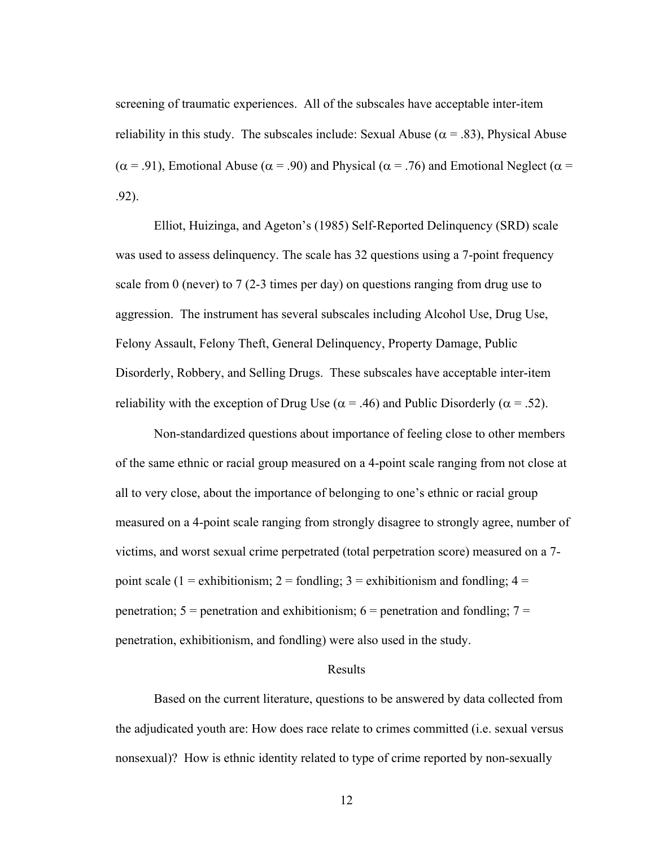screening of traumatic experiences. All of the subscales have acceptable inter-item reliability in this study. The subscales include: Sexual Abuse ( $\alpha$  = .83), Physical Abuse ( $\alpha$  = .91), Emotional Abuse ( $\alpha$  = .90) and Physical ( $\alpha$  = .76) and Emotional Neglect ( $\alpha$  = .92).

Elliot, Huizinga, and Ageton's (1985) Self-Reported Delinquency (SRD) scale was used to assess delinquency. The scale has 32 questions using a 7-point frequency scale from 0 (never) to 7 (2-3 times per day) on questions ranging from drug use to aggression. The instrument has several subscales including Alcohol Use, Drug Use, Felony Assault, Felony Theft, General Delinquency, Property Damage, Public Disorderly, Robbery, and Selling Drugs. These subscales have acceptable inter-item reliability with the exception of Drug Use ( $\alpha$  = .46) and Public Disorderly ( $\alpha$  = .52).

Non-standardized questions about importance of feeling close to other members of the same ethnic or racial group measured on a 4-point scale ranging from not close at all to very close, about the importance of belonging to one's ethnic or racial group measured on a 4-point scale ranging from strongly disagree to strongly agree, number of victims, and worst sexual crime perpetrated (total perpetration score) measured on a 7 point scale (1 = exhibitionism; 2 = fondling; 3 = exhibitionism and fondling;  $4 =$ penetration;  $5 =$  penetration and exhibitionism;  $6 =$  penetration and fondling;  $7 =$ penetration, exhibitionism, and fondling) were also used in the study.

# Results

 Based on the current literature, questions to be answered by data collected from the adjudicated youth are: How does race relate to crimes committed (i.e. sexual versus nonsexual)? How is ethnic identity related to type of crime reported by non-sexually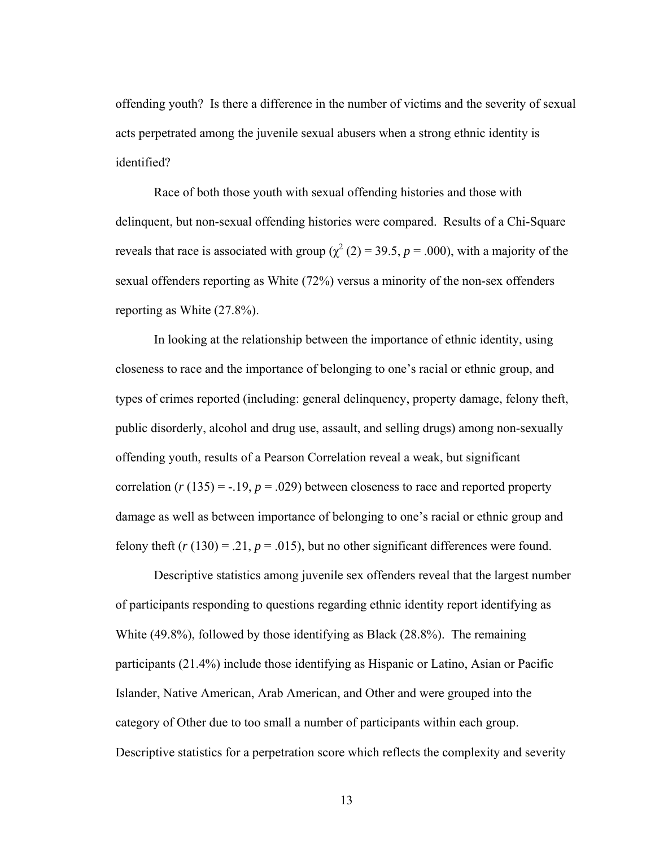offending youth? Is there a difference in the number of victims and the severity of sexual acts perpetrated among the juvenile sexual abusers when a strong ethnic identity is identified?

Race of both those youth with sexual offending histories and those with delinquent, but non-sexual offending histories were compared. Results of a Chi-Square reveals that race is associated with group ( $\chi^2$  (2) = 39.5, *p* = .000), with a majority of the sexual offenders reporting as White (72%) versus a minority of the non-sex offenders reporting as White (27.8%).

In looking at the relationship between the importance of ethnic identity, using closeness to race and the importance of belonging to one's racial or ethnic group, and types of crimes reported (including: general delinquency, property damage, felony theft, public disorderly, alcohol and drug use, assault, and selling drugs) among non-sexually offending youth, results of a Pearson Correlation reveal a weak, but significant correlation  $(r (135) = -.19, p = .029)$  between closeness to race and reported property damage as well as between importance of belonging to one's racial or ethnic group and felony theft  $(r(130) = .21, p = .015)$ , but no other significant differences were found.

Descriptive statistics among juvenile sex offenders reveal that the largest number of participants responding to questions regarding ethnic identity report identifying as White (49.8%), followed by those identifying as Black (28.8%). The remaining participants (21.4%) include those identifying as Hispanic or Latino, Asian or Pacific Islander, Native American, Arab American, and Other and were grouped into the category of Other due to too small a number of participants within each group. Descriptive statistics for a perpetration score which reflects the complexity and severity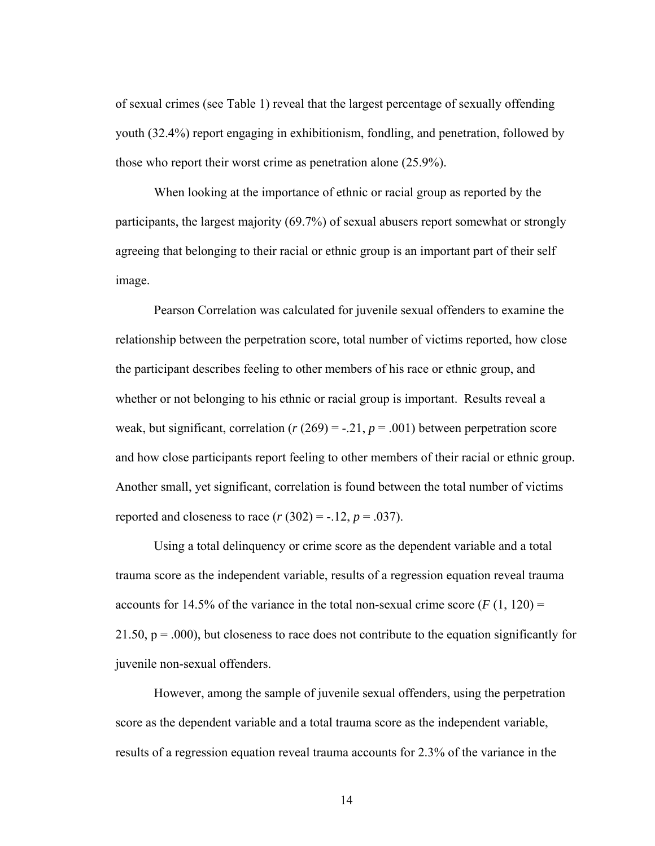of sexual crimes (see Table 1) reveal that the largest percentage of sexually offending youth (32.4%) report engaging in exhibitionism, fondling, and penetration, followed by those who report their worst crime as penetration alone (25.9%).

When looking at the importance of ethnic or racial group as reported by the participants, the largest majority (69.7%) of sexual abusers report somewhat or strongly agreeing that belonging to their racial or ethnic group is an important part of their self image.

Pearson Correlation was calculated for juvenile sexual offenders to examine the relationship between the perpetration score, total number of victims reported, how close the participant describes feeling to other members of his race or ethnic group, and whether or not belonging to his ethnic or racial group is important. Results reveal a weak, but significant, correlation ( $r(269) = -0.21$ ,  $p = 0.001$ ) between perpetration score and how close participants report feeling to other members of their racial or ethnic group. Another small, yet significant, correlation is found between the total number of victims reported and closeness to race  $(r (302) = -.12, p = .037)$ .

Using a total delinquency or crime score as the dependent variable and a total trauma score as the independent variable, results of a regression equation reveal trauma accounts for 14.5% of the variance in the total non-sexual crime score  $(F(1, 120) =$ 21.50,  $p = .000$ , but closeness to race does not contribute to the equation significantly for juvenile non-sexual offenders.

However, among the sample of juvenile sexual offenders, using the perpetration score as the dependent variable and a total trauma score as the independent variable, results of a regression equation reveal trauma accounts for 2.3% of the variance in the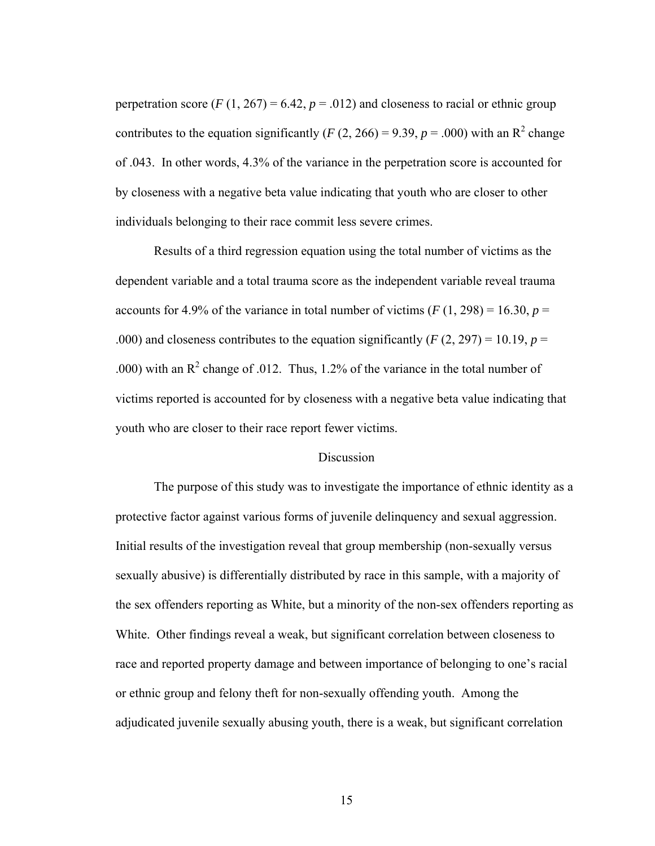perpetration score  $(F(1, 267) = 6.42, p = .012)$  and closeness to racial or ethnic group contributes to the equation significantly (*F* (2, 266) = 9.39, *p* = .000) with an R<sup>2</sup> change of .043. In other words, 4.3% of the variance in the perpetration score is accounted for by closeness with a negative beta value indicating that youth who are closer to other individuals belonging to their race commit less severe crimes.

Results of a third regression equation using the total number of victims as the dependent variable and a total trauma score as the independent variable reveal trauma accounts for 4.9% of the variance in total number of victims  $(F(1, 298) = 16.30, p =$ .000) and closeness contributes to the equation significantly  $(F(2, 297) = 10.19, p =$ .000) with an  $R^2$  change of .012. Thus, 1.2% of the variance in the total number of victims reported is accounted for by closeness with a negative beta value indicating that youth who are closer to their race report fewer victims.

# **Discussion**

 The purpose of this study was to investigate the importance of ethnic identity as a protective factor against various forms of juvenile delinquency and sexual aggression. Initial results of the investigation reveal that group membership (non-sexually versus sexually abusive) is differentially distributed by race in this sample, with a majority of the sex offenders reporting as White, but a minority of the non-sex offenders reporting as White. Other findings reveal a weak, but significant correlation between closeness to race and reported property damage and between importance of belonging to one's racial or ethnic group and felony theft for non-sexually offending youth. Among the adjudicated juvenile sexually abusing youth, there is a weak, but significant correlation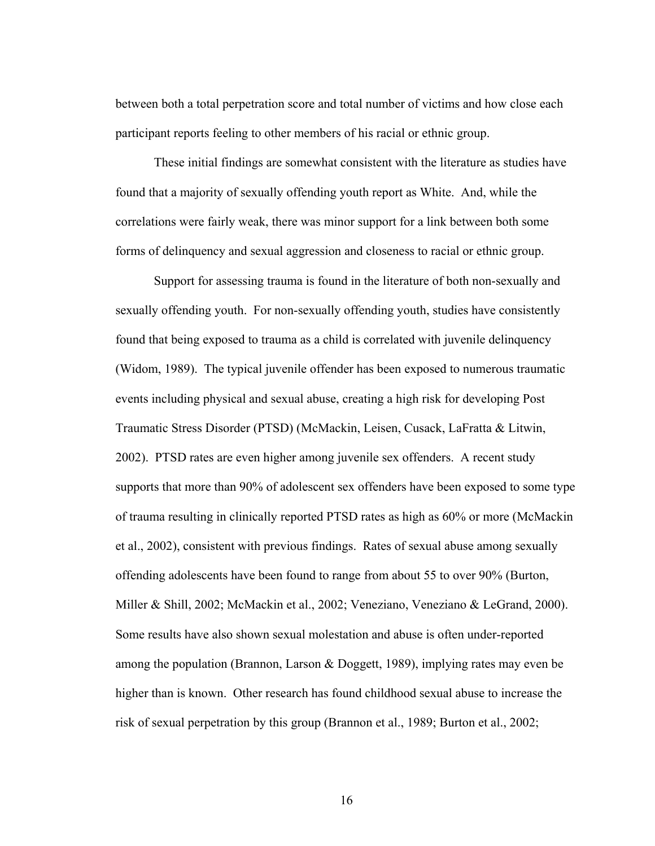between both a total perpetration score and total number of victims and how close each participant reports feeling to other members of his racial or ethnic group.

 These initial findings are somewhat consistent with the literature as studies have found that a majority of sexually offending youth report as White. And, while the correlations were fairly weak, there was minor support for a link between both some forms of delinquency and sexual aggression and closeness to racial or ethnic group.

 Support for assessing trauma is found in the literature of both non-sexually and sexually offending youth. For non-sexually offending youth, studies have consistently found that being exposed to trauma as a child is correlated with juvenile delinquency (Widom, 1989). The typical juvenile offender has been exposed to numerous traumatic events including physical and sexual abuse, creating a high risk for developing Post Traumatic Stress Disorder (PTSD) (McMackin, Leisen, Cusack, LaFratta & Litwin, 2002). PTSD rates are even higher among juvenile sex offenders. A recent study supports that more than 90% of adolescent sex offenders have been exposed to some type of trauma resulting in clinically reported PTSD rates as high as 60% or more (McMackin et al., 2002), consistent with previous findings. Rates of sexual abuse among sexually offending adolescents have been found to range from about 55 to over 90% (Burton, Miller & Shill, 2002; McMackin et al., 2002; Veneziano, Veneziano & LeGrand, 2000). Some results have also shown sexual molestation and abuse is often under-reported among the population (Brannon, Larson & Doggett, 1989), implying rates may even be higher than is known. Other research has found childhood sexual abuse to increase the risk of sexual perpetration by this group (Brannon et al., 1989; Burton et al., 2002;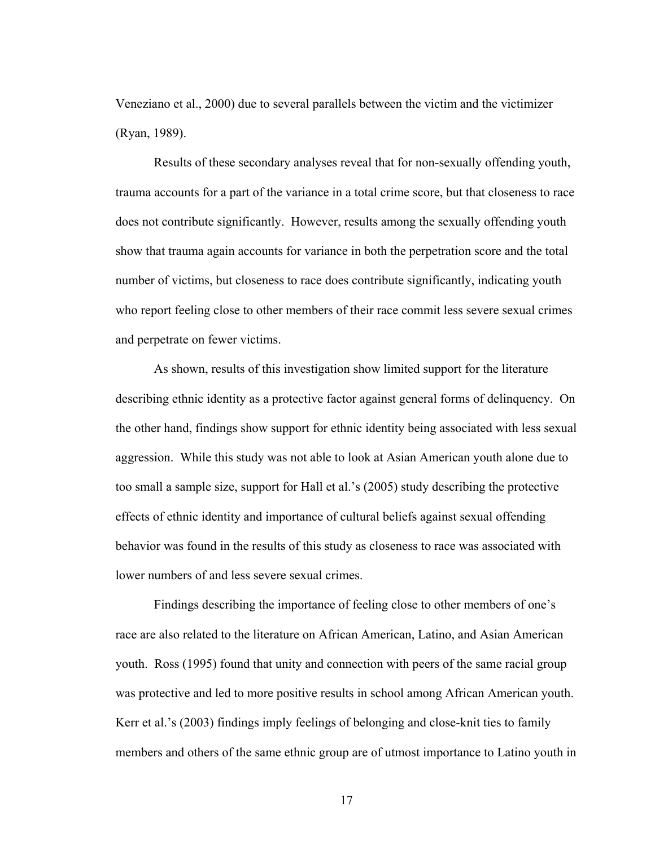Veneziano et al., 2000) due to several parallels between the victim and the victimizer (Ryan, 1989).

 Results of these secondary analyses reveal that for non-sexually offending youth, trauma accounts for a part of the variance in a total crime score, but that closeness to race does not contribute significantly. However, results among the sexually offending youth show that trauma again accounts for variance in both the perpetration score and the total number of victims, but closeness to race does contribute significantly, indicating youth who report feeling close to other members of their race commit less severe sexual crimes and perpetrate on fewer victims.

 As shown, results of this investigation show limited support for the literature describing ethnic identity as a protective factor against general forms of delinquency. On the other hand, findings show support for ethnic identity being associated with less sexual aggression. While this study was not able to look at Asian American youth alone due to too small a sample size, support for Hall et al.'s (2005) study describing the protective effects of ethnic identity and importance of cultural beliefs against sexual offending behavior was found in the results of this study as closeness to race was associated with lower numbers of and less severe sexual crimes.

 Findings describing the importance of feeling close to other members of one's race are also related to the literature on African American, Latino, and Asian American youth. Ross (1995) found that unity and connection with peers of the same racial group was protective and led to more positive results in school among African American youth. Kerr et al.'s (2003) findings imply feelings of belonging and close-knit ties to family members and others of the same ethnic group are of utmost importance to Latino youth in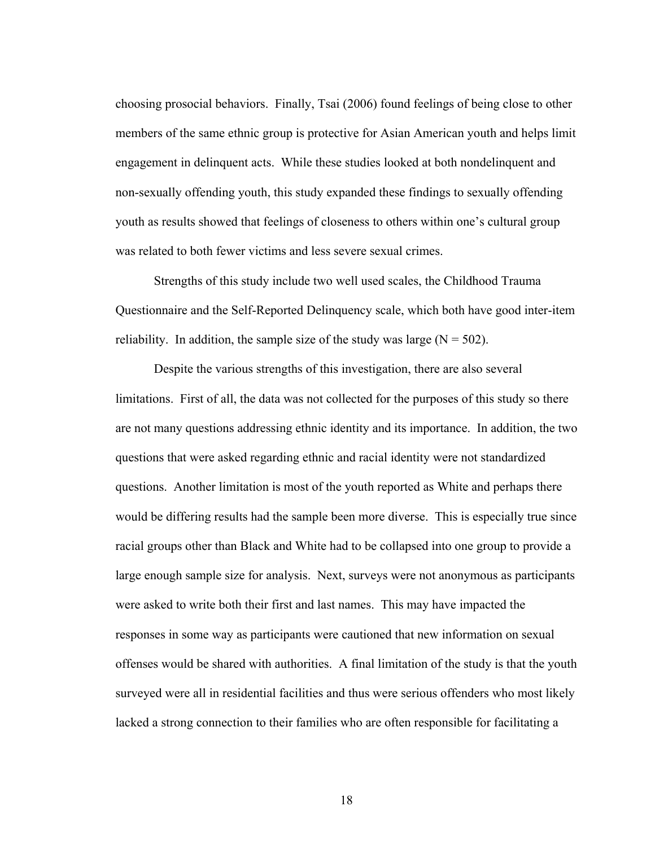choosing prosocial behaviors. Finally, Tsai (2006) found feelings of being close to other members of the same ethnic group is protective for Asian American youth and helps limit engagement in delinquent acts. While these studies looked at both nondelinquent and non-sexually offending youth, this study expanded these findings to sexually offending youth as results showed that feelings of closeness to others within one's cultural group was related to both fewer victims and less severe sexual crimes.

 Strengths of this study include two well used scales, the Childhood Trauma Questionnaire and the Self-Reported Delinquency scale, which both have good inter-item reliability. In addition, the sample size of the study was large  $(N = 502)$ .

 Despite the various strengths of this investigation, there are also several limitations. First of all, the data was not collected for the purposes of this study so there are not many questions addressing ethnic identity and its importance. In addition, the two questions that were asked regarding ethnic and racial identity were not standardized questions. Another limitation is most of the youth reported as White and perhaps there would be differing results had the sample been more diverse. This is especially true since racial groups other than Black and White had to be collapsed into one group to provide a large enough sample size for analysis. Next, surveys were not anonymous as participants were asked to write both their first and last names. This may have impacted the responses in some way as participants were cautioned that new information on sexual offenses would be shared with authorities. A final limitation of the study is that the youth surveyed were all in residential facilities and thus were serious offenders who most likely lacked a strong connection to their families who are often responsible for facilitating a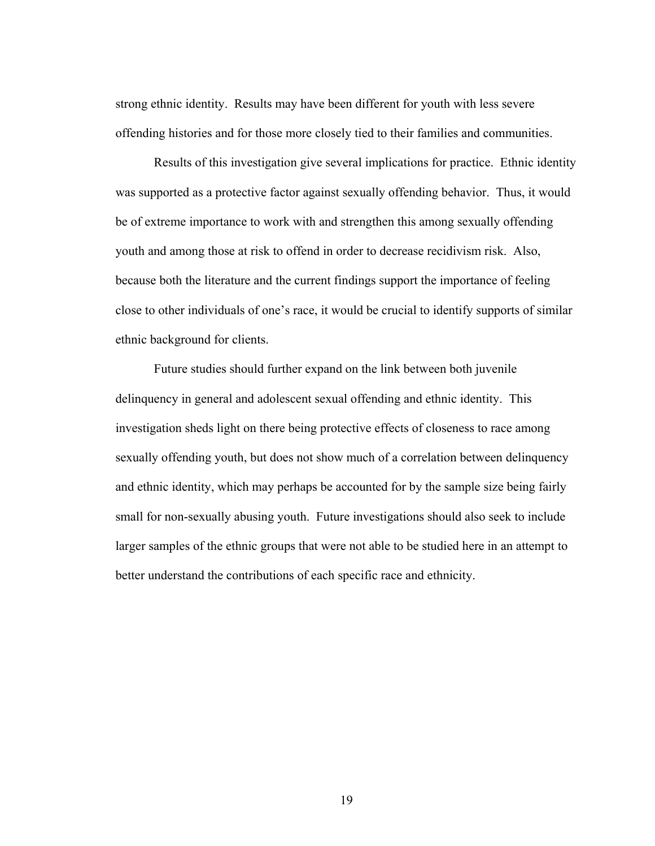strong ethnic identity. Results may have been different for youth with less severe offending histories and for those more closely tied to their families and communities.

 Results of this investigation give several implications for practice. Ethnic identity was supported as a protective factor against sexually offending behavior. Thus, it would be of extreme importance to work with and strengthen this among sexually offending youth and among those at risk to offend in order to decrease recidivism risk. Also, because both the literature and the current findings support the importance of feeling close to other individuals of one's race, it would be crucial to identify supports of similar ethnic background for clients.

Future studies should further expand on the link between both juvenile delinquency in general and adolescent sexual offending and ethnic identity. This investigation sheds light on there being protective effects of closeness to race among sexually offending youth, but does not show much of a correlation between delinquency and ethnic identity, which may perhaps be accounted for by the sample size being fairly small for non-sexually abusing youth. Future investigations should also seek to include larger samples of the ethnic groups that were not able to be studied here in an attempt to better understand the contributions of each specific race and ethnicity.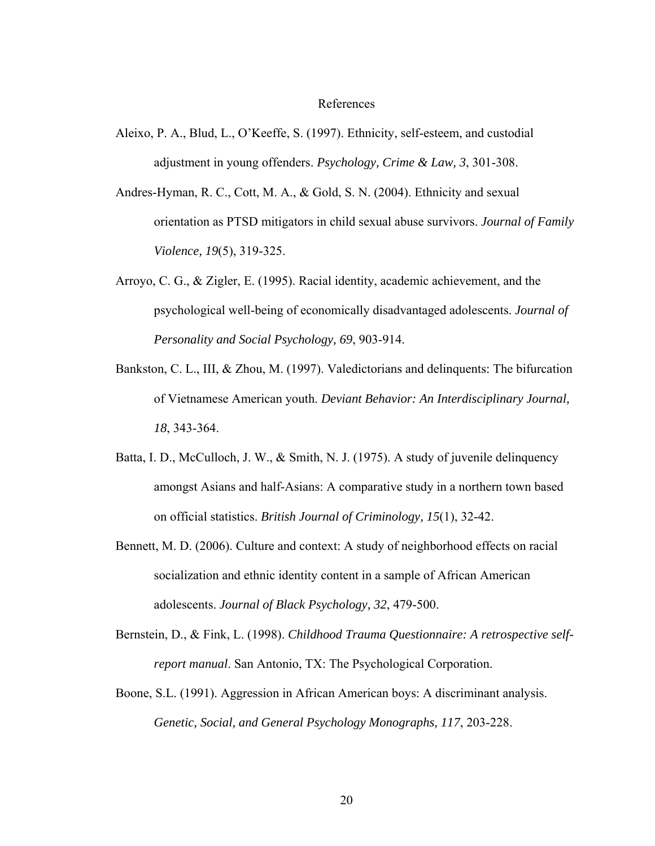#### References

- Aleixo, P. A., Blud, L., O'Keeffe, S. (1997). Ethnicity, self-esteem, and custodial adjustment in young offenders. *Psychology, Crime & Law, 3*, 301-308.
- Andres-Hyman, R. C., Cott, M. A., & Gold, S. N. (2004). Ethnicity and sexual orientation as PTSD mitigators in child sexual abuse survivors. *Journal of Family Violence, 19*(5), 319-325.
- Arroyo, C. G., & Zigler, E. (1995). Racial identity, academic achievement, and the psychological well-being of economically disadvantaged adolescents. *Journal of Personality and Social Psychology, 69*, 903-914.
- Bankston, C. L., III, & Zhou, M. (1997). Valedictorians and delinquents: The bifurcation of Vietnamese American youth. *Deviant Behavior: An Interdisciplinary Journal, 18*, 343-364.
- Batta, I. D., McCulloch, J. W., & Smith, N. J. (1975). A study of juvenile delinquency amongst Asians and half-Asians: A comparative study in a northern town based on official statistics. *British Journal of Criminology, 15*(1), 32-42.
- Bennett, M. D. (2006). Culture and context: A study of neighborhood effects on racial socialization and ethnic identity content in a sample of African American adolescents. *Journal of Black Psychology, 32*, 479-500.
- Bernstein, D., & Fink, L. (1998). *Childhood Trauma Questionnaire: A retrospective selfreport manual*. San Antonio, TX: The Psychological Corporation.
- Boone, S.L. (1991). Aggression in African American boys: A discriminant analysis. *Genetic, Social, and General Psychology Monographs, 117*, 203-228.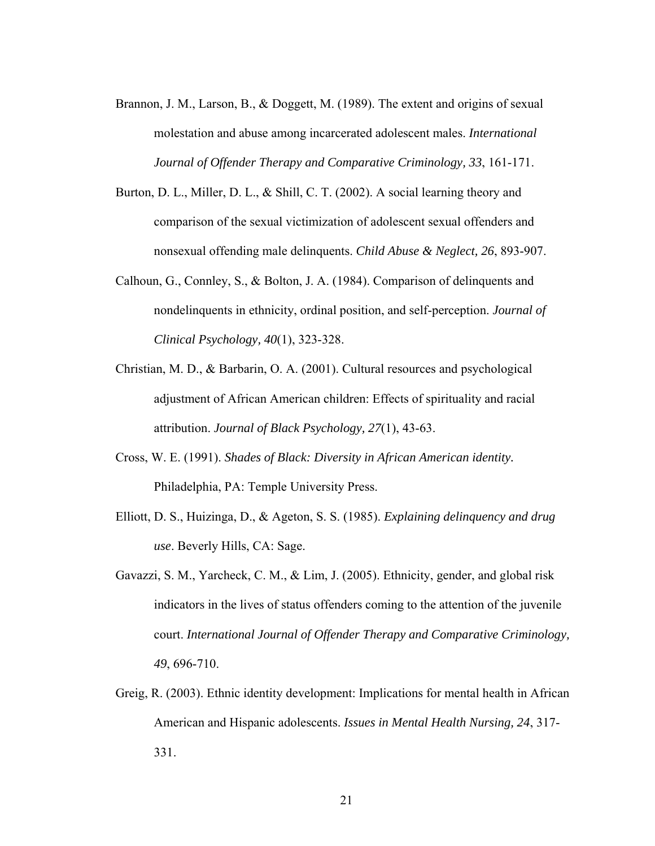- Brannon, J. M., Larson, B., & Doggett, M. (1989). The extent and origins of sexual molestation and abuse among incarcerated adolescent males. *International Journal of Offender Therapy and Comparative Criminology, 33*, 161-171.
- Burton, D. L., Miller, D. L., & Shill, C. T. (2002). A social learning theory and comparison of the sexual victimization of adolescent sexual offenders and nonsexual offending male delinquents. *Child Abuse & Neglect, 26*, 893-907.
- Calhoun, G., Connley, S., & Bolton, J. A. (1984). Comparison of delinquents and nondelinquents in ethnicity, ordinal position, and self-perception. *Journal of Clinical Psychology, 40*(1), 323-328.
- Christian, M. D., & Barbarin, O. A. (2001). Cultural resources and psychological adjustment of African American children: Effects of spirituality and racial attribution. *Journal of Black Psychology, 27*(1), 43-63.
- Cross, W. E. (1991). *Shades of Black: Diversity in African American identity.* Philadelphia, PA: Temple University Press.
- Elliott, D. S., Huizinga, D., & Ageton, S. S. (1985). *Explaining delinquency and drug use*. Beverly Hills, CA: Sage.
- Gavazzi, S. M., Yarcheck, C. M., & Lim, J. (2005). Ethnicity, gender, and global risk indicators in the lives of status offenders coming to the attention of the juvenile court. *International Journal of Offender Therapy and Comparative Criminology, 49*, 696-710.
- Greig, R. (2003). Ethnic identity development: Implications for mental health in African American and Hispanic adolescents. *Issues in Mental Health Nursing, 24*, 317- 331.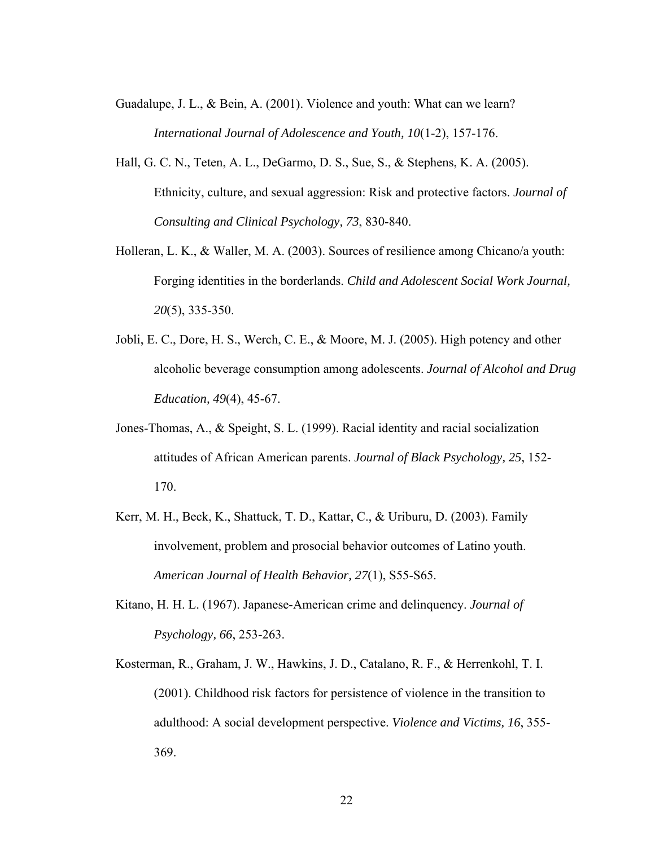- Guadalupe, J. L., & Bein, A. (2001). Violence and youth: What can we learn? *International Journal of Adolescence and Youth, 10*(1-2), 157-176.
- Hall, G. C. N., Teten, A. L., DeGarmo, D. S., Sue, S., & Stephens, K. A. (2005). Ethnicity, culture, and sexual aggression: Risk and protective factors. *Journal of Consulting and Clinical Psychology, 73*, 830-840.
- Holleran, L. K., & Waller, M. A. (2003). Sources of resilience among Chicano/a youth: Forging identities in the borderlands. *Child and Adolescent Social Work Journal, 20*(5), 335-350.
- Jobli, E. C., Dore, H. S., Werch, C. E., & Moore, M. J. (2005). High potency and other alcoholic beverage consumption among adolescents. *Journal of Alcohol and Drug Education, 49*(4), 45-67.
- Jones-Thomas, A., & Speight, S. L. (1999). Racial identity and racial socialization attitudes of African American parents. *Journal of Black Psychology, 25*, 152- 170.
- Kerr, M. H., Beck, K., Shattuck, T. D., Kattar, C., & Uriburu, D. (2003). Family involvement, problem and prosocial behavior outcomes of Latino youth. *American Journal of Health Behavior, 27*(1), S55-S65.
- Kitano, H. H. L. (1967). Japanese-American crime and delinquency. *Journal of Psychology, 66*, 253-263.
- Kosterman, R., Graham, J. W., Hawkins, J. D., Catalano, R. F., & Herrenkohl, T. I. (2001). Childhood risk factors for persistence of violence in the transition to adulthood: A social development perspective. *Violence and Victims, 16*, 355- 369.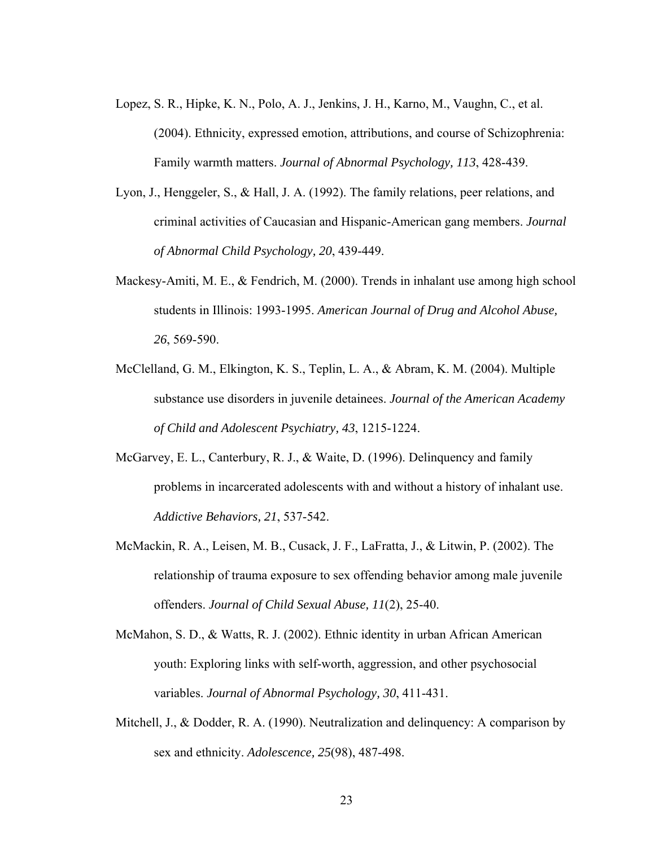- Lopez, S. R., Hipke, K. N., Polo, A. J., Jenkins, J. H., Karno, M., Vaughn, C., et al. (2004). Ethnicity, expressed emotion, attributions, and course of Schizophrenia: Family warmth matters. *Journal of Abnormal Psychology, 113*, 428-439.
- Lyon, J., Henggeler, S., & Hall, J. A. (1992). The family relations, peer relations, and criminal activities of Caucasian and Hispanic-American gang members. *Journal of Abnormal Child Psychology, 20*, 439-449.
- Mackesy-Amiti, M. E., & Fendrich, M. (2000). Trends in inhalant use among high school students in Illinois: 1993-1995. *American Journal of Drug and Alcohol Abuse, 26*, 569-590.
- McClelland, G. M., Elkington, K. S., Teplin, L. A., & Abram, K. M. (2004). Multiple substance use disorders in juvenile detainees. *Journal of the American Academy of Child and Adolescent Psychiatry, 43*, 1215-1224.
- McGarvey, E. L., Canterbury, R. J., & Waite, D. (1996). Delinquency and family problems in incarcerated adolescents with and without a history of inhalant use. *Addictive Behaviors, 21*, 537-542.
- McMackin, R. A., Leisen, M. B., Cusack, J. F., LaFratta, J., & Litwin, P. (2002). The relationship of trauma exposure to sex offending behavior among male juvenile offenders. *Journal of Child Sexual Abuse, 11*(2), 25-40.
- McMahon, S. D., & Watts, R. J. (2002). Ethnic identity in urban African American youth: Exploring links with self-worth, aggression, and other psychosocial variables. *Journal of Abnormal Psychology, 30*, 411-431.
- Mitchell, J., & Dodder, R. A. (1990). Neutralization and delinquency: A comparison by sex and ethnicity. *Adolescence, 25*(98), 487-498.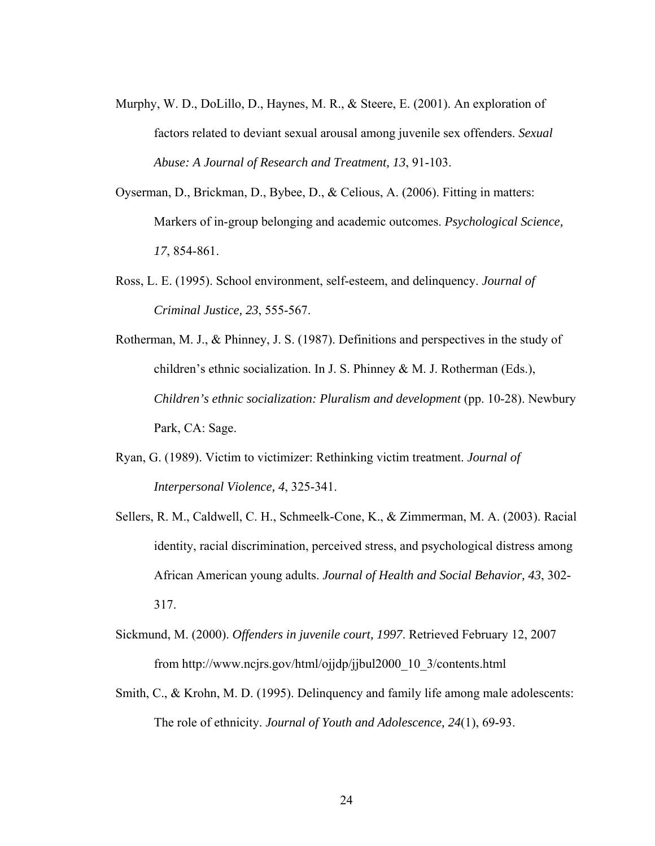- Murphy, W. D., DoLillo, D., Haynes, M. R., & Steere, E. (2001). An exploration of factors related to deviant sexual arousal among juvenile sex offenders. *Sexual Abuse: A Journal of Research and Treatment, 13*, 91-103.
- Oyserman, D., Brickman, D., Bybee, D., & Celious, A. (2006). Fitting in matters: Markers of in-group belonging and academic outcomes. *Psychological Science, 17*, 854-861.
- Ross, L. E. (1995). School environment, self-esteem, and delinquency. *Journal of Criminal Justice, 23*, 555-567.
- Rotherman, M. J., & Phinney, J. S. (1987). Definitions and perspectives in the study of children's ethnic socialization. In J. S. Phinney & M. J. Rotherman (Eds.), *Children's ethnic socialization: Pluralism and development* (pp. 10-28). Newbury Park, CA: Sage.
- Ryan, G. (1989). Victim to victimizer: Rethinking victim treatment. *Journal of Interpersonal Violence, 4*, 325-341.
- Sellers, R. M., Caldwell, C. H., Schmeelk-Cone, K., & Zimmerman, M. A. (2003). Racial identity, racial discrimination, perceived stress, and psychological distress among African American young adults. *Journal of Health and Social Behavior, 43*, 302- 317.
- Sickmund, M. (2000). *Offenders in juvenile court, 1997*. Retrieved February 12, 2007 from http://www.ncjrs.gov/html/ojjdp/jjbul2000\_10\_3/contents.html
- Smith, C., & Krohn, M. D. (1995). Delinquency and family life among male adolescents: The role of ethnicity. *Journal of Youth and Adolescence, 24*(1), 69-93.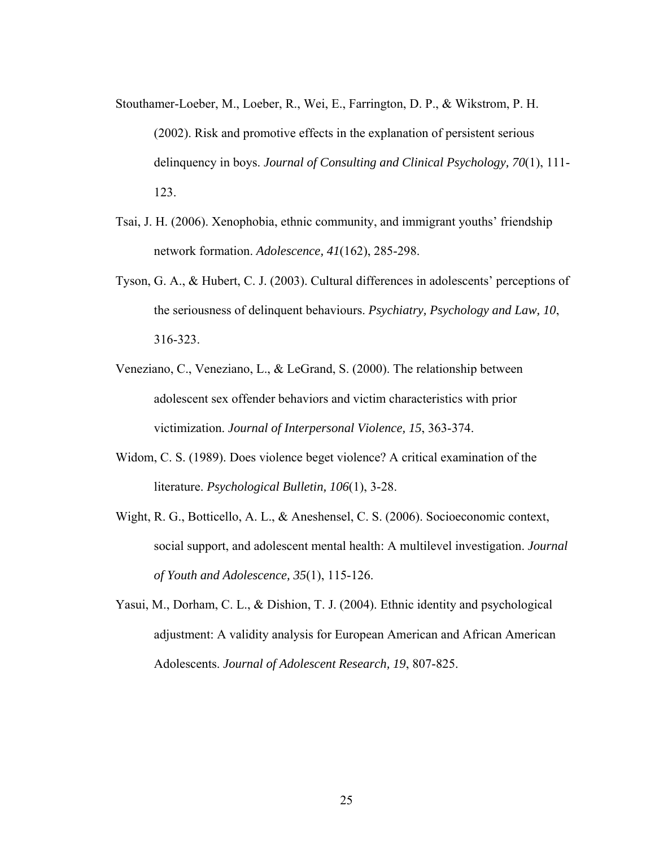- Stouthamer-Loeber, M., Loeber, R., Wei, E., Farrington, D. P., & Wikstrom, P. H. (2002). Risk and promotive effects in the explanation of persistent serious delinquency in boys. *Journal of Consulting and Clinical Psychology, 70*(1), 111- 123.
- Tsai, J. H. (2006). Xenophobia, ethnic community, and immigrant youths' friendship network formation. *Adolescence, 41*(162), 285-298.
- Tyson, G. A., & Hubert, C. J. (2003). Cultural differences in adolescents' perceptions of the seriousness of delinquent behaviours. *Psychiatry, Psychology and Law, 10*, 316-323.
- Veneziano, C., Veneziano, L., & LeGrand, S. (2000). The relationship between adolescent sex offender behaviors and victim characteristics with prior victimization. *Journal of Interpersonal Violence, 15*, 363-374.
- Widom, C. S. (1989). Does violence beget violence? A critical examination of the literature. *Psychological Bulletin, 106*(1), 3-28.
- Wight, R. G., Botticello, A. L., & Aneshensel, C. S. (2006). Socioeconomic context, social support, and adolescent mental health: A multilevel investigation. *Journal of Youth and Adolescence, 35*(1), 115-126.
- Yasui, M., Dorham, C. L., & Dishion, T. J. (2004). Ethnic identity and psychological adjustment: A validity analysis for European American and African American Adolescents. *Journal of Adolescent Research, 19*, 807-825.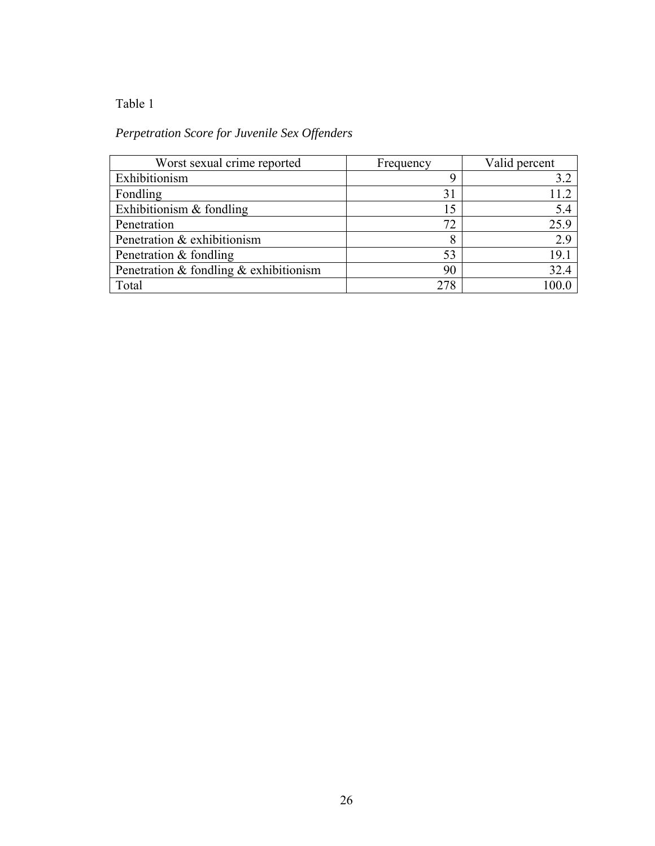# Table 1

# *Perpetration Score for Juvenile Sex Offenders*

| Worst sexual crime reported              | Frequency | Valid percent |
|------------------------------------------|-----------|---------------|
| Exhibitionism                            |           | 3.2           |
| Fondling                                 | 31        |               |
| Exhibitionism $&$ fondling               | 15        | 5.4           |
| Penetration                              | 72        | 25.9          |
| Penetration & exhibitionism              | 8         | 2.9           |
| Penetration & fondling                   | 53        | 19.1          |
| Penetration & fondling $&$ exhibitionism | 90        | 32.4          |
| Total                                    | 278       |               |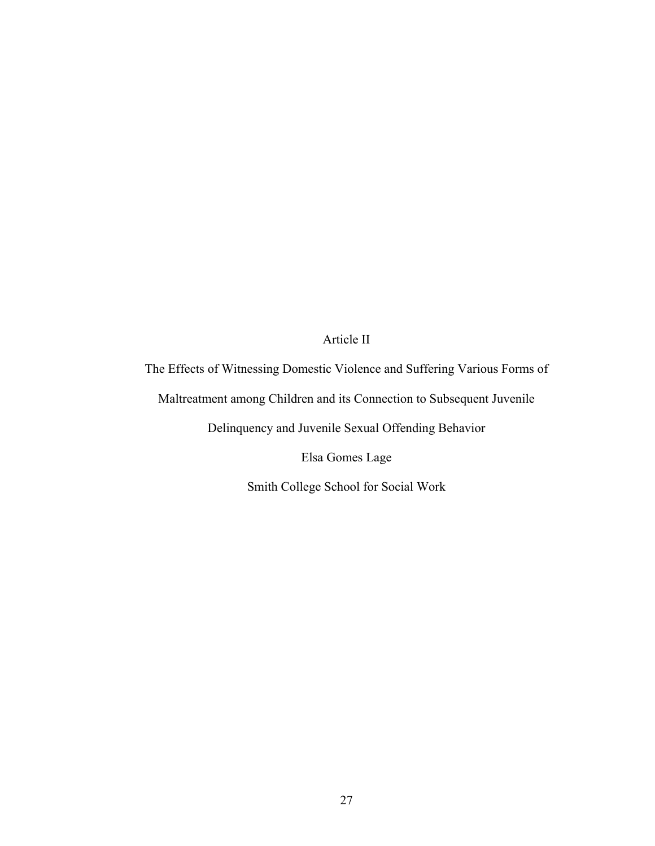# Article II

The Effects of Witnessing Domestic Violence and Suffering Various Forms of Maltreatment among Children and its Connection to Subsequent Juvenile Delinquency and Juvenile Sexual Offending Behavior Elsa Gomes Lage

Smith College School for Social Work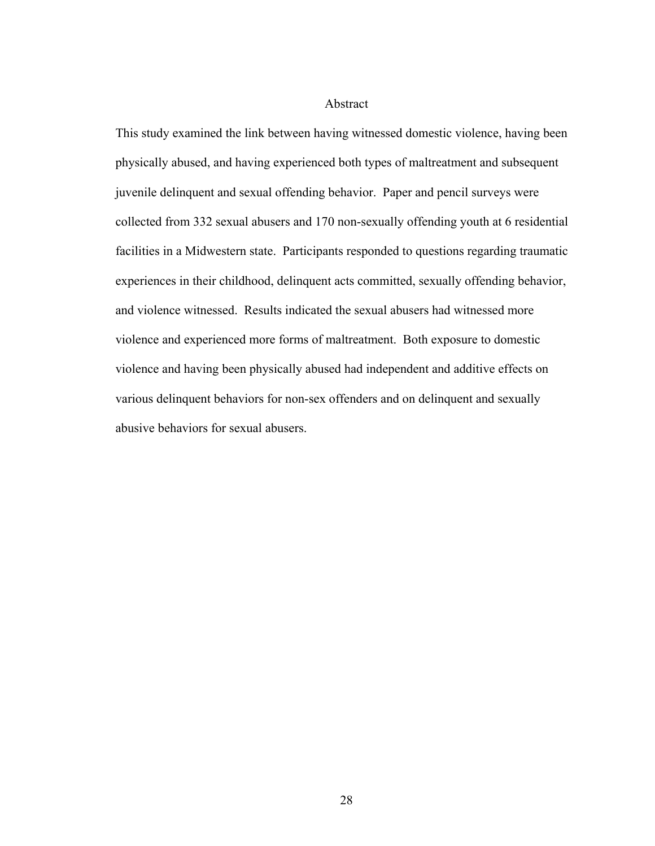# Abstract

This study examined the link between having witnessed domestic violence, having been physically abused, and having experienced both types of maltreatment and subsequent juvenile delinquent and sexual offending behavior. Paper and pencil surveys were collected from 332 sexual abusers and 170 non-sexually offending youth at 6 residential facilities in a Midwestern state. Participants responded to questions regarding traumatic experiences in their childhood, delinquent acts committed, sexually offending behavior, and violence witnessed. Results indicated the sexual abusers had witnessed more violence and experienced more forms of maltreatment. Both exposure to domestic violence and having been physically abused had independent and additive effects on various delinquent behaviors for non-sex offenders and on delinquent and sexually abusive behaviors for sexual abusers.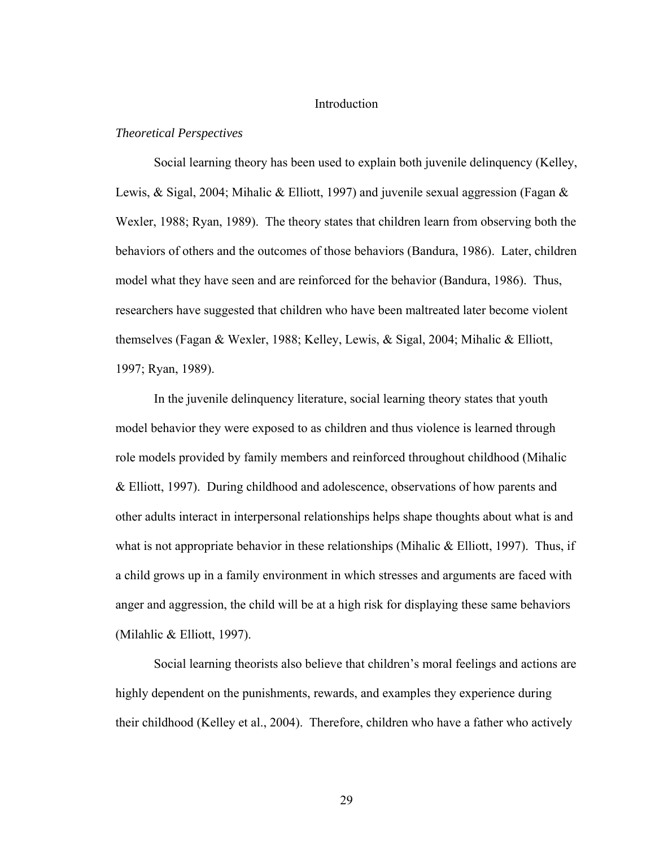# Introduction

#### *Theoretical Perspectives*

Social learning theory has been used to explain both juvenile delinquency (Kelley, Lewis, & Sigal, 2004; Mihalic & Elliott, 1997) and juvenile sexual aggression (Fagan & Wexler, 1988; Ryan, 1989). The theory states that children learn from observing both the behaviors of others and the outcomes of those behaviors (Bandura, 1986). Later, children model what they have seen and are reinforced for the behavior (Bandura, 1986). Thus, researchers have suggested that children who have been maltreated later become violent themselves (Fagan & Wexler, 1988; Kelley, Lewis, & Sigal, 2004; Mihalic & Elliott, 1997; Ryan, 1989).

In the juvenile delinquency literature, social learning theory states that youth model behavior they were exposed to as children and thus violence is learned through role models provided by family members and reinforced throughout childhood (Mihalic & Elliott, 1997). During childhood and adolescence, observations of how parents and other adults interact in interpersonal relationships helps shape thoughts about what is and what is not appropriate behavior in these relationships (Mihalic  $&$  Elliott, 1997). Thus, if a child grows up in a family environment in which stresses and arguments are faced with anger and aggression, the child will be at a high risk for displaying these same behaviors (Milahlic & Elliott, 1997).

Social learning theorists also believe that children's moral feelings and actions are highly dependent on the punishments, rewards, and examples they experience during their childhood (Kelley et al., 2004). Therefore, children who have a father who actively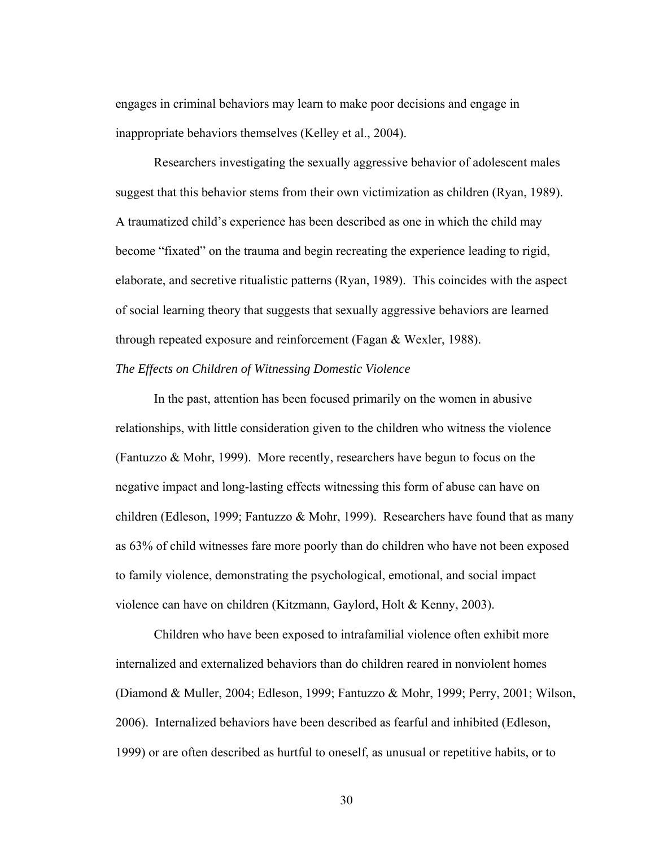engages in criminal behaviors may learn to make poor decisions and engage in inappropriate behaviors themselves (Kelley et al., 2004).

Researchers investigating the sexually aggressive behavior of adolescent males suggest that this behavior stems from their own victimization as children (Ryan, 1989). A traumatized child's experience has been described as one in which the child may become "fixated" on the trauma and begin recreating the experience leading to rigid, elaborate, and secretive ritualistic patterns (Ryan, 1989). This coincides with the aspect of social learning theory that suggests that sexually aggressive behaviors are learned through repeated exposure and reinforcement (Fagan & Wexler, 1988).

### *The Effects on Children of Witnessing Domestic Violence*

 In the past, attention has been focused primarily on the women in abusive relationships, with little consideration given to the children who witness the violence (Fantuzzo & Mohr, 1999). More recently, researchers have begun to focus on the negative impact and long-lasting effects witnessing this form of abuse can have on children (Edleson, 1999; Fantuzzo & Mohr, 1999). Researchers have found that as many as 63% of child witnesses fare more poorly than do children who have not been exposed to family violence, demonstrating the psychological, emotional, and social impact violence can have on children (Kitzmann, Gaylord, Holt & Kenny, 2003).

Children who have been exposed to intrafamilial violence often exhibit more internalized and externalized behaviors than do children reared in nonviolent homes (Diamond & Muller, 2004; Edleson, 1999; Fantuzzo & Mohr, 1999; Perry, 2001; Wilson, 2006). Internalized behaviors have been described as fearful and inhibited (Edleson, 1999) or are often described as hurtful to oneself, as unusual or repetitive habits, or to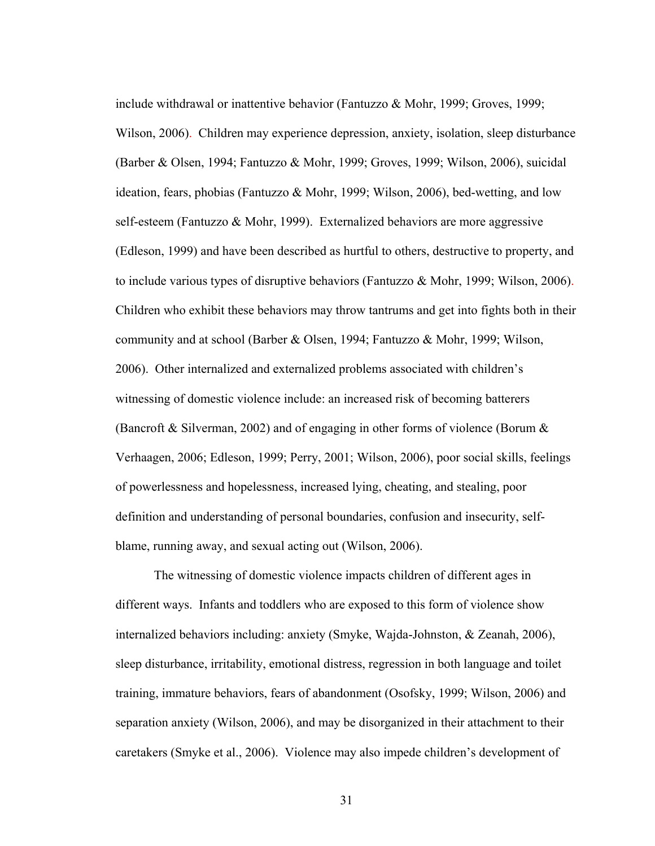include withdrawal or inattentive behavior (Fantuzzo & Mohr, 1999; Groves, 1999; Wilson, 2006). Children may experience depression, anxiety, isolation, sleep disturbance (Barber & Olsen, 1994; Fantuzzo & Mohr, 1999; Groves, 1999; Wilson, 2006), suicidal ideation, fears, phobias (Fantuzzo & Mohr, 1999; Wilson, 2006), bed-wetting, and low self-esteem (Fantuzzo & Mohr, 1999). Externalized behaviors are more aggressive (Edleson, 1999) and have been described as hurtful to others, destructive to property, and to include various types of disruptive behaviors (Fantuzzo  $\&$  Mohr, 1999; Wilson, 2006). Children who exhibit these behaviors may throw tantrums and get into fights both in their community and at school (Barber & Olsen, 1994; Fantuzzo & Mohr, 1999; Wilson, 2006). Other internalized and externalized problems associated with children's witnessing of domestic violence include: an increased risk of becoming batterers (Bancroft & Silverman, 2002) and of engaging in other forms of violence (Borum & Verhaagen, 2006; Edleson, 1999; Perry, 2001; Wilson, 2006), poor social skills, feelings of powerlessness and hopelessness, increased lying, cheating, and stealing, poor definition and understanding of personal boundaries, confusion and insecurity, selfblame, running away, and sexual acting out (Wilson, 2006).

 The witnessing of domestic violence impacts children of different ages in different ways. Infants and toddlers who are exposed to this form of violence show internalized behaviors including: anxiety (Smyke, Wajda-Johnston, & Zeanah, 2006), sleep disturbance, irritability, emotional distress, regression in both language and toilet training, immature behaviors, fears of abandonment (Osofsky, 1999; Wilson, 2006) and separation anxiety (Wilson, 2006), and may be disorganized in their attachment to their caretakers (Smyke et al., 2006). Violence may also impede children's development of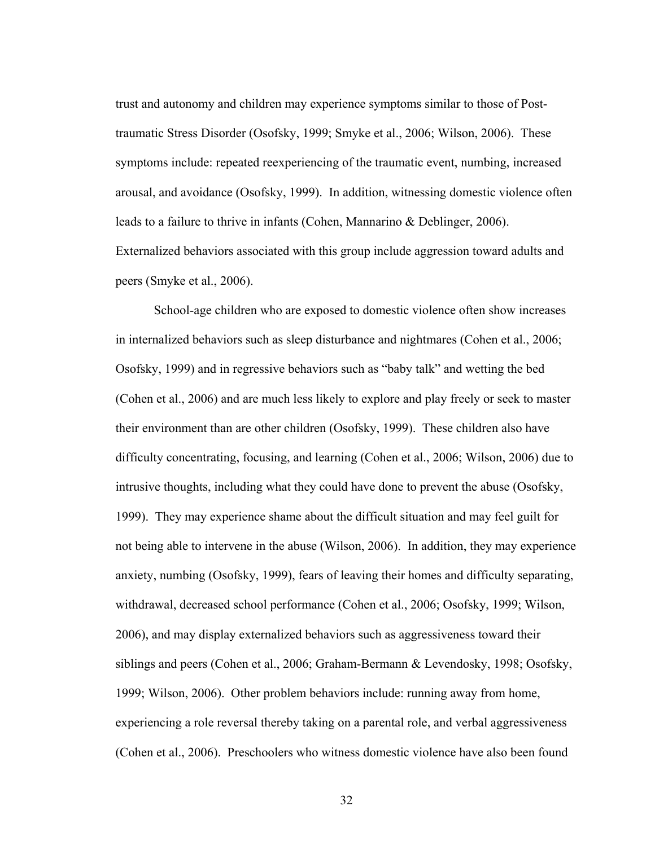trust and autonomy and children may experience symptoms similar to those of Posttraumatic Stress Disorder (Osofsky, 1999; Smyke et al., 2006; Wilson, 2006). These symptoms include: repeated reexperiencing of the traumatic event, numbing, increased arousal, and avoidance (Osofsky, 1999). In addition, witnessing domestic violence often leads to a failure to thrive in infants (Cohen, Mannarino & Deblinger, 2006). Externalized behaviors associated with this group include aggression toward adults and peers (Smyke et al., 2006).

School-age children who are exposed to domestic violence often show increases in internalized behaviors such as sleep disturbance and nightmares (Cohen et al., 2006; Osofsky, 1999) and in regressive behaviors such as "baby talk" and wetting the bed (Cohen et al., 2006) and are much less likely to explore and play freely or seek to master their environment than are other children (Osofsky, 1999). These children also have difficulty concentrating, focusing, and learning (Cohen et al., 2006; Wilson, 2006) due to intrusive thoughts, including what they could have done to prevent the abuse (Osofsky, 1999). They may experience shame about the difficult situation and may feel guilt for not being able to intervene in the abuse (Wilson, 2006). In addition, they may experience anxiety, numbing (Osofsky, 1999), fears of leaving their homes and difficulty separating, withdrawal, decreased school performance (Cohen et al., 2006; Osofsky, 1999; Wilson, 2006), and may display externalized behaviors such as aggressiveness toward their siblings and peers (Cohen et al., 2006; Graham-Bermann & Levendosky, 1998; Osofsky, 1999; Wilson, 2006). Other problem behaviors include: running away from home, experiencing a role reversal thereby taking on a parental role, and verbal aggressiveness (Cohen et al., 2006). Preschoolers who witness domestic violence have also been found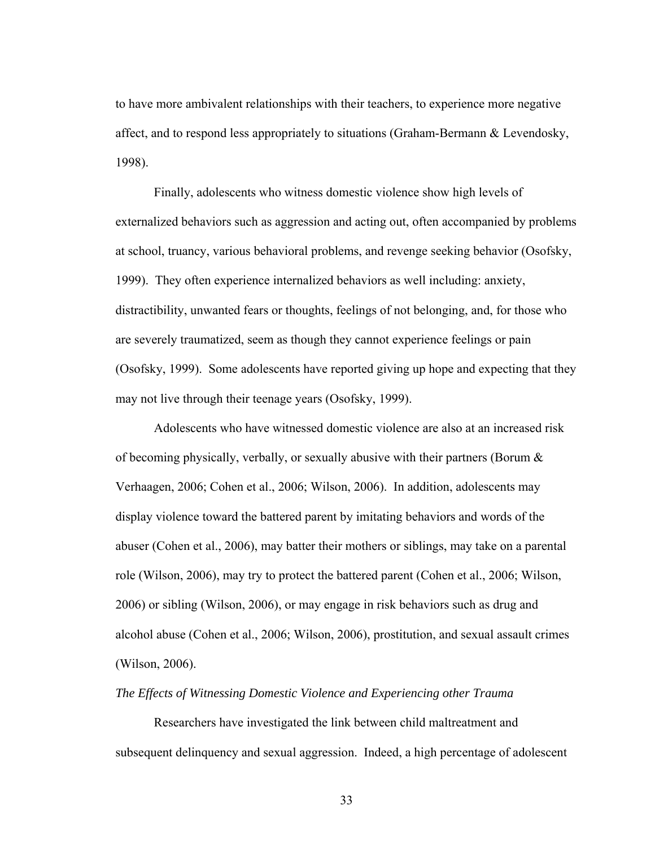to have more ambivalent relationships with their teachers, to experience more negative affect, and to respond less appropriately to situations (Graham-Bermann & Levendosky, 1998).

Finally, adolescents who witness domestic violence show high levels of externalized behaviors such as aggression and acting out, often accompanied by problems at school, truancy, various behavioral problems, and revenge seeking behavior (Osofsky, 1999). They often experience internalized behaviors as well including: anxiety, distractibility, unwanted fears or thoughts, feelings of not belonging, and, for those who are severely traumatized, seem as though they cannot experience feelings or pain (Osofsky, 1999). Some adolescents have reported giving up hope and expecting that they may not live through their teenage years (Osofsky, 1999).

Adolescents who have witnessed domestic violence are also at an increased risk of becoming physically, verbally, or sexually abusive with their partners (Borum & Verhaagen, 2006; Cohen et al., 2006; Wilson, 2006). In addition, adolescents may display violence toward the battered parent by imitating behaviors and words of the abuser (Cohen et al., 2006), may batter their mothers or siblings, may take on a parental role (Wilson, 2006), may try to protect the battered parent (Cohen et al., 2006; Wilson, 2006) or sibling (Wilson, 2006), or may engage in risk behaviors such as drug and alcohol abuse (Cohen et al., 2006; Wilson, 2006), prostitution, and sexual assault crimes (Wilson, 2006).

### *The Effects of Witnessing Domestic Violence and Experiencing other Trauma*

 Researchers have investigated the link between child maltreatment and subsequent delinquency and sexual aggression. Indeed, a high percentage of adolescent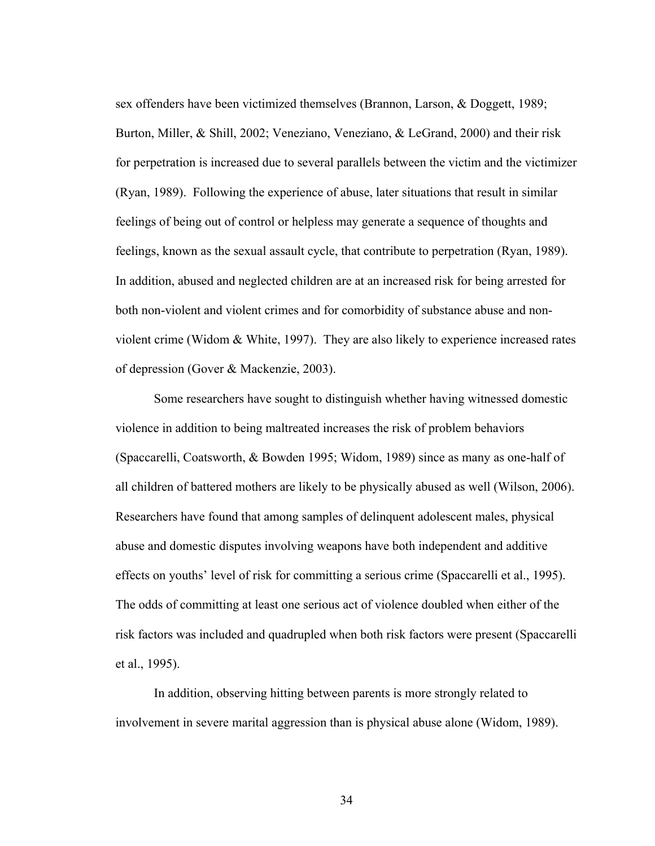sex offenders have been victimized themselves (Brannon, Larson, & Doggett, 1989; Burton, Miller, & Shill, 2002; Veneziano, Veneziano, & LeGrand, 2000) and their risk for perpetration is increased due to several parallels between the victim and the victimizer (Ryan, 1989). Following the experience of abuse, later situations that result in similar feelings of being out of control or helpless may generate a sequence of thoughts and feelings, known as the sexual assault cycle, that contribute to perpetration (Ryan, 1989). In addition, abused and neglected children are at an increased risk for being arrested for both non-violent and violent crimes and for comorbidity of substance abuse and nonviolent crime (Widom & White, 1997). They are also likely to experience increased rates of depression (Gover & Mackenzie, 2003).

 Some researchers have sought to distinguish whether having witnessed domestic violence in addition to being maltreated increases the risk of problem behaviors (Spaccarelli, Coatsworth, & Bowden 1995; Widom, 1989) since as many as one-half of all children of battered mothers are likely to be physically abused as well (Wilson, 2006). Researchers have found that among samples of delinquent adolescent males, physical abuse and domestic disputes involving weapons have both independent and additive effects on youths' level of risk for committing a serious crime (Spaccarelli et al., 1995). The odds of committing at least one serious act of violence doubled when either of the risk factors was included and quadrupled when both risk factors were present (Spaccarelli et al., 1995).

In addition, observing hitting between parents is more strongly related to involvement in severe marital aggression than is physical abuse alone (Widom, 1989).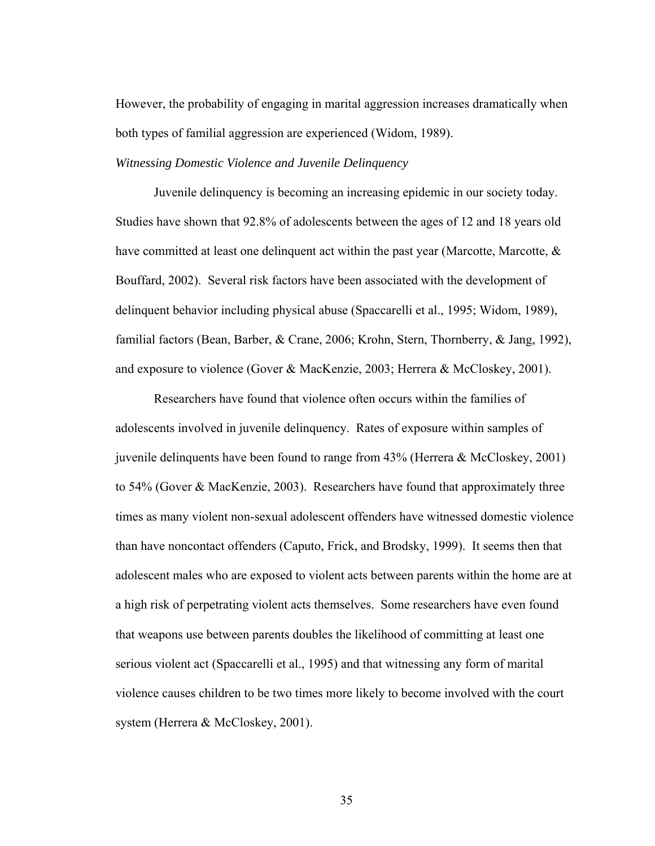However, the probability of engaging in marital aggression increases dramatically when both types of familial aggression are experienced (Widom, 1989).

#### *Witnessing Domestic Violence and Juvenile Delinquency*

 Juvenile delinquency is becoming an increasing epidemic in our society today. Studies have shown that 92.8% of adolescents between the ages of 12 and 18 years old have committed at least one delinquent act within the past year (Marcotte, Marcotte,  $\&$ Bouffard, 2002). Several risk factors have been associated with the development of delinquent behavior including physical abuse (Spaccarelli et al., 1995; Widom, 1989), familial factors (Bean, Barber, & Crane, 2006; Krohn, Stern, Thornberry, & Jang, 1992), and exposure to violence (Gover & MacKenzie, 2003; Herrera & McCloskey, 2001).

Researchers have found that violence often occurs within the families of adolescents involved in juvenile delinquency. Rates of exposure within samples of juvenile delinquents have been found to range from 43% (Herrera & McCloskey, 2001) to 54% (Gover & MacKenzie, 2003). Researchers have found that approximately three times as many violent non-sexual adolescent offenders have witnessed domestic violence than have noncontact offenders (Caputo, Frick, and Brodsky, 1999). It seems then that adolescent males who are exposed to violent acts between parents within the home are at a high risk of perpetrating violent acts themselves. Some researchers have even found that weapons use between parents doubles the likelihood of committing at least one serious violent act (Spaccarelli et al., 1995) and that witnessing any form of marital violence causes children to be two times more likely to become involved with the court system (Herrera & McCloskey, 2001).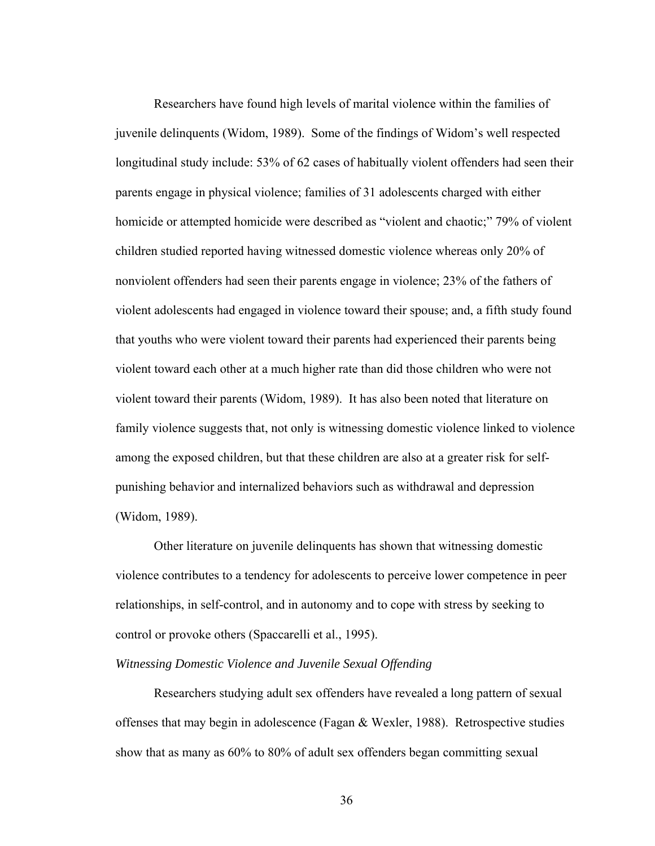Researchers have found high levels of marital violence within the families of juvenile delinquents (Widom, 1989). Some of the findings of Widom's well respected longitudinal study include: 53% of 62 cases of habitually violent offenders had seen their parents engage in physical violence; families of 31 adolescents charged with either homicide or attempted homicide were described as "violent and chaotic;" 79% of violent children studied reported having witnessed domestic violence whereas only 20% of nonviolent offenders had seen their parents engage in violence; 23% of the fathers of violent adolescents had engaged in violence toward their spouse; and, a fifth study found that youths who were violent toward their parents had experienced their parents being violent toward each other at a much higher rate than did those children who were not violent toward their parents (Widom, 1989). It has also been noted that literature on family violence suggests that, not only is witnessing domestic violence linked to violence among the exposed children, but that these children are also at a greater risk for selfpunishing behavior and internalized behaviors such as withdrawal and depression (Widom, 1989).

Other literature on juvenile delinquents has shown that witnessing domestic violence contributes to a tendency for adolescents to perceive lower competence in peer relationships, in self-control, and in autonomy and to cope with stress by seeking to control or provoke others (Spaccarelli et al., 1995).

### *Witnessing Domestic Violence and Juvenile Sexual Offending*

 Researchers studying adult sex offenders have revealed a long pattern of sexual offenses that may begin in adolescence (Fagan & Wexler, 1988). Retrospective studies show that as many as 60% to 80% of adult sex offenders began committing sexual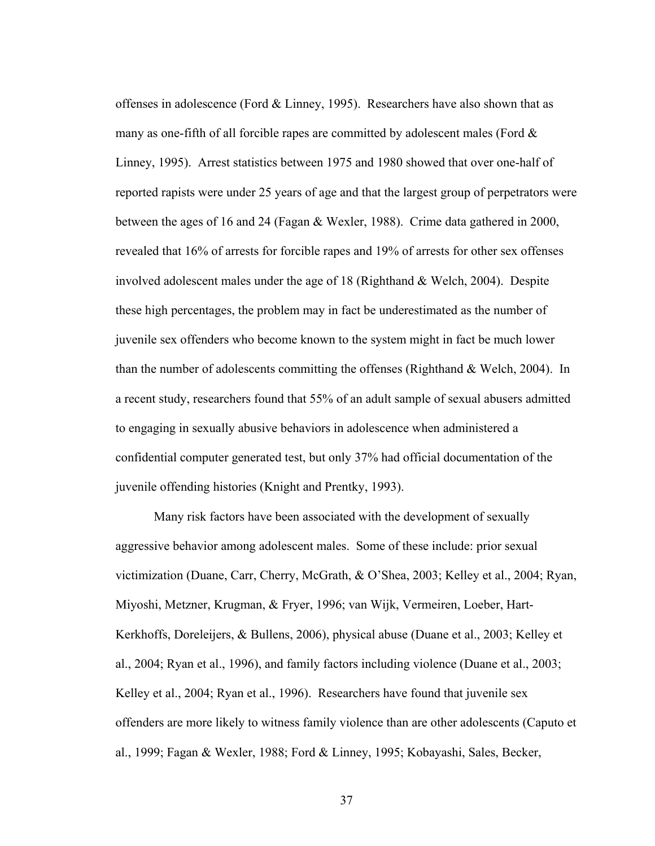offenses in adolescence (Ford  $&$  Linney, 1995). Researchers have also shown that as many as one-fifth of all forcible rapes are committed by adolescent males (Ford  $\&$ Linney, 1995). Arrest statistics between 1975 and 1980 showed that over one-half of reported rapists were under 25 years of age and that the largest group of perpetrators were between the ages of 16 and 24 (Fagan & Wexler, 1988). Crime data gathered in 2000, revealed that 16% of arrests for forcible rapes and 19% of arrests for other sex offenses involved adolescent males under the age of 18 (Righthand & Welch, 2004). Despite these high percentages, the problem may in fact be underestimated as the number of juvenile sex offenders who become known to the system might in fact be much lower than the number of adolescents committing the offenses (Righthand & Welch, 2004). In a recent study, researchers found that 55% of an adult sample of sexual abusers admitted to engaging in sexually abusive behaviors in adolescence when administered a confidential computer generated test, but only 37% had official documentation of the juvenile offending histories (Knight and Prentky, 1993).

Many risk factors have been associated with the development of sexually aggressive behavior among adolescent males. Some of these include: prior sexual victimization (Duane, Carr, Cherry, McGrath, & O'Shea, 2003; Kelley et al., 2004; Ryan, Miyoshi, Metzner, Krugman, & Fryer, 1996; van Wijk, Vermeiren, Loeber, Hart-Kerkhoffs, Doreleijers, & Bullens, 2006), physical abuse (Duane et al., 2003; Kelley et al., 2004; Ryan et al., 1996), and family factors including violence (Duane et al., 2003; Kelley et al., 2004; Ryan et al., 1996). Researchers have found that juvenile sex offenders are more likely to witness family violence than are other adolescents (Caputo et al., 1999; Fagan & Wexler, 1988; Ford & Linney, 1995; Kobayashi, Sales, Becker,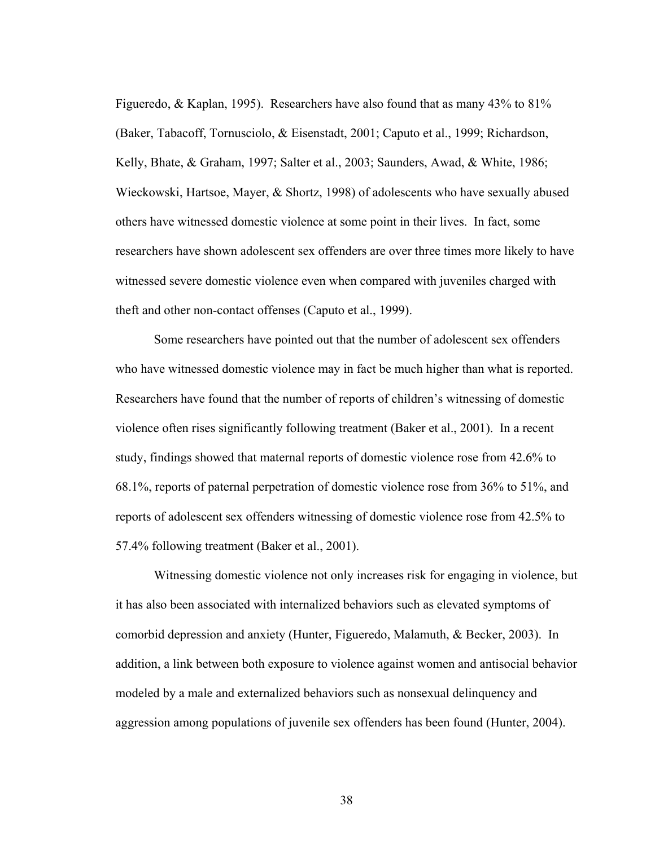Figueredo, & Kaplan, 1995). Researchers have also found that as many 43% to 81% (Baker, Tabacoff, Tornusciolo, & Eisenstadt, 2001; Caputo et al., 1999; Richardson, Kelly, Bhate, & Graham, 1997; Salter et al., 2003; Saunders, Awad, & White, 1986; Wieckowski, Hartsoe, Mayer, & Shortz, 1998) of adolescents who have sexually abused others have witnessed domestic violence at some point in their lives. In fact, some researchers have shown adolescent sex offenders are over three times more likely to have witnessed severe domestic violence even when compared with juveniles charged with theft and other non-contact offenses (Caputo et al., 1999).

Some researchers have pointed out that the number of adolescent sex offenders who have witnessed domestic violence may in fact be much higher than what is reported. Researchers have found that the number of reports of children's witnessing of domestic violence often rises significantly following treatment (Baker et al., 2001). In a recent study, findings showed that maternal reports of domestic violence rose from 42.6% to 68.1%, reports of paternal perpetration of domestic violence rose from 36% to 51%, and reports of adolescent sex offenders witnessing of domestic violence rose from 42.5% to 57.4% following treatment (Baker et al., 2001).

Witnessing domestic violence not only increases risk for engaging in violence, but it has also been associated with internalized behaviors such as elevated symptoms of comorbid depression and anxiety (Hunter, Figueredo, Malamuth, & Becker, 2003). In addition, a link between both exposure to violence against women and antisocial behavior modeled by a male and externalized behaviors such as nonsexual delinquency and aggression among populations of juvenile sex offenders has been found (Hunter, 2004).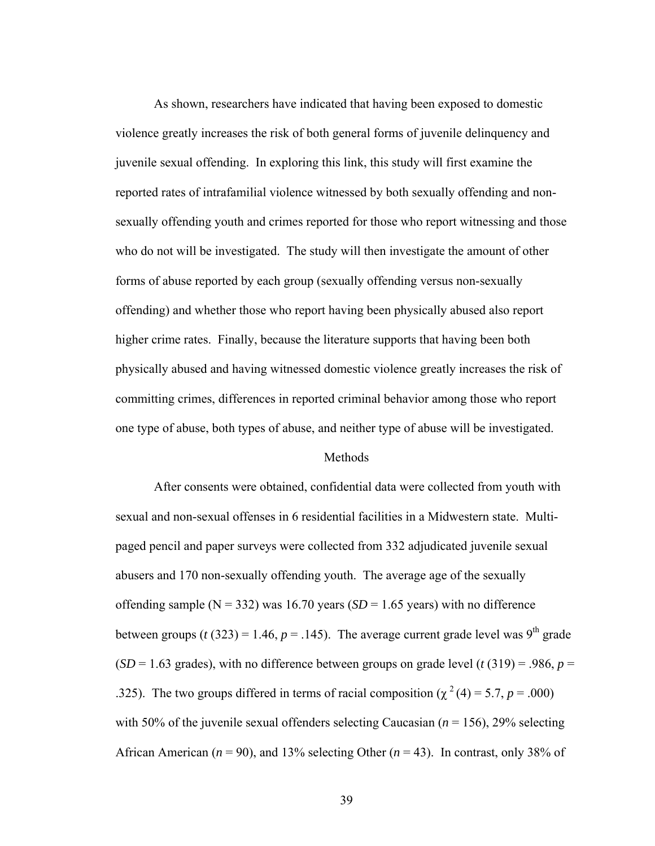As shown, researchers have indicated that having been exposed to domestic violence greatly increases the risk of both general forms of juvenile delinquency and juvenile sexual offending. In exploring this link, this study will first examine the reported rates of intrafamilial violence witnessed by both sexually offending and nonsexually offending youth and crimes reported for those who report witnessing and those who do not will be investigated. The study will then investigate the amount of other forms of abuse reported by each group (sexually offending versus non-sexually offending) and whether those who report having been physically abused also report higher crime rates. Finally, because the literature supports that having been both physically abused and having witnessed domestic violence greatly increases the risk of committing crimes, differences in reported criminal behavior among those who report one type of abuse, both types of abuse, and neither type of abuse will be investigated.

#### **Methods**

After consents were obtained, confidential data were collected from youth with sexual and non-sexual offenses in 6 residential facilities in a Midwestern state. Multipaged pencil and paper surveys were collected from 332 adjudicated juvenile sexual abusers and 170 non-sexually offending youth. The average age of the sexually offending sample ( $N = 332$ ) was 16.70 years ( $SD = 1.65$  years) with no difference between groups ( $t$  (323) = 1.46,  $p$  = .145). The average current grade level was 9<sup>th</sup> grade  $(SD = 1.63$  grades), with no difference between groups on grade level (*t* (319) = .986, *p* = .325). The two groups differed in terms of racial composition ( $\chi^2$  (4) = 5.7, *p* = .000) with 50% of the juvenile sexual offenders selecting Caucasian  $(n = 156)$ , 29% selecting African American ( $n = 90$ ), and 13% selecting Other ( $n = 43$ ). In contrast, only 38% of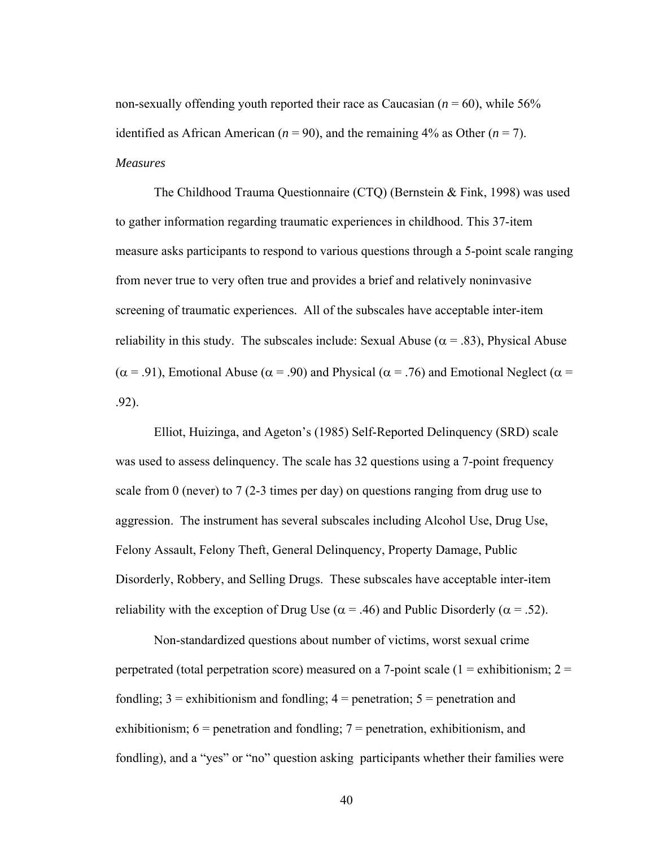non-sexually offending youth reported their race as Caucasian  $(n = 60)$ , while 56% identified as African American ( $n = 90$ ), and the remaining 4% as Other ( $n = 7$ ). *Measures*

The Childhood Trauma Questionnaire (CTQ) (Bernstein & Fink, 1998) was used to gather information regarding traumatic experiences in childhood. This 37-item measure asks participants to respond to various questions through a 5-point scale ranging from never true to very often true and provides a brief and relatively noninvasive screening of traumatic experiences. All of the subscales have acceptable inter-item reliability in this study. The subscales include: Sexual Abuse ( $\alpha$  = .83), Physical Abuse ( $\alpha$  = .91), Emotional Abuse ( $\alpha$  = .90) and Physical ( $\alpha$  = .76) and Emotional Neglect ( $\alpha$  = .92).

Elliot, Huizinga, and Ageton's (1985) Self-Reported Delinquency (SRD) scale was used to assess delinquency. The scale has 32 questions using a 7-point frequency scale from 0 (never) to 7 (2-3 times per day) on questions ranging from drug use to aggression. The instrument has several subscales including Alcohol Use, Drug Use, Felony Assault, Felony Theft, General Delinquency, Property Damage, Public Disorderly, Robbery, and Selling Drugs. These subscales have acceptable inter-item reliability with the exception of Drug Use ( $\alpha$  = .46) and Public Disorderly ( $\alpha$  = .52).

Non-standardized questions about number of victims, worst sexual crime perpetrated (total perpetration score) measured on a 7-point scale ( $1 =$ exhibitionism;  $2 =$ fondling;  $3 =$  exhibitionism and fondling;  $4 =$  penetration;  $5 =$  penetration and exhibitionism;  $6$  = penetration and fondling;  $7$  = penetration, exhibitionism, and fondling), and a "yes" or "no" question asking participants whether their families were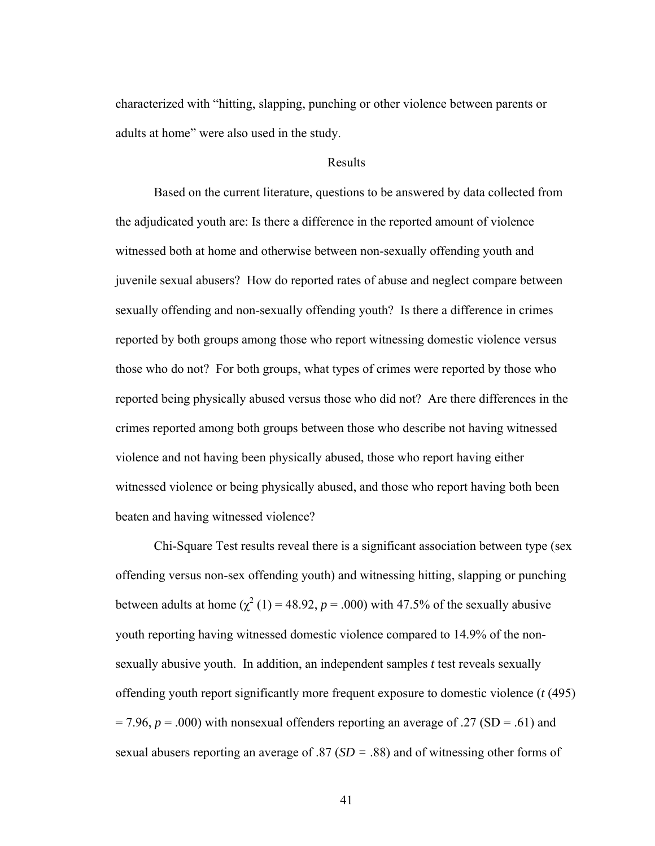characterized with "hitting, slapping, punching or other violence between parents or adults at home" were also used in the study.

### Results

 Based on the current literature, questions to be answered by data collected from the adjudicated youth are: Is there a difference in the reported amount of violence witnessed both at home and otherwise between non-sexually offending youth and juvenile sexual abusers? How do reported rates of abuse and neglect compare between sexually offending and non-sexually offending youth? Is there a difference in crimes reported by both groups among those who report witnessing domestic violence versus those who do not? For both groups, what types of crimes were reported by those who reported being physically abused versus those who did not? Are there differences in the crimes reported among both groups between those who describe not having witnessed violence and not having been physically abused, those who report having either witnessed violence or being physically abused, and those who report having both been beaten and having witnessed violence?

Chi-Square Test results reveal there is a significant association between type (sex offending versus non-sex offending youth) and witnessing hitting, slapping or punching between adults at home  $\left(\chi^2(1)\right) = 48.92$ ,  $p = .000$ ) with 47.5% of the sexually abusive youth reporting having witnessed domestic violence compared to 14.9% of the nonsexually abusive youth. In addition, an independent samples *t* test reveals sexually offending youth report significantly more frequent exposure to domestic violence (*t* (495)  $= 7.96$ ,  $p = .000$ ) with nonsexual offenders reporting an average of .27 (SD = .61) and sexual abusers reporting an average of .87 (*SD =* .88) and of witnessing other forms of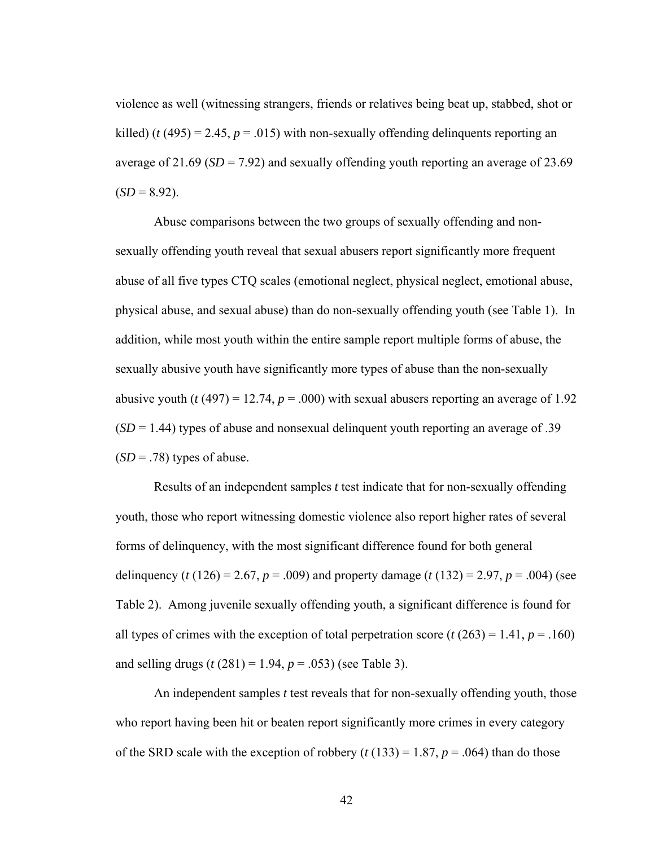violence as well (witnessing strangers, friends or relatives being beat up, stabbed, shot or killed) ( $t$  (495) = 2.45,  $p = .015$ ) with non-sexually offending delinquents reporting an average of 21.69 ( $SD = 7.92$ ) and sexually offending youth reporting an average of 23.69  $(SD = 8.92)$ .

Abuse comparisons between the two groups of sexually offending and nonsexually offending youth reveal that sexual abusers report significantly more frequent abuse of all five types CTQ scales (emotional neglect, physical neglect, emotional abuse, physical abuse, and sexual abuse) than do non-sexually offending youth (see Table 1). In addition, while most youth within the entire sample report multiple forms of abuse, the sexually abusive youth have significantly more types of abuse than the non-sexually abusive youth ( $t$  (497) = 12.74,  $p = .000$ ) with sexual abusers reporting an average of 1.92  $(SD = 1.44)$  types of abuse and nonsexual delinquent youth reporting an average of .39  $(SD = .78)$  types of abuse.

Results of an independent samples *t* test indicate that for non-sexually offending youth, those who report witnessing domestic violence also report higher rates of several forms of delinquency, with the most significant difference found for both general delinquency (*t* (126) = 2.67, *p* = .009) and property damage (*t* (132) = 2.97, *p* = .004) (see Table 2). Among juvenile sexually offending youth, a significant difference is found for all types of crimes with the exception of total perpetration score  $(t (263) = 1.41, p = .160)$ and selling drugs  $(t (281) = 1.94, p = .053)$  (see Table 3).

An independent samples *t* test reveals that for non-sexually offending youth, those who report having been hit or beaten report significantly more crimes in every category of the SRD scale with the exception of robbery  $(t (133) = 1.87, p = .064)$  than do those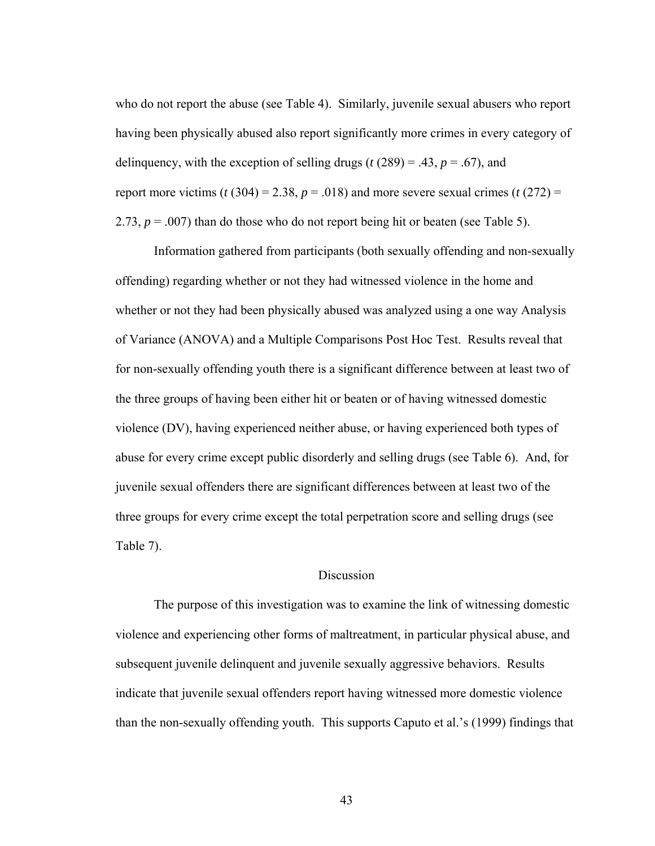who do not report the abuse (see Table 4). Similarly, juvenile sexual abusers who report having been physically abused also report significantly more crimes in every category of delinquency, with the exception of selling drugs ( $t$  (289) = .43,  $p = .67$ ), and report more victims ( $t$  (304) = 2.38,  $p = .018$ ) and more severe sexual crimes ( $t$  (272) = 2.73,  $p = .007$ ) than do those who do not report being hit or beaten (see Table 5).

Information gathered from participants (both sexually offending and non-sexually offending) regarding whether or not they had witnessed violence in the home and whether or not they had been physically abused was analyzed using a one way Analysis of Variance (ANOVA) and a Multiple Comparisons Post Hoc Test. Results reveal that for non-sexually offending youth there is a significant difference between at least two of the three groups of having been either hit or beaten or of having witnessed domestic violence (DV), having experienced neither abuse, or having experienced both types of abuse for every crime except public disorderly and selling drugs (see Table 6). And, for juvenile sexual offenders there are significant differences between at least two of the three groups for every crime except the total perpetration score and selling drugs (see Table 7).

### **Discussion**

 The purpose of this investigation was to examine the link of witnessing domestic violence and experiencing other forms of maltreatment, in particular physical abuse, and subsequent juvenile delinquent and juvenile sexually aggressive behaviors. Results indicate that juvenile sexual offenders report having witnessed more domestic violence than the non-sexually offending youth. This supports Caputo et al.'s (1999) findings that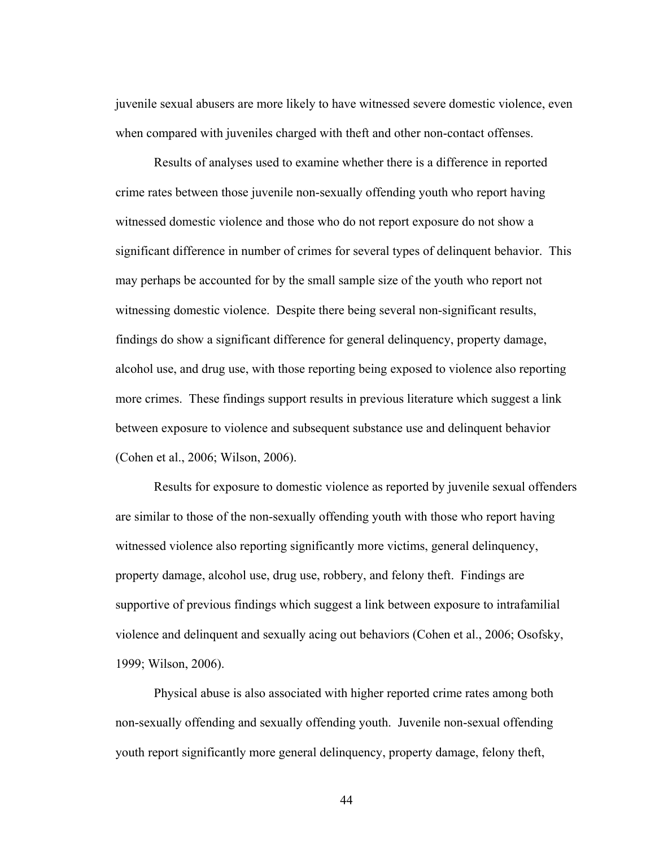juvenile sexual abusers are more likely to have witnessed severe domestic violence, even when compared with juveniles charged with theft and other non-contact offenses.

Results of analyses used to examine whether there is a difference in reported crime rates between those juvenile non-sexually offending youth who report having witnessed domestic violence and those who do not report exposure do not show a significant difference in number of crimes for several types of delinquent behavior. This may perhaps be accounted for by the small sample size of the youth who report not witnessing domestic violence. Despite there being several non-significant results, findings do show a significant difference for general delinquency, property damage, alcohol use, and drug use, with those reporting being exposed to violence also reporting more crimes. These findings support results in previous literature which suggest a link between exposure to violence and subsequent substance use and delinquent behavior (Cohen et al., 2006; Wilson, 2006).

Results for exposure to domestic violence as reported by juvenile sexual offenders are similar to those of the non-sexually offending youth with those who report having witnessed violence also reporting significantly more victims, general delinquency, property damage, alcohol use, drug use, robbery, and felony theft. Findings are supportive of previous findings which suggest a link between exposure to intrafamilial violence and delinquent and sexually acing out behaviors (Cohen et al., 2006; Osofsky, 1999; Wilson, 2006).

Physical abuse is also associated with higher reported crime rates among both non-sexually offending and sexually offending youth. Juvenile non-sexual offending youth report significantly more general delinquency, property damage, felony theft,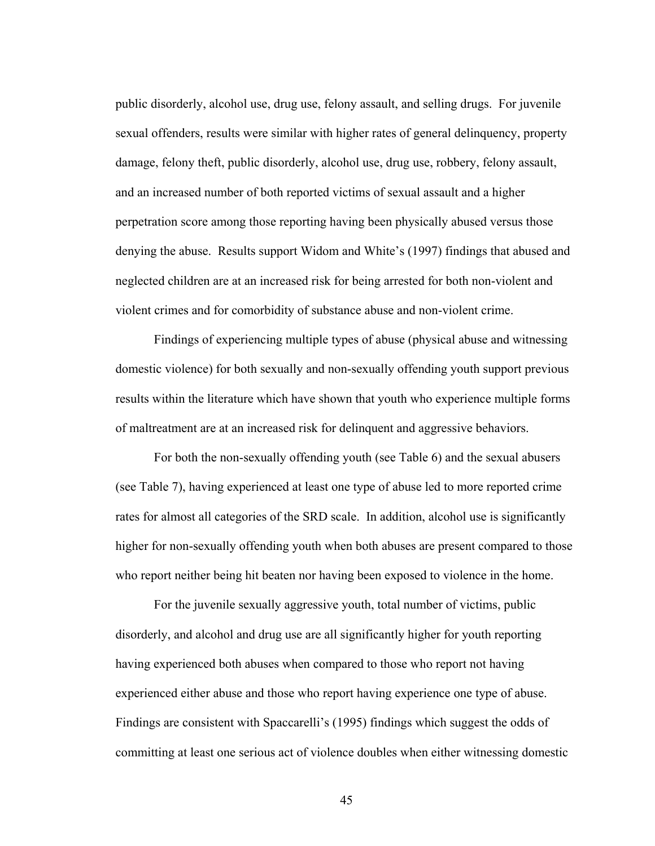public disorderly, alcohol use, drug use, felony assault, and selling drugs. For juvenile sexual offenders, results were similar with higher rates of general delinquency, property damage, felony theft, public disorderly, alcohol use, drug use, robbery, felony assault, and an increased number of both reported victims of sexual assault and a higher perpetration score among those reporting having been physically abused versus those denying the abuse. Results support Widom and White's (1997) findings that abused and neglected children are at an increased risk for being arrested for both non-violent and violent crimes and for comorbidity of substance abuse and non-violent crime.

Findings of experiencing multiple types of abuse (physical abuse and witnessing domestic violence) for both sexually and non-sexually offending youth support previous results within the literature which have shown that youth who experience multiple forms of maltreatment are at an increased risk for delinquent and aggressive behaviors.

For both the non-sexually offending youth (see Table 6) and the sexual abusers (see Table 7), having experienced at least one type of abuse led to more reported crime rates for almost all categories of the SRD scale. In addition, alcohol use is significantly higher for non-sexually offending youth when both abuses are present compared to those who report neither being hit beaten nor having been exposed to violence in the home.

For the juvenile sexually aggressive youth, total number of victims, public disorderly, and alcohol and drug use are all significantly higher for youth reporting having experienced both abuses when compared to those who report not having experienced either abuse and those who report having experience one type of abuse. Findings are consistent with Spaccarelli's (1995) findings which suggest the odds of committing at least one serious act of violence doubles when either witnessing domestic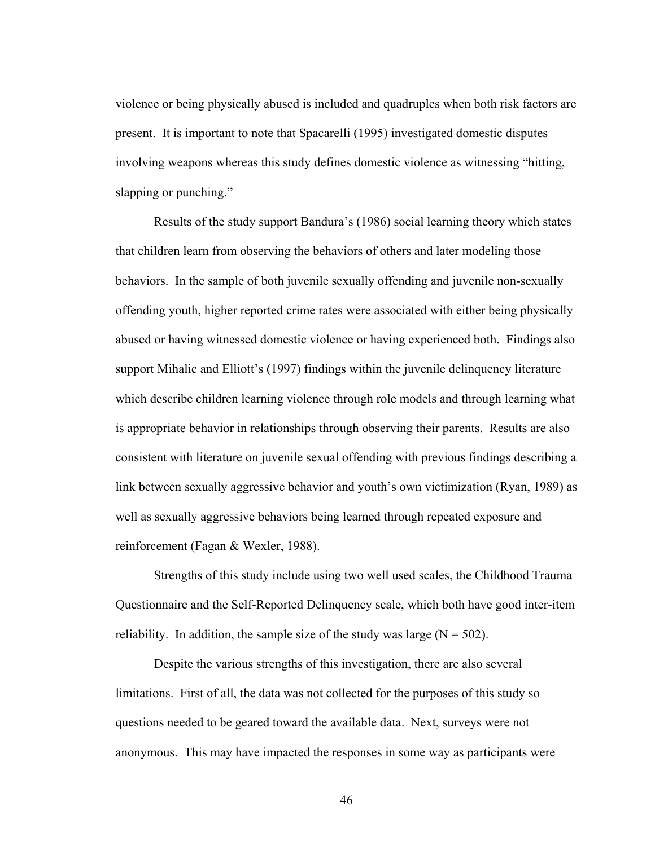violence or being physically abused is included and quadruples when both risk factors are present. It is important to note that Spacarelli (1995) investigated domestic disputes involving weapons whereas this study defines domestic violence as witnessing "hitting, slapping or punching."

Results of the study support Bandura's (1986) social learning theory which states that children learn from observing the behaviors of others and later modeling those behaviors. In the sample of both juvenile sexually offending and juvenile non-sexually offending youth, higher reported crime rates were associated with either being physically abused or having witnessed domestic violence or having experienced both. Findings also support Mihalic and Elliott's (1997) findings within the juvenile delinquency literature which describe children learning violence through role models and through learning what is appropriate behavior in relationships through observing their parents. Results are also consistent with literature on juvenile sexual offending with previous findings describing a link between sexually aggressive behavior and youth's own victimization (Ryan, 1989) as well as sexually aggressive behaviors being learned through repeated exposure and reinforcement (Fagan & Wexler, 1988).

Strengths of this study include using two well used scales, the Childhood Trauma Questionnaire and the Self-Reported Delinquency scale, which both have good inter-item reliability. In addition, the sample size of the study was large  $(N = 502)$ .

 Despite the various strengths of this investigation, there are also several limitations. First of all, the data was not collected for the purposes of this study so questions needed to be geared toward the available data. Next, surveys were not anonymous. This may have impacted the responses in some way as participants were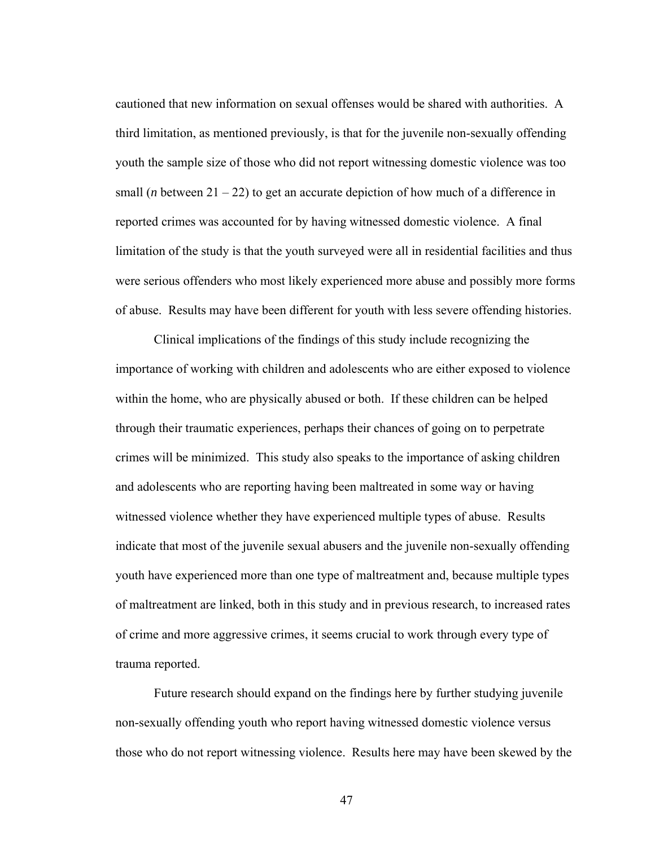cautioned that new information on sexual offenses would be shared with authorities. A third limitation, as mentioned previously, is that for the juvenile non-sexually offending youth the sample size of those who did not report witnessing domestic violence was too small (*n* between  $21 - 22$ ) to get an accurate depiction of how much of a difference in reported crimes was accounted for by having witnessed domestic violence. A final limitation of the study is that the youth surveyed were all in residential facilities and thus were serious offenders who most likely experienced more abuse and possibly more forms of abuse. Results may have been different for youth with less severe offending histories.

 Clinical implications of the findings of this study include recognizing the importance of working with children and adolescents who are either exposed to violence within the home, who are physically abused or both. If these children can be helped through their traumatic experiences, perhaps their chances of going on to perpetrate crimes will be minimized. This study also speaks to the importance of asking children and adolescents who are reporting having been maltreated in some way or having witnessed violence whether they have experienced multiple types of abuse. Results indicate that most of the juvenile sexual abusers and the juvenile non-sexually offending youth have experienced more than one type of maltreatment and, because multiple types of maltreatment are linked, both in this study and in previous research, to increased rates of crime and more aggressive crimes, it seems crucial to work through every type of trauma reported.

 Future research should expand on the findings here by further studying juvenile non-sexually offending youth who report having witnessed domestic violence versus those who do not report witnessing violence. Results here may have been skewed by the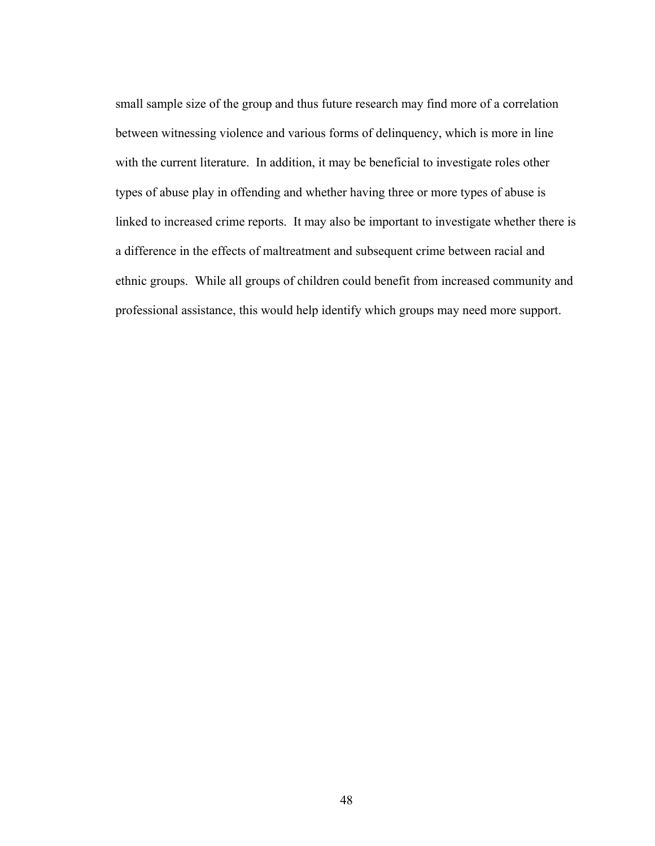small sample size of the group and thus future research may find more of a correlation between witnessing violence and various forms of delinquency, which is more in line with the current literature. In addition, it may be beneficial to investigate roles other types of abuse play in offending and whether having three or more types of abuse is linked to increased crime reports. It may also be important to investigate whether there is a difference in the effects of maltreatment and subsequent crime between racial and ethnic groups. While all groups of children could benefit from increased community and professional assistance, this would help identify which groups may need more support.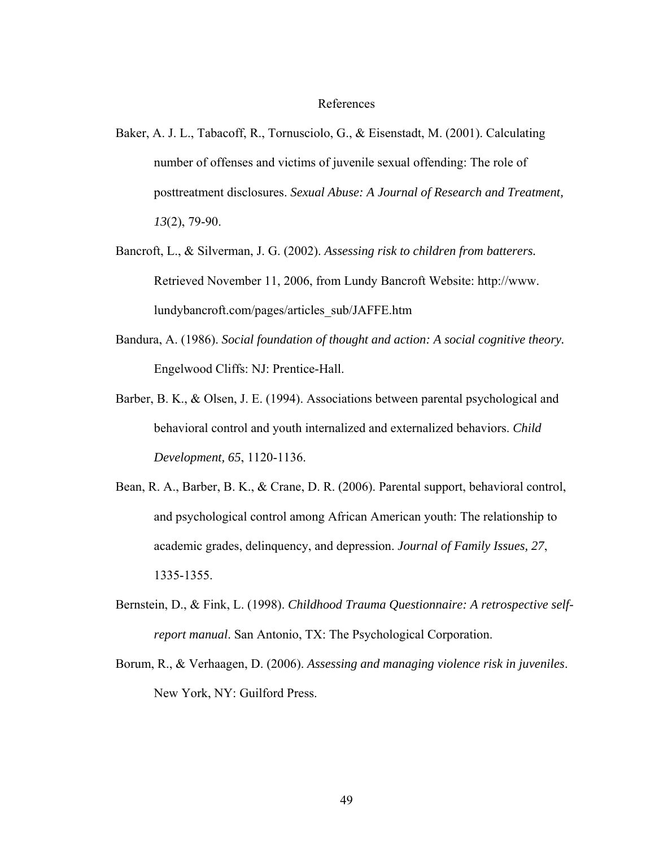#### References

- Baker, A. J. L., Tabacoff, R., Tornusciolo, G., & Eisenstadt, M. (2001). Calculating number of offenses and victims of juvenile sexual offending: The role of posttreatment disclosures. *Sexual Abuse: A Journal of Research and Treatment, 13*(2), 79-90.
- Bancroft, L., & Silverman, J. G. (2002). *Assessing risk to children from batterers.* Retrieved November 11, 2006, from Lundy Bancroft Website: http://www. lundybancroft.com/pages/articles\_sub/JAFFE.htm
- Bandura, A. (1986). *Social foundation of thought and action: A social cognitive theory.* Engelwood Cliffs: NJ: Prentice-Hall.
- Barber, B. K., & Olsen, J. E. (1994). Associations between parental psychological and behavioral control and youth internalized and externalized behaviors. *Child Development, 65*, 1120-1136.
- Bean, R. A., Barber, B. K., & Crane, D. R. (2006). Parental support, behavioral control, and psychological control among African American youth: The relationship to academic grades, delinquency, and depression. *Journal of Family Issues, 27*, 1335-1355.
- Bernstein, D., & Fink, L. (1998). *Childhood Trauma Questionnaire: A retrospective selfreport manual*. San Antonio, TX: The Psychological Corporation.
- Borum, R., & Verhaagen, D. (2006). *Assessing and managing violence risk in juveniles*. New York, NY: Guilford Press.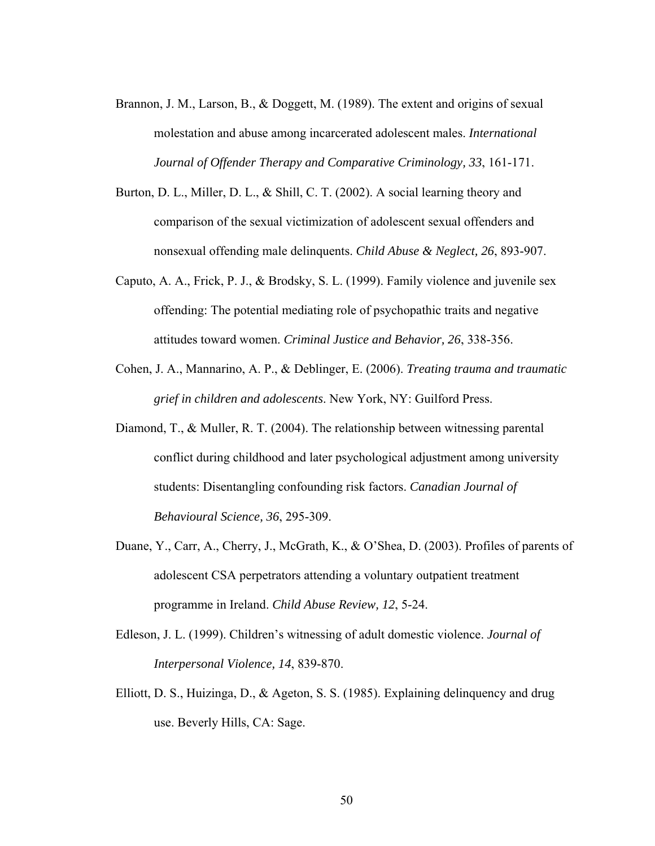- Brannon, J. M., Larson, B., & Doggett, M. (1989). The extent and origins of sexual molestation and abuse among incarcerated adolescent males. *International Journal of Offender Therapy and Comparative Criminology, 33*, 161-171.
- Burton, D. L., Miller, D. L., & Shill, C. T. (2002). A social learning theory and comparison of the sexual victimization of adolescent sexual offenders and nonsexual offending male delinquents. *Child Abuse & Neglect, 26*, 893-907.
- Caputo, A. A., Frick, P. J., & Brodsky, S. L. (1999). Family violence and juvenile sex offending: The potential mediating role of psychopathic traits and negative attitudes toward women. *Criminal Justice and Behavior, 26*, 338-356.
- Cohen, J. A., Mannarino, A. P., & Deblinger, E. (2006). *Treating trauma and traumatic grief in children and adolescents*. New York, NY: Guilford Press.
- Diamond, T., & Muller, R. T. (2004). The relationship between witnessing parental conflict during childhood and later psychological adjustment among university students: Disentangling confounding risk factors. *Canadian Journal of Behavioural Science, 36*, 295-309.
- Duane, Y., Carr, A., Cherry, J., McGrath, K., & O'Shea, D. (2003). Profiles of parents of adolescent CSA perpetrators attending a voluntary outpatient treatment programme in Ireland. *Child Abuse Review, 12*, 5-24.
- Edleson, J. L. (1999). Children's witnessing of adult domestic violence. *Journal of Interpersonal Violence, 14*, 839-870.
- Elliott, D. S., Huizinga, D., & Ageton, S. S. (1985). Explaining delinquency and drug use. Beverly Hills, CA: Sage.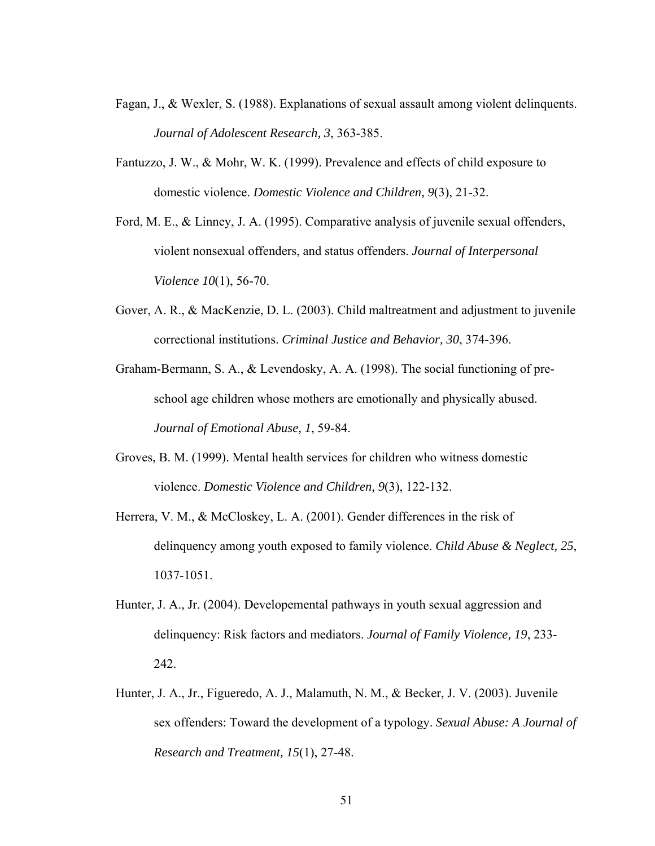- Fagan, J., & Wexler, S. (1988). Explanations of sexual assault among violent delinquents. *Journal of Adolescent Research, 3*, 363-385.
- Fantuzzo, J. W., & Mohr, W. K. (1999). Prevalence and effects of child exposure to domestic violence. *Domestic Violence and Children, 9*(3), 21-32.
- Ford, M. E., & Linney, J. A. (1995). Comparative analysis of juvenile sexual offenders, violent nonsexual offenders, and status offenders. *Journal of Interpersonal Violence 10*(1), 56-70.
- Gover, A. R., & MacKenzie, D. L. (2003). Child maltreatment and adjustment to juvenile correctional institutions. *Criminal Justice and Behavior, 30*, 374-396.

Graham-Bermann, S. A., & Levendosky, A. A. (1998). The social functioning of preschool age children whose mothers are emotionally and physically abused. *Journal of Emotional Abuse, 1*, 59-84.

- Groves, B. M. (1999). Mental health services for children who witness domestic violence. *Domestic Violence and Children, 9*(3), 122-132.
- Herrera, V. M., & McCloskey, L. A. (2001). Gender differences in the risk of delinquency among youth exposed to family violence. *Child Abuse & Neglect, 25*, 1037-1051.
- Hunter, J. A., Jr. (2004). Developemental pathways in youth sexual aggression and delinquency: Risk factors and mediators. *Journal of Family Violence, 19*, 233- 242.
- Hunter, J. A., Jr., Figueredo, A. J., Malamuth, N. M., & Becker, J. V. (2003). Juvenile sex offenders: Toward the development of a typology. *Sexual Abuse: A Journal of Research and Treatment, 15*(1), 27-48.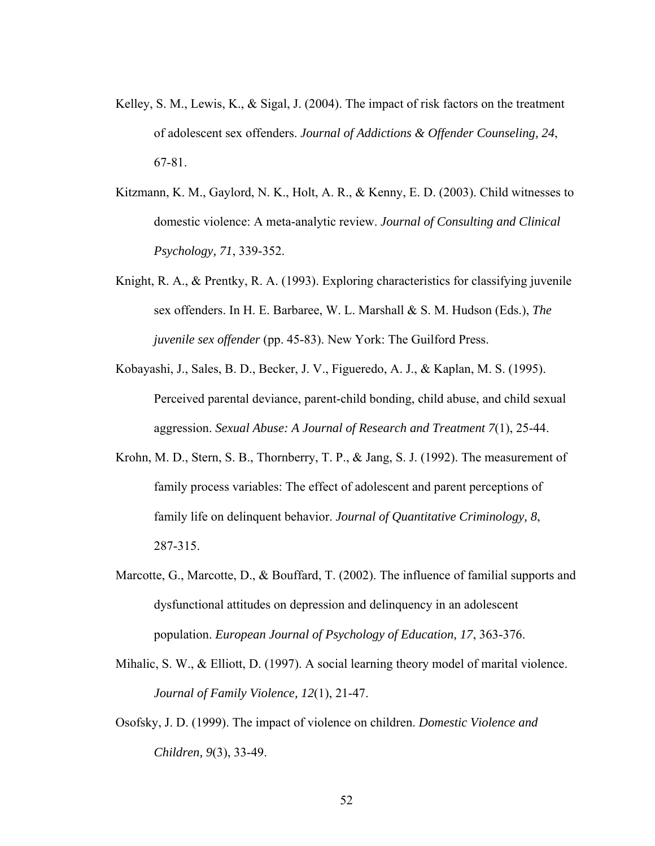- Kelley, S. M., Lewis, K., & Sigal, J. (2004). The impact of risk factors on the treatment of adolescent sex offenders. *Journal of Addictions & Offender Counseling, 24*, 67-81.
- Kitzmann, K. M., Gaylord, N. K., Holt, A. R., & Kenny, E. D. (2003). Child witnesses to domestic violence: A meta-analytic review. *Journal of Consulting and Clinical Psychology, 71*, 339-352.
- Knight, R. A., & Prentky, R. A. (1993). Exploring characteristics for classifying juvenile sex offenders. In H. E. Barbaree, W. L. Marshall & S. M. Hudson (Eds.), *The juvenile sex offender* (pp. 45-83). New York: The Guilford Press.
- Kobayashi, J., Sales, B. D., Becker, J. V., Figueredo, A. J., & Kaplan, M. S. (1995). Perceived parental deviance, parent-child bonding, child abuse, and child sexual aggression. *Sexual Abuse: A Journal of Research and Treatment 7*(1), 25-44.
- Krohn, M. D., Stern, S. B., Thornberry, T. P., & Jang, S. J. (1992). The measurement of family process variables: The effect of adolescent and parent perceptions of family life on delinquent behavior. *Journal of Quantitative Criminology, 8*, 287-315.
- Marcotte, G., Marcotte, D., & Bouffard, T. (2002). The influence of familial supports and dysfunctional attitudes on depression and delinquency in an adolescent population. *European Journal of Psychology of Education, 17*, 363-376.
- Mihalic, S. W., & Elliott, D. (1997). A social learning theory model of marital violence. *Journal of Family Violence, 12*(1), 21-47.
- Osofsky, J. D. (1999). The impact of violence on children. *Domestic Violence and Children, 9*(3), 33-49.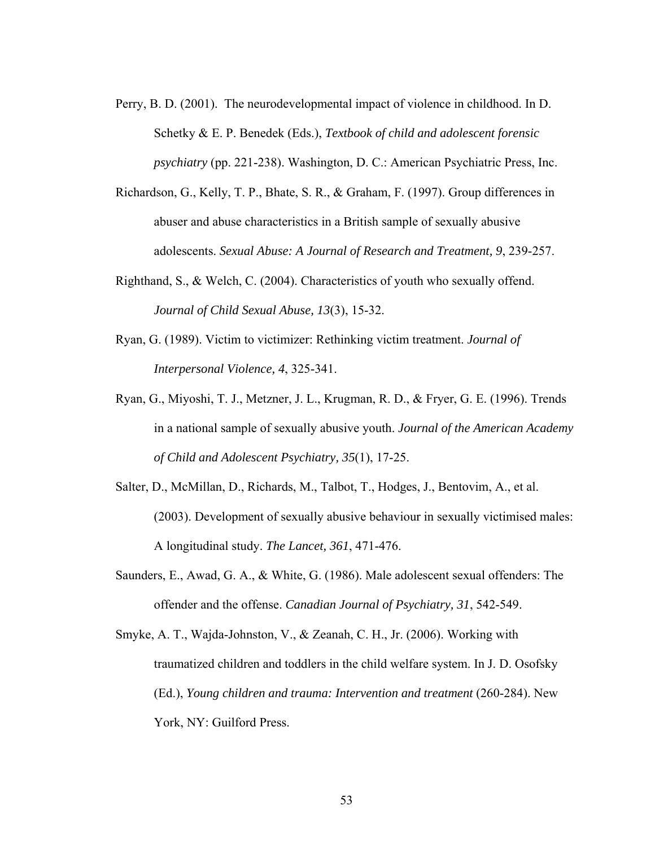- Perry, B. D. (2001). The neurodevelopmental impact of violence in childhood. In D. Schetky & E. P. Benedek (Eds.), *Textbook of child and adolescent forensic psychiatry* (pp. 221-238). Washington, D. C.: American Psychiatric Press, Inc.
- Richardson, G., Kelly, T. P., Bhate, S. R., & Graham, F. (1997). Group differences in abuser and abuse characteristics in a British sample of sexually abusive adolescents. *Sexual Abuse: A Journal of Research and Treatment, 9*, 239-257.
- Righthand, S., & Welch, C. (2004). Characteristics of youth who sexually offend. *Journal of Child Sexual Abuse, 13*(3), 15-32.
- Ryan, G. (1989). Victim to victimizer: Rethinking victim treatment. *Journal of Interpersonal Violence, 4*, 325-341.
- Ryan, G., Miyoshi, T. J., Metzner, J. L., Krugman, R. D., & Fryer, G. E. (1996). Trends in a national sample of sexually abusive youth. *Journal of the American Academy of Child and Adolescent Psychiatry, 35*(1), 17-25.
- Salter, D., McMillan, D., Richards, M., Talbot, T., Hodges, J., Bentovim, A., et al. (2003). Development of sexually abusive behaviour in sexually victimised males: A longitudinal study. *The Lancet, 361*, 471-476.
- Saunders, E., Awad, G. A., & White, G. (1986). Male adolescent sexual offenders: The offender and the offense. *Canadian Journal of Psychiatry, 31*, 542-549.
- Smyke, A. T., Wajda-Johnston, V., & Zeanah, C. H., Jr. (2006). Working with traumatized children and toddlers in the child welfare system. In J. D. Osofsky (Ed.), *Young children and trauma: Intervention and treatment* (260-284). New York, NY: Guilford Press.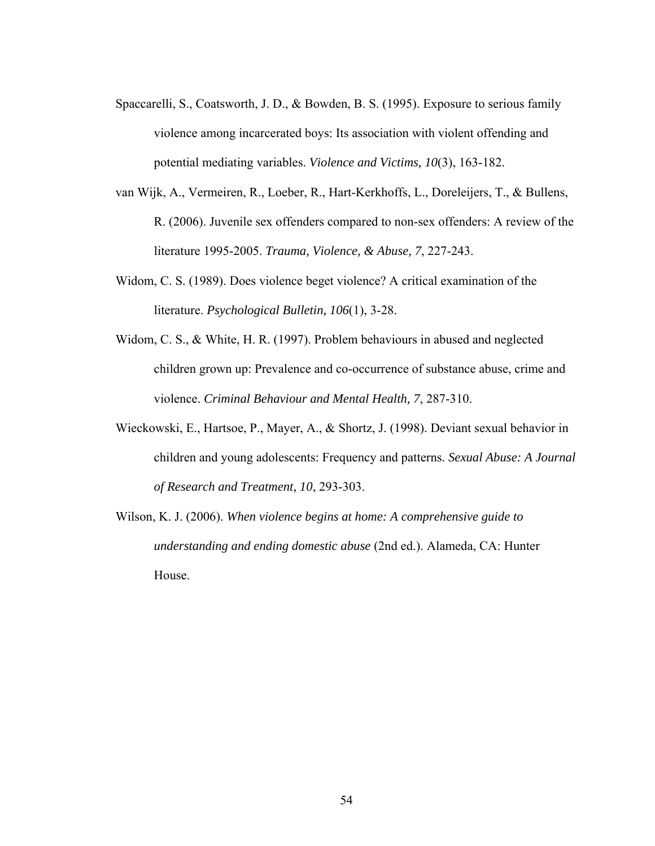- Spaccarelli, S., Coatsworth, J. D., & Bowden, B. S. (1995). Exposure to serious family violence among incarcerated boys: Its association with violent offending and potential mediating variables. *Violence and Victims, 10*(3), 163-182.
- van Wijk, A., Vermeiren, R., Loeber, R., Hart-Kerkhoffs, L., Doreleijers, T., & Bullens, R. (2006). Juvenile sex offenders compared to non-sex offenders: A review of the literature 1995-2005. *Trauma, Violence, & Abuse, 7*, 227-243.
- Widom, C. S. (1989). Does violence beget violence? A critical examination of the literature. *Psychological Bulletin, 106*(1), 3-28.
- Widom, C. S., & White, H. R. (1997). Problem behaviours in abused and neglected children grown up: Prevalence and co-occurrence of substance abuse, crime and violence. *Criminal Behaviour and Mental Health, 7*, 287-310.
- Wieckowski, E., Hartsoe, P., Mayer, A., & Shortz, J. (1998). Deviant sexual behavior in children and young adolescents: Frequency and patterns. *Sexual Abuse: A Journal of Research and Treatment, 10*, 293-303.
- Wilson, K. J. (2006). *When violence begins at home: A comprehensive guide to understanding and ending domestic abuse* (2nd ed.). Alameda, CA: Hunter House.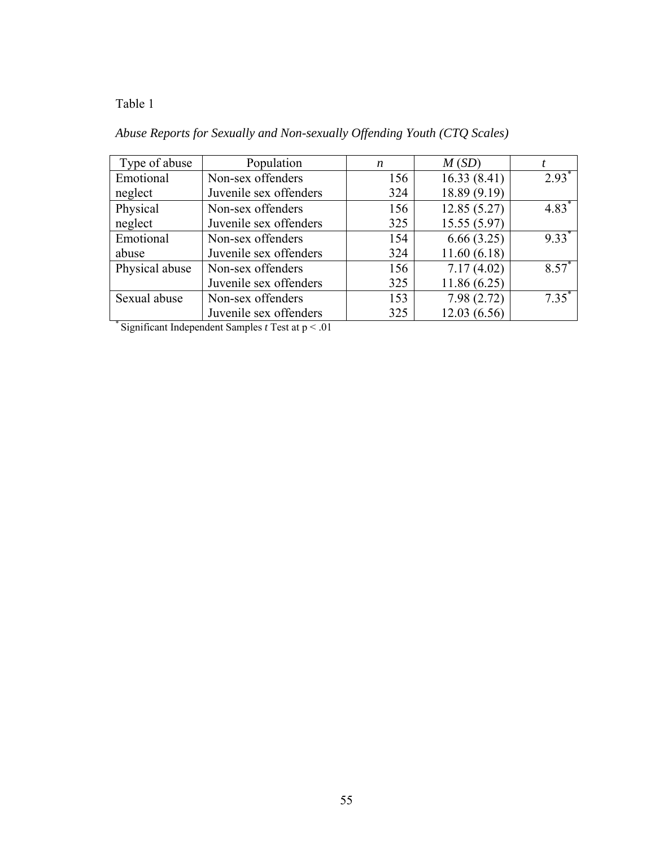| Type of abuse  | Population             | n   | M(SD)        |                     |
|----------------|------------------------|-----|--------------|---------------------|
| Emotional      | Non-sex offenders      | 156 | 16.33(8.41)  | $2.93^*$            |
| neglect        | Juvenile sex offenders | 324 | 18.89 (9.19) |                     |
| Physical       | Non-sex offenders      | 156 | 12.85(5.27)  | $4.83*$             |
| neglect        | Juvenile sex offenders | 325 | 15.55(5.97)  |                     |
| Emotional      | Non-sex offenders      | 154 | 6.66(3.25)   | $9.33$ <sup>*</sup> |
| abuse          | Juvenile sex offenders | 324 | 11.60(6.18)  |                     |
| Physical abuse | Non-sex offenders      | 156 | 7.17(4.02)   | $8.57*$             |
|                | Juvenile sex offenders | 325 | 11.86(6.25)  |                     |
| Sexual abuse   | Non-sex offenders      | 153 | 7.98(2.72)   | $7.35^*$            |
|                | Juvenile sex offenders | 325 | 12.03(6.56)  |                     |

# *Abuse Reports for Sexually and Non-sexually Offending Youth (CTQ Scales)*

\* Significant Independent Samples *t* Test at p < .01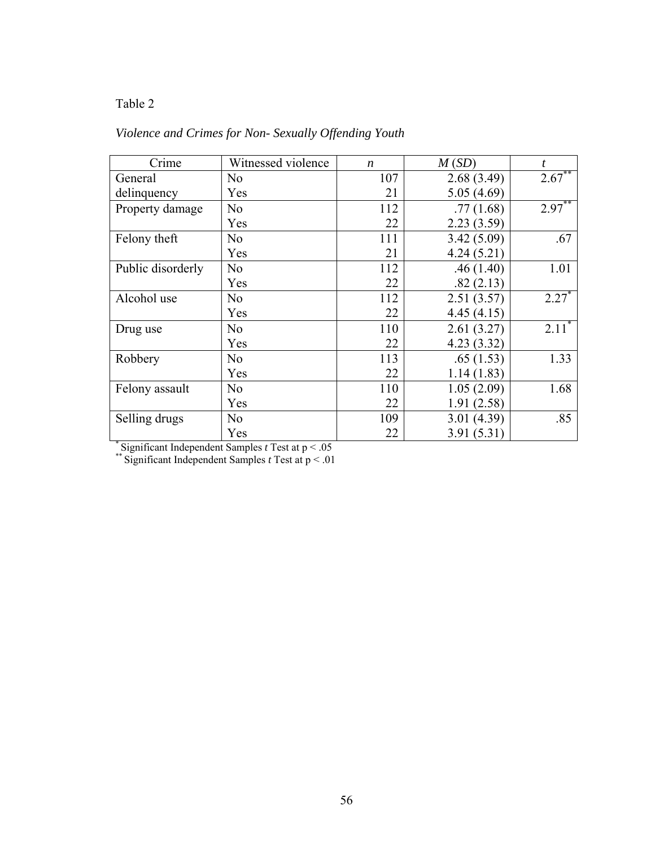## *Violence and Crimes for Non- Sexually Offending Youth*

| Crime             | Witnessed violence | $\boldsymbol{n}$ | M(SD)      | t                   |
|-------------------|--------------------|------------------|------------|---------------------|
| General           | N <sub>0</sub>     | 107              | 2.68(3.49) | $2.67***$           |
| delinquency       | Yes                | 21               | 5.05(4.69) |                     |
| Property damage   | N <sub>0</sub>     | 112              | .77(1.68)  | $2.97^{**}$         |
|                   | Yes                | 22               | 2.23(3.59) |                     |
| Felony theft      | N <sub>0</sub>     | 111              | 3.42(5.09) | .67                 |
|                   | Yes                | 21               | 4.24(5.21) |                     |
| Public disorderly | N <sub>o</sub>     | 112              | .46(1.40)  | 1.01                |
|                   | Yes                | 22               | .82(2.13)  |                     |
| Alcohol use       | N <sub>0</sub>     | 112              | 2.51(3.57) | $2.27$ <sup>*</sup> |
|                   | Yes                | 22               | 4.45(4.15) |                     |
| Drug use          | N <sub>0</sub>     | 110              | 2.61(3.27) | 2.11                |
|                   | Yes                | 22               | 4.23(3.32) |                     |
| Robbery           | N <sub>0</sub>     | 113              | .65(1.53)  | 1.33                |
|                   | Yes                | 22               | 1.14(1.83) |                     |
| Felony assault    | N <sub>0</sub>     | 110              | 1.05(2.09) | 1.68                |
|                   | Yes                | 22               | 1.91(2.58) |                     |
| Selling drugs     | N <sub>0</sub>     | 109              | 3.01(4.39) | .85                 |
|                   | Yes                | 22               | 3.91(5.31) |                     |

\* Significant Independent Samples *t* Test at p < .05 \*\* Significant Independent Samples *t* Test at p < .01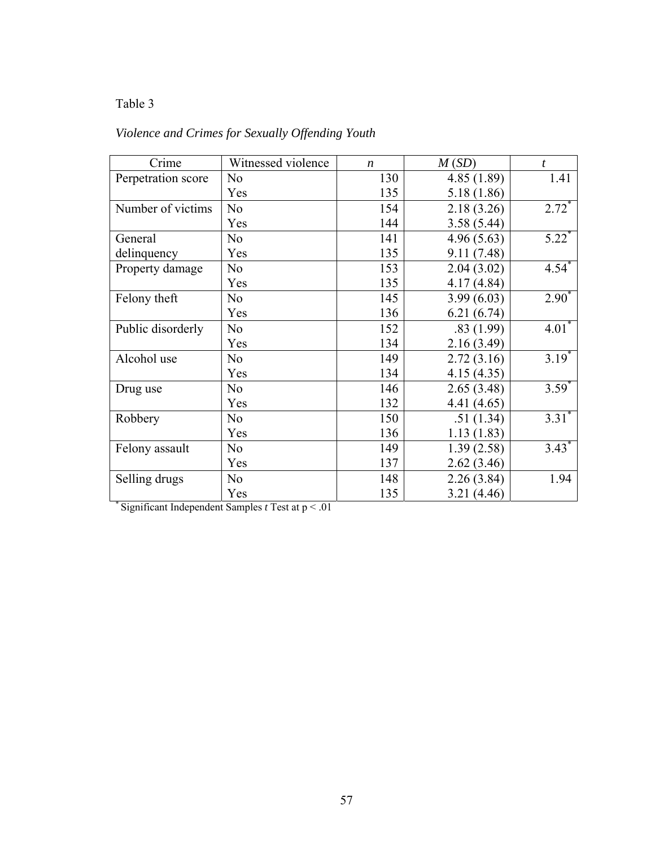# *Violence and Crimes for Sexually Offending Youth*

| Crime              | Witnessed violence | $\boldsymbol{n}$ | M(SD)       | $\mathbf{t}$        |
|--------------------|--------------------|------------------|-------------|---------------------|
| Perpetration score | N <sub>0</sub>     | 130              | 4.85(1.89)  | 1.41                |
|                    | Yes                | 135              | 5.18 (1.86) |                     |
| Number of victims  | N <sub>0</sub>     | 154              | 2.18(3.26)  | $2.72^*$            |
|                    | Yes                | 144              | 3.58(5.44)  |                     |
| General            | N <sub>0</sub>     | 141              | 4.96(5.63)  | $5.22$ <sup>*</sup> |
| delinquency        | Yes                | 135              | 9.11(7.48)  |                     |
| Property damage    | N <sub>0</sub>     | 153              | 2.04(3.02)  | $4.54$ <sup>*</sup> |
|                    | Yes                | 135              | 4.17(4.84)  |                     |
| Felony theft       | N <sub>o</sub>     | 145              | 3.99(6.03)  | $2.90^{*}$          |
|                    | Yes                | 136              | 6.21(6.74)  |                     |
| Public disorderly  | N <sub>0</sub>     | 152              | .83(1.99)   | $4.01*$             |
|                    | Yes                | 134              | 2.16(3.49)  |                     |
| Alcohol use        | N <sub>0</sub>     | 149              | 2.72(3.16)  | $3.19^{*}$          |
|                    | Yes                | 134              | 4.15(4.35)  |                     |
| Drug use           | N <sub>o</sub>     | 146              | 2.65(3.48)  | $3.59*$             |
|                    | Yes                | 132              | 4.41(4.65)  |                     |
| Robbery            | N <sub>0</sub>     | 150              | .51(1.34)   | $3.31$ <sup>*</sup> |
|                    | Yes                | 136              | 1.13(1.83)  |                     |
| Felony assault     | N <sub>0</sub>     | 149              | 1.39(2.58)  | $3.43*$             |
|                    | Yes                | 137              | 2.62(3.46)  |                     |
| Selling drugs      | N <sub>o</sub>     | 148              | 2.26(3.84)  | 1.94                |
|                    | Yes                | 135              | 3.21(4.46)  |                     |

\* Significant Independent Samples *t* Test at p < .01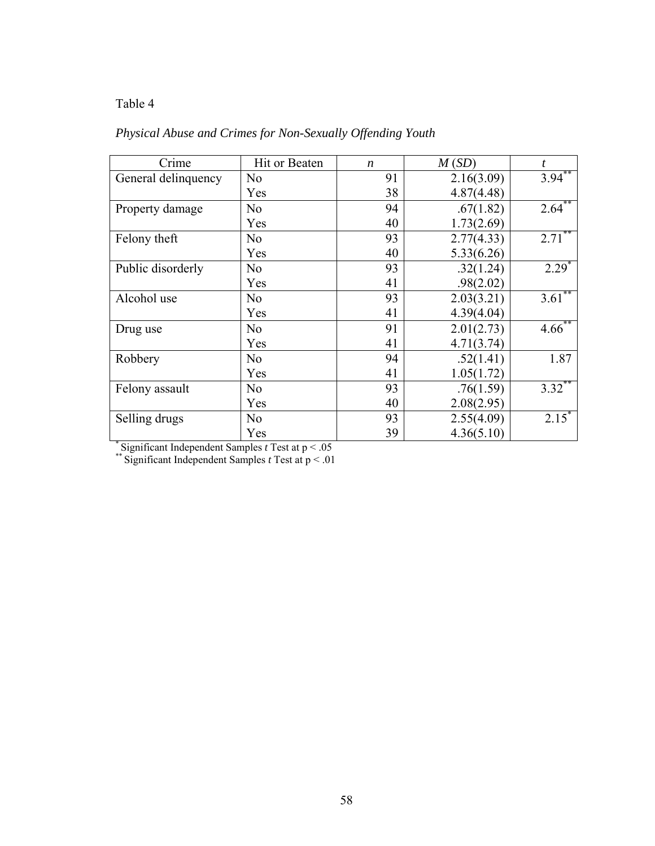## *Physical Abuse and Crimes for Non-Sexually Offending Youth*

| Crime               | Hit or Beaten  | $\boldsymbol{n}$ | M(SD)      | t           |
|---------------------|----------------|------------------|------------|-------------|
| General delinquency | N <sub>o</sub> | 91               | 2.16(3.09) | $3.94***$   |
|                     | Yes            | 38               | 4.87(4.48) |             |
| Property damage     | N <sub>o</sub> | 94               | .67(1.82)  | $2.64^{**}$ |
|                     | Yes            | 40               | 1.73(2.69) |             |
| Felony theft        | N <sub>o</sub> | 93               | 2.77(4.33) | $2.71***$   |
|                     | Yes            | 40               | 5.33(6.26) |             |
| Public disorderly   | No             | 93               | .32(1.24)  | $2.29^*$    |
|                     | Yes            | 41               | .98(2.02)  |             |
| Alcohol use         | N <sub>o</sub> | 93               | 2.03(3.21) | $3.61***$   |
|                     | Yes            | 41               | 4.39(4.04) |             |
| Drug use            | N <sub>o</sub> | 91               | 2.01(2.73) | $4.66^{**}$ |
|                     | Yes            | 41               | 4.71(3.74) |             |
| Robbery             | N <sub>o</sub> | 94               | .52(1.41)  | 1.87        |
|                     | Yes            | 41               | 1.05(1.72) |             |
| Felony assault      | N <sub>o</sub> | 93               | .76(1.59)  | $3.32^{**}$ |
|                     | Yes            | 40               | 2.08(2.95) |             |
| Selling drugs       | N <sub>o</sub> | 93               | 2.55(4.09) | $2.15^*$    |
|                     | Yes            | 39               | 4.36(5.10) |             |

\* Significant Independent Samples *t* Test at p < .05 \*\* Significant Independent Samples *t* Test at p < .01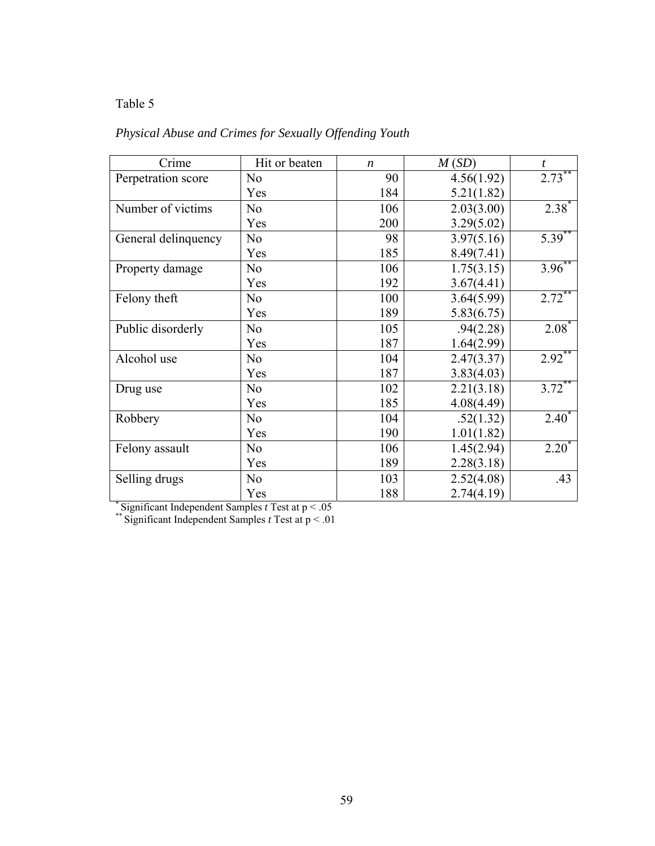# *Physical Abuse and Crimes for Sexually Offending Youth*

| Crime               | Hit or beaten  | $\boldsymbol{n}$ | M(SD)      | $\boldsymbol{t}$ |
|---------------------|----------------|------------------|------------|------------------|
| Perpetration score  | N <sub>0</sub> | 90               | 4.56(1.92) | $2.73***$        |
|                     | Yes            | 184              | 5.21(1.82) |                  |
| Number of victims   | N <sub>o</sub> | 106              | 2.03(3.00) | $2.38^*$         |
|                     | Yes            | 200              | 3.29(5.02) |                  |
| General delinquency | N <sub>0</sub> | 98               | 3.97(5.16) | $5.39***$        |
|                     | Yes            | 185              | 8.49(7.41) |                  |
| Property damage     | N <sub>o</sub> | 106              | 1.75(3.15) | $3.96^{**}$      |
|                     | Yes            | 192              | 3.67(4.41) |                  |
| Felony theft        | N <sub>o</sub> | 100              | 3.64(5.99) | $2.72***$        |
|                     | Yes            | 189              | 5.83(6.75) |                  |
| Public disorderly   | N <sub>o</sub> | 105              | .94(2.28)  | $2.08*$          |
|                     | Yes            | 187              | 1.64(2.99) |                  |
| Alcohol use         | No             | 104              | 2.47(3.37) | $2.92**$         |
|                     | Yes            | 187              | 3.83(4.03) |                  |
| Drug use            | N <sub>0</sub> | 102              | 2.21(3.18) | $3.72***$        |
|                     | Yes            | 185              | 4.08(4.49) |                  |
| Robbery             | N <sub>o</sub> | 104              | .52(1.32)  | $2.40^*$         |
|                     | Yes            | 190              | 1.01(1.82) |                  |
| Felony assault      | N <sub>o</sub> | 106              | 1.45(2.94) | $2.20^{*}$       |
|                     | Yes            | 189              | 2.28(3.18) |                  |
| Selling drugs       | N <sub>o</sub> | 103              | 2.52(4.08) | .43              |
|                     | Yes            | 188              | 2.74(4.19) |                  |

\* Significant Independent Samples *t* Test at p < .05 \*\* Significant Independent Samples *t* Test at p < .01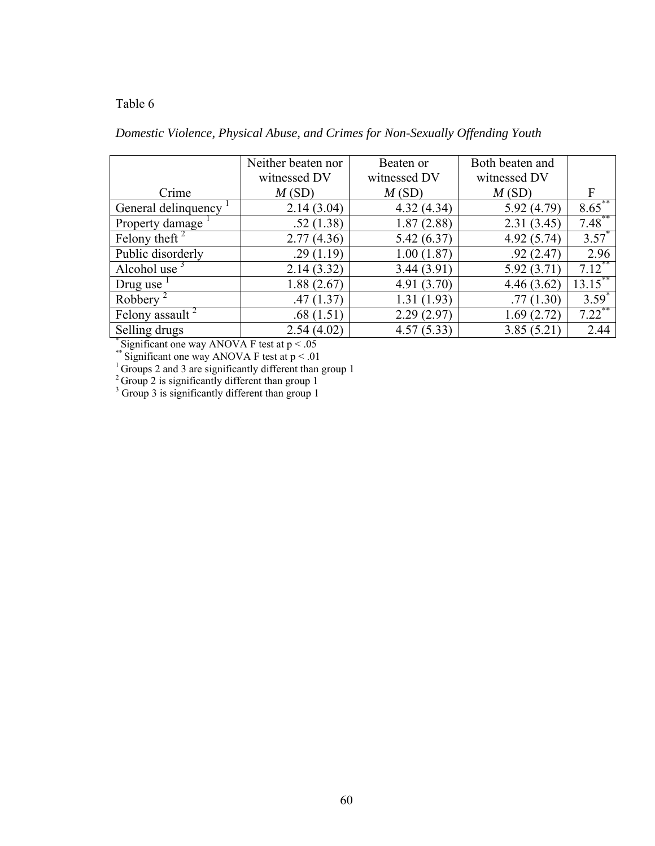|                           | Neither beaten nor | Beaten or    | Both beaten and |            |
|---------------------------|--------------------|--------------|-----------------|------------|
|                           | witnessed DV       | witnessed DV | witnessed DV    |            |
| Crime                     | M(SD)              | M(SD)        | M(SD)           | F          |
| General delinquency       | 2.14(3.04)         | 4.32(4.34)   | 5.92(4.79)      | $8.65$ **  |
| Property damage           | .52(1.38)          | 1.87(2.88)   | 2.31(3.45)      | $7.48$ **  |
| Felony theft <sup>2</sup> | 2.77(4.36)         | 5.42(6.37)   | 4.92(5.74)      | $3.57^*$   |
| Public disorderly         | .29(1.19)          | 1.00(1.87)   | .92(2.47)       | 2.96       |
| Alcohol use $\beta$       | 2.14(3.32)         | 3.44(3.91)   | 5.92(3.71)      | $7.12$ **  |
| Drug use                  | 1.88(2.67)         | 4.91(3.70)   | 4.46(3.62)      | $13.15***$ |
| Robbery <sup>2</sup>      | .47(1.37)          | 1.31(1.93)   | .77(1.30)       | $3.59*$    |
| Felony assault $2$        | .68(1.51)          | 2.29(2.97)   | 1.69(2.72)      | $7.22$ **  |
| Selling drugs             | 2.54(4.02)         | 4.57(5.33)   | 3.85(5.21)      | 2.44       |

\* Significant one way ANOVA F test at  $p < .05$ 

<sup>\*\*</sup> Significant one way ANOVA F test at  $p < .01$ <br><sup>1</sup> Groups 2 and 3 are significantly different than group 1

<sup>2</sup> Group 2 is significantly different than group 1<sup>3</sup> Group 3 is significantly different than group 1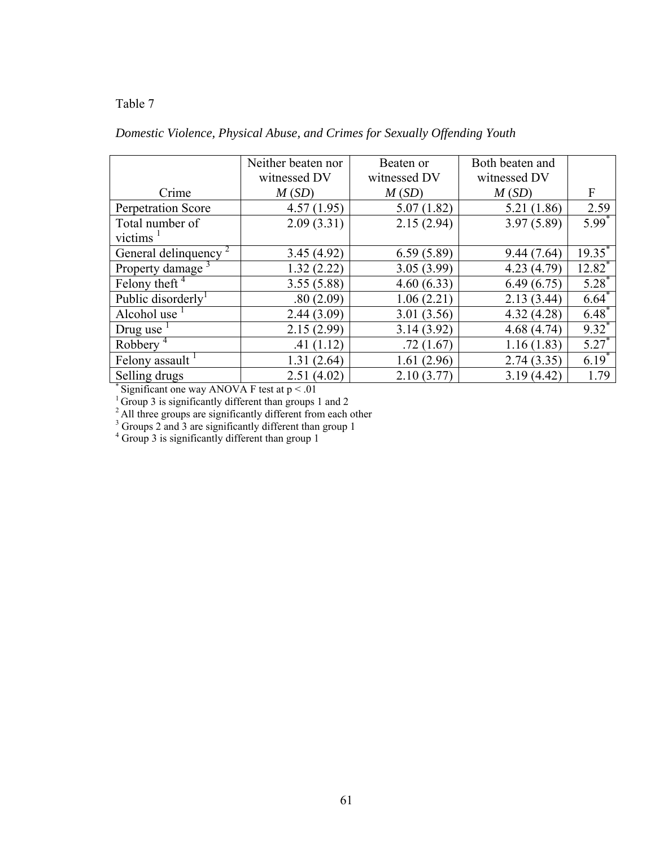| Domestic Violence, Physical Abuse, and Crimes for Sexually Offending Youth |  |
|----------------------------------------------------------------------------|--|
|----------------------------------------------------------------------------|--|

|                              | Neither beaten nor | Beaten or    | Both beaten and |              |
|------------------------------|--------------------|--------------|-----------------|--------------|
|                              | witnessed DV       | witnessed DV | witnessed DV    |              |
| Crime                        | M(SD)              | M(SD)        | M(SD)           | $\mathbf{F}$ |
| Perpetration Score           | 4.57(1.95)         | 5.07(1.82)   | 5.21 (1.86)     | 2.59         |
| Total number of              | 2.09(3.31)         | 2.15(2.94)   | 3.97(5.89)      | $5.99*$      |
| victims                      |                    |              |                 |              |
| General delinquency          | 3.45(4.92)         | 6.59(5.89)   | 9.44(7.64)      | $19.35^{*}$  |
| Property damage <sup>3</sup> | 1.32(2.22)         | 3.05(3.99)   | 4.23(4.79)      | $12.82^*$    |
| Felony theft $\overline{4}$  | 3.55(5.88)         | 4.60(6.33)   | 6.49(6.75)      | $5.28^*$     |
| Public disorderly            | .80(2.09)          | 1.06(2.21)   | 2.13(3.44)      | $6.64*$      |
| Alcohol use                  | 2.44(3.09)         | 3.01(3.56)   | 4.32(4.28)      | $6.48^*$     |
| Drug use                     | 2.15(2.99)         | 3.14(3.92)   | 4.68(4.74)      | $9.32^*$     |
| Robbery <sup>4</sup>         | .41(1.12)          | .72(1.67)    | 1.16(1.83)      | $5.27*$      |
| Felony assault <sup>1</sup>  | 1.31(2.64)         | 1.61(2.96)   | 2.74(3.35)      | $6.19*$      |
| Selling drugs                | 2.51(4.02)         | 2.10(3.77)   | 3.19(4.42)      | 1.79         |

\* Significant one way ANOVA F test at  $p < .01$ 

 $1$ <sup>1</sup> Group 3 is significantly different than groups 1 and 2

<sup>2</sup> All three groups are significantly different from each other <sup>3</sup> Groups 2 and 3 are significantly different than group 1  $^4$  Group 3 is significantly different than group 1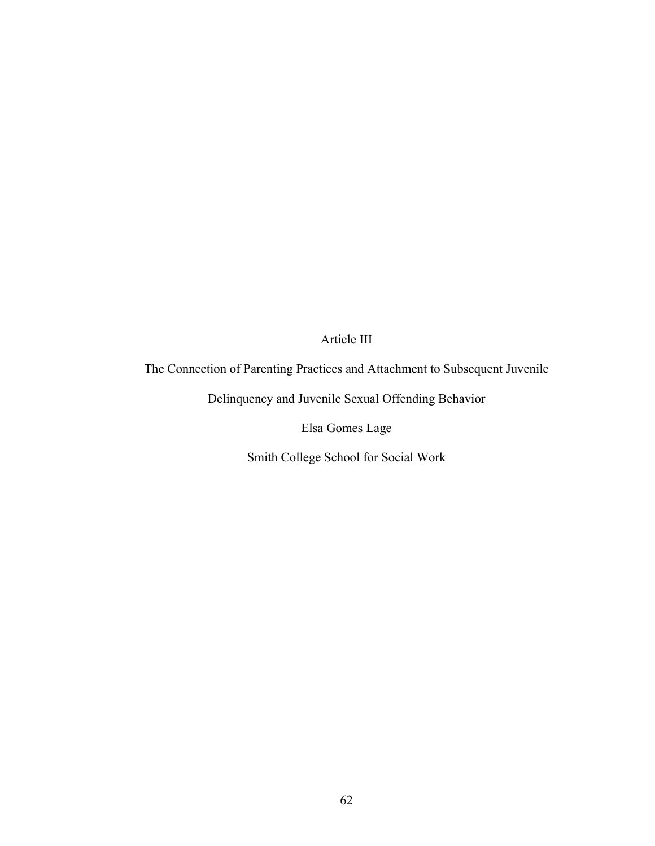## Article III

## The Connection of Parenting Practices and Attachment to Subsequent Juvenile

Delinquency and Juvenile Sexual Offending Behavior

Elsa Gomes Lage

Smith College School for Social Work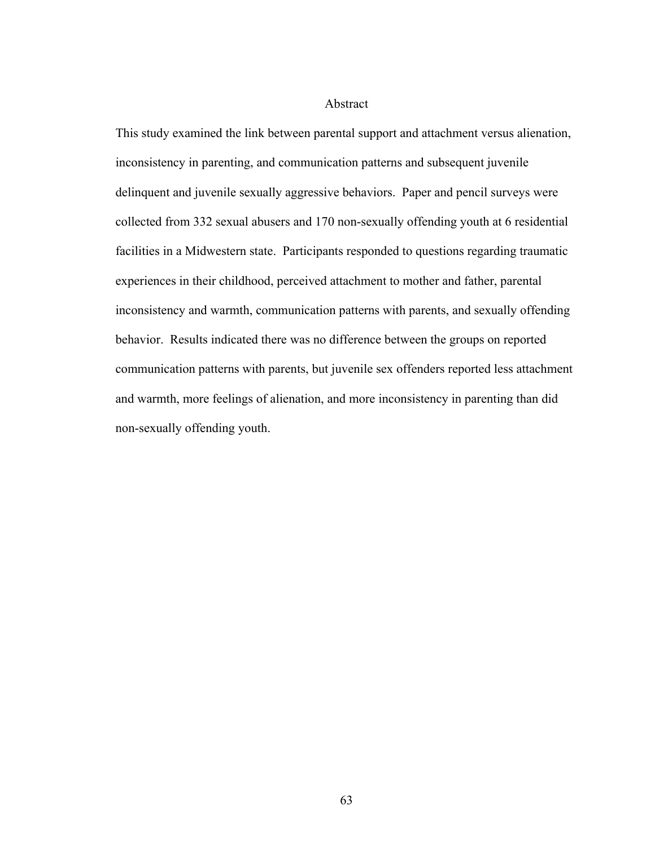### Abstract

This study examined the link between parental support and attachment versus alienation, inconsistency in parenting, and communication patterns and subsequent juvenile delinquent and juvenile sexually aggressive behaviors. Paper and pencil surveys were collected from 332 sexual abusers and 170 non-sexually offending youth at 6 residential facilities in a Midwestern state. Participants responded to questions regarding traumatic experiences in their childhood, perceived attachment to mother and father, parental inconsistency and warmth, communication patterns with parents, and sexually offending behavior. Results indicated there was no difference between the groups on reported communication patterns with parents, but juvenile sex offenders reported less attachment and warmth, more feelings of alienation, and more inconsistency in parenting than did non-sexually offending youth.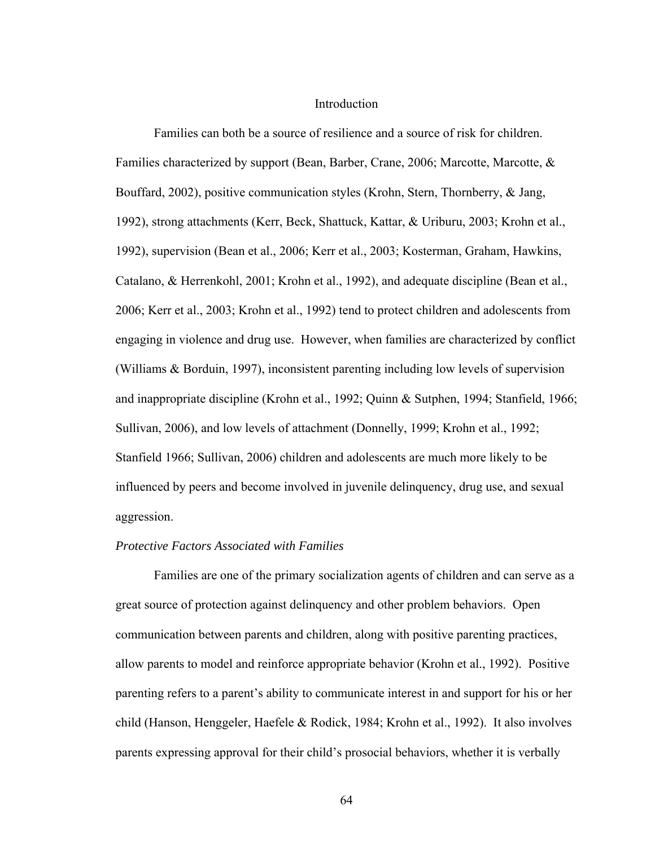#### Introduction

 Families can both be a source of resilience and a source of risk for children. Families characterized by support (Bean, Barber, Crane, 2006; Marcotte, Marcotte, & Bouffard, 2002), positive communication styles (Krohn, Stern, Thornberry, & Jang, 1992), strong attachments (Kerr, Beck, Shattuck, Kattar, & Uriburu, 2003; Krohn et al., 1992), supervision (Bean et al., 2006; Kerr et al., 2003; Kosterman, Graham, Hawkins, Catalano, & Herrenkohl, 2001; Krohn et al., 1992), and adequate discipline (Bean et al., 2006; Kerr et al., 2003; Krohn et al., 1992) tend to protect children and adolescents from engaging in violence and drug use. However, when families are characterized by conflict (Williams & Borduin, 1997), inconsistent parenting including low levels of supervision and inappropriate discipline (Krohn et al., 1992; Quinn & Sutphen, 1994; Stanfield, 1966; Sullivan, 2006), and low levels of attachment (Donnelly, 1999; Krohn et al., 1992; Stanfield 1966; Sullivan, 2006) children and adolescents are much more likely to be influenced by peers and become involved in juvenile delinquency, drug use, and sexual aggression.

### *Protective Factors Associated with Families*

 Families are one of the primary socialization agents of children and can serve as a great source of protection against delinquency and other problem behaviors. Open communication between parents and children, along with positive parenting practices, allow parents to model and reinforce appropriate behavior (Krohn et al., 1992). Positive parenting refers to a parent's ability to communicate interest in and support for his or her child (Hanson, Henggeler, Haefele & Rodick, 1984; Krohn et al., 1992). It also involves parents expressing approval for their child's prosocial behaviors, whether it is verbally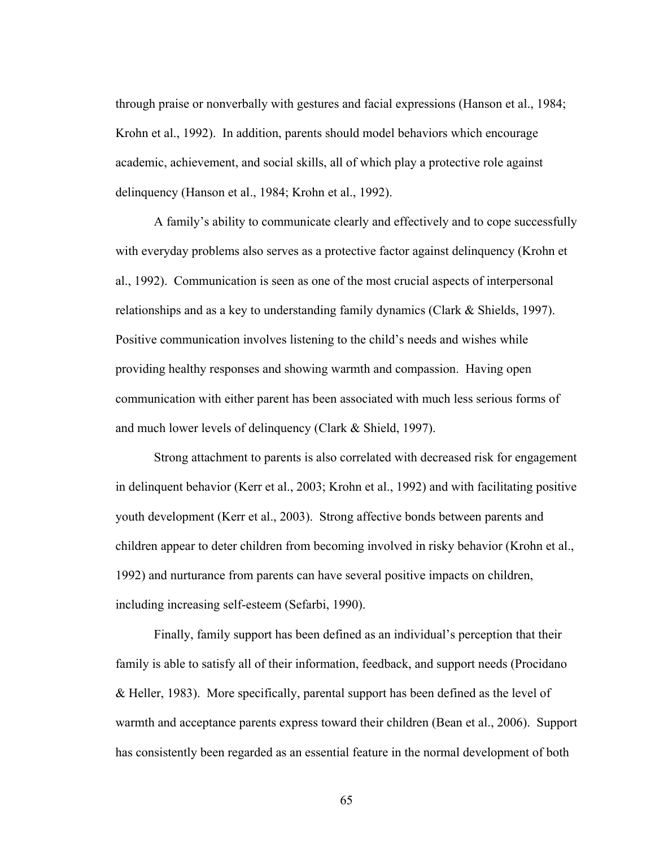through praise or nonverbally with gestures and facial expressions (Hanson et al., 1984; Krohn et al., 1992). In addition, parents should model behaviors which encourage academic, achievement, and social skills, all of which play a protective role against delinquency (Hanson et al., 1984; Krohn et al., 1992).

 A family's ability to communicate clearly and effectively and to cope successfully with everyday problems also serves as a protective factor against delinquency (Krohn et al., 1992). Communication is seen as one of the most crucial aspects of interpersonal relationships and as a key to understanding family dynamics (Clark & Shields, 1997). Positive communication involves listening to the child's needs and wishes while providing healthy responses and showing warmth and compassion. Having open communication with either parent has been associated with much less serious forms of and much lower levels of delinquency (Clark & Shield, 1997).

Strong attachment to parents is also correlated with decreased risk for engagement in delinquent behavior (Kerr et al., 2003; Krohn et al., 1992) and with facilitating positive youth development (Kerr et al., 2003). Strong affective bonds between parents and children appear to deter children from becoming involved in risky behavior (Krohn et al., 1992) and nurturance from parents can have several positive impacts on children, including increasing self-esteem (Sefarbi, 1990).

Finally, family support has been defined as an individual's perception that their family is able to satisfy all of their information, feedback, and support needs (Procidano & Heller, 1983). More specifically, parental support has been defined as the level of warmth and acceptance parents express toward their children (Bean et al., 2006). Support has consistently been regarded as an essential feature in the normal development of both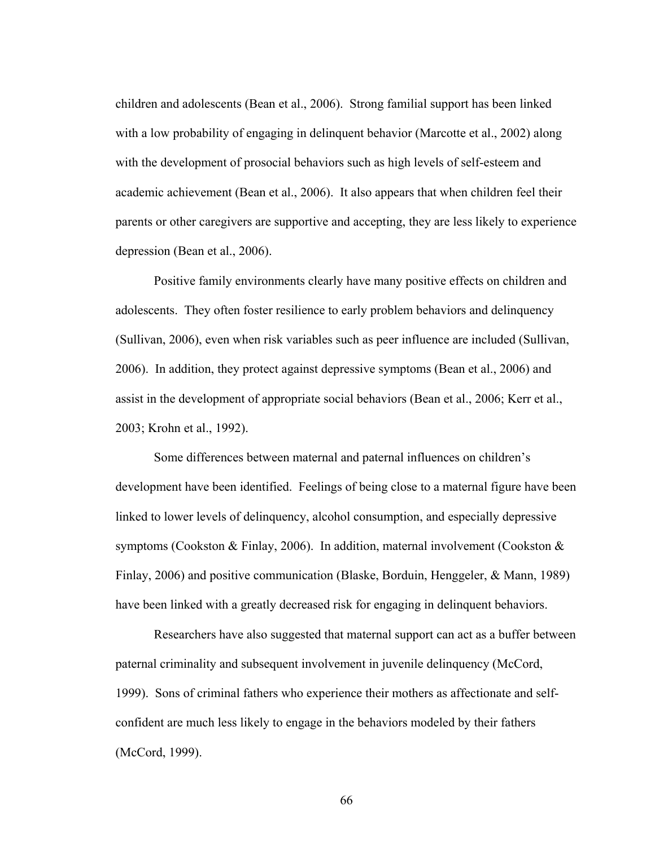children and adolescents (Bean et al., 2006). Strong familial support has been linked with a low probability of engaging in delinquent behavior (Marcotte et al., 2002) along with the development of prosocial behaviors such as high levels of self-esteem and academic achievement (Bean et al., 2006). It also appears that when children feel their parents or other caregivers are supportive and accepting, they are less likely to experience depression (Bean et al., 2006).

Positive family environments clearly have many positive effects on children and adolescents. They often foster resilience to early problem behaviors and delinquency (Sullivan, 2006), even when risk variables such as peer influence are included (Sullivan, 2006). In addition, they protect against depressive symptoms (Bean et al., 2006) and assist in the development of appropriate social behaviors (Bean et al., 2006; Kerr et al., 2003; Krohn et al., 1992).

Some differences between maternal and paternal influences on children's development have been identified. Feelings of being close to a maternal figure have been linked to lower levels of delinquency, alcohol consumption, and especially depressive symptoms (Cookston & Finlay, 2006). In addition, maternal involvement (Cookston & Finlay, 2006) and positive communication (Blaske, Borduin, Henggeler, & Mann, 1989) have been linked with a greatly decreased risk for engaging in delinquent behaviors.

Researchers have also suggested that maternal support can act as a buffer between paternal criminality and subsequent involvement in juvenile delinquency (McCord, 1999). Sons of criminal fathers who experience their mothers as affectionate and selfconfident are much less likely to engage in the behaviors modeled by their fathers (McCord, 1999).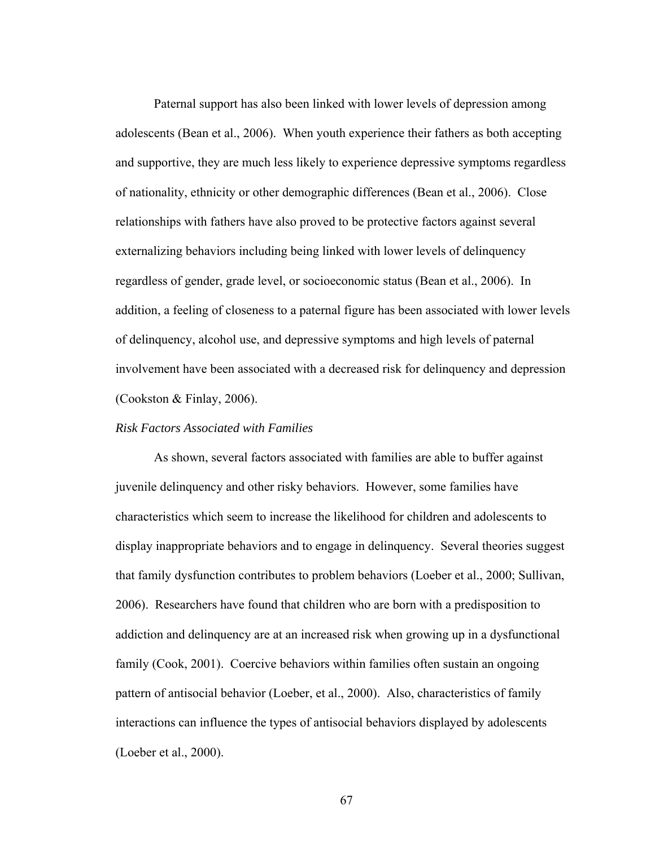Paternal support has also been linked with lower levels of depression among adolescents (Bean et al., 2006). When youth experience their fathers as both accepting and supportive, they are much less likely to experience depressive symptoms regardless of nationality, ethnicity or other demographic differences (Bean et al., 2006). Close relationships with fathers have also proved to be protective factors against several externalizing behaviors including being linked with lower levels of delinquency regardless of gender, grade level, or socioeconomic status (Bean et al., 2006). In addition, a feeling of closeness to a paternal figure has been associated with lower levels of delinquency, alcohol use, and depressive symptoms and high levels of paternal involvement have been associated with a decreased risk for delinquency and depression (Cookston & Finlay, 2006).

#### *Risk Factors Associated with Families*

 As shown, several factors associated with families are able to buffer against juvenile delinquency and other risky behaviors. However, some families have characteristics which seem to increase the likelihood for children and adolescents to display inappropriate behaviors and to engage in delinquency. Several theories suggest that family dysfunction contributes to problem behaviors (Loeber et al., 2000; Sullivan, 2006). Researchers have found that children who are born with a predisposition to addiction and delinquency are at an increased risk when growing up in a dysfunctional family (Cook, 2001). Coercive behaviors within families often sustain an ongoing pattern of antisocial behavior (Loeber, et al., 2000). Also, characteristics of family interactions can influence the types of antisocial behaviors displayed by adolescents (Loeber et al., 2000).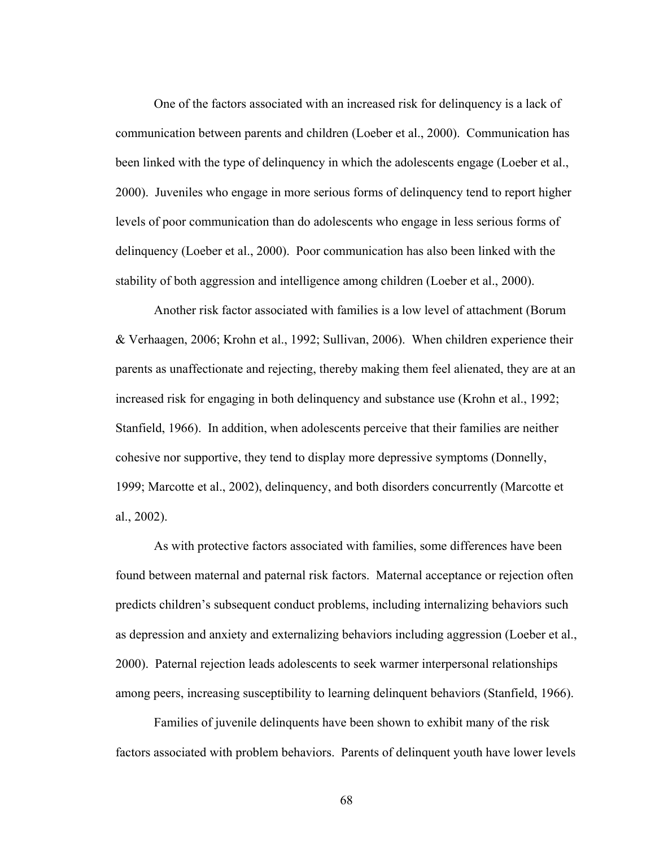One of the factors associated with an increased risk for delinquency is a lack of communication between parents and children (Loeber et al., 2000). Communication has been linked with the type of delinquency in which the adolescents engage (Loeber et al., 2000). Juveniles who engage in more serious forms of delinquency tend to report higher levels of poor communication than do adolescents who engage in less serious forms of delinquency (Loeber et al., 2000). Poor communication has also been linked with the stability of both aggression and intelligence among children (Loeber et al., 2000).

Another risk factor associated with families is a low level of attachment (Borum & Verhaagen, 2006; Krohn et al., 1992; Sullivan, 2006). When children experience their parents as unaffectionate and rejecting, thereby making them feel alienated, they are at an increased risk for engaging in both delinquency and substance use (Krohn et al., 1992; Stanfield, 1966). In addition, when adolescents perceive that their families are neither cohesive nor supportive, they tend to display more depressive symptoms (Donnelly, 1999; Marcotte et al., 2002), delinquency, and both disorders concurrently (Marcotte et al., 2002).

As with protective factors associated with families, some differences have been found between maternal and paternal risk factors. Maternal acceptance or rejection often predicts children's subsequent conduct problems, including internalizing behaviors such as depression and anxiety and externalizing behaviors including aggression (Loeber et al., 2000). Paternal rejection leads adolescents to seek warmer interpersonal relationships among peers, increasing susceptibility to learning delinquent behaviors (Stanfield, 1966).

Families of juvenile delinquents have been shown to exhibit many of the risk factors associated with problem behaviors. Parents of delinquent youth have lower levels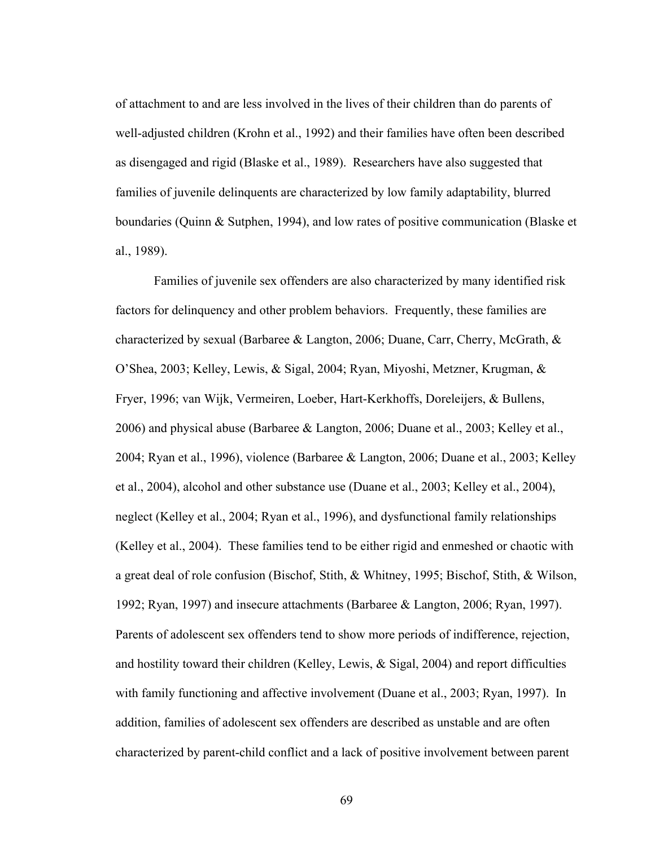of attachment to and are less involved in the lives of their children than do parents of well-adjusted children (Krohn et al., 1992) and their families have often been described as disengaged and rigid (Blaske et al., 1989). Researchers have also suggested that families of juvenile delinquents are characterized by low family adaptability, blurred boundaries (Quinn & Sutphen, 1994), and low rates of positive communication (Blaske et al., 1989).

 Families of juvenile sex offenders are also characterized by many identified risk factors for delinquency and other problem behaviors. Frequently, these families are characterized by sexual (Barbaree & Langton, 2006; Duane, Carr, Cherry, McGrath,  $\&$ O'Shea, 2003; Kelley, Lewis, & Sigal, 2004; Ryan, Miyoshi, Metzner, Krugman, & Fryer, 1996; van Wijk, Vermeiren, Loeber, Hart-Kerkhoffs, Doreleijers, & Bullens, 2006) and physical abuse (Barbaree & Langton, 2006; Duane et al., 2003; Kelley et al., 2004; Ryan et al., 1996), violence (Barbaree & Langton, 2006; Duane et al., 2003; Kelley et al., 2004), alcohol and other substance use (Duane et al., 2003; Kelley et al., 2004), neglect (Kelley et al., 2004; Ryan et al., 1996), and dysfunctional family relationships (Kelley et al., 2004). These families tend to be either rigid and enmeshed or chaotic with a great deal of role confusion (Bischof, Stith, & Whitney, 1995; Bischof, Stith, & Wilson, 1992; Ryan, 1997) and insecure attachments (Barbaree & Langton, 2006; Ryan, 1997). Parents of adolescent sex offenders tend to show more periods of indifference, rejection, and hostility toward their children (Kelley, Lewis, & Sigal, 2004) and report difficulties with family functioning and affective involvement (Duane et al., 2003; Ryan, 1997). In addition, families of adolescent sex offenders are described as unstable and are often characterized by parent-child conflict and a lack of positive involvement between parent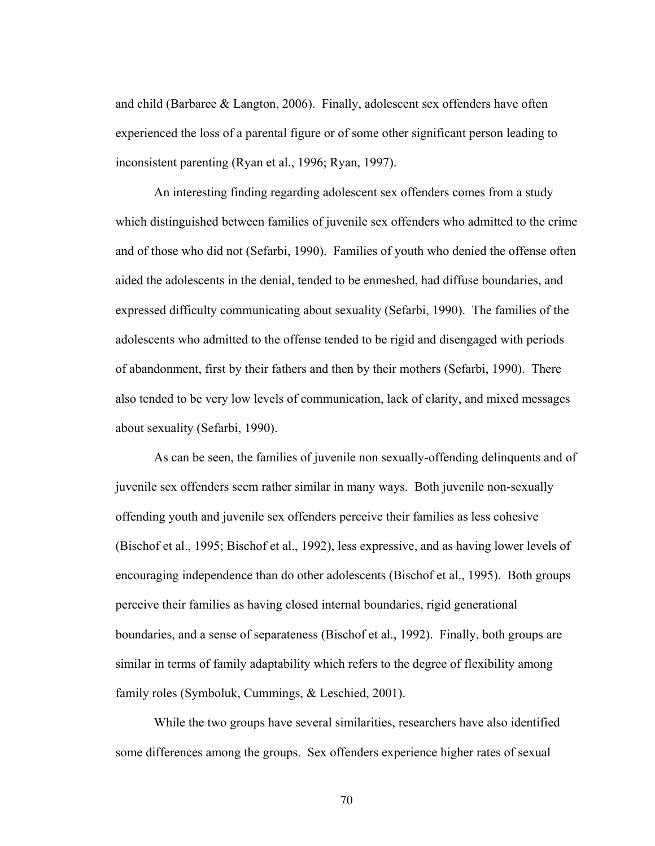and child (Barbaree & Langton, 2006). Finally, adolescent sex offenders have often experienced the loss of a parental figure or of some other significant person leading to inconsistent parenting (Ryan et al., 1996; Ryan, 1997).

 An interesting finding regarding adolescent sex offenders comes from a study which distinguished between families of juvenile sex offenders who admitted to the crime and of those who did not (Sefarbi, 1990). Families of youth who denied the offense often aided the adolescents in the denial, tended to be enmeshed, had diffuse boundaries, and expressed difficulty communicating about sexuality (Sefarbi, 1990). The families of the adolescents who admitted to the offense tended to be rigid and disengaged with periods of abandonment, first by their fathers and then by their mothers (Sefarbi, 1990). There also tended to be very low levels of communication, lack of clarity, and mixed messages about sexuality (Sefarbi, 1990).

 As can be seen, the families of juvenile non sexually-offending delinquents and of juvenile sex offenders seem rather similar in many ways. Both juvenile non-sexually offending youth and juvenile sex offenders perceive their families as less cohesive (Bischof et al., 1995; Bischof et al., 1992), less expressive, and as having lower levels of encouraging independence than do other adolescents (Bischof et al., 1995). Both groups perceive their families as having closed internal boundaries, rigid generational boundaries, and a sense of separateness (Bischof et al., 1992). Finally, both groups are similar in terms of family adaptability which refers to the degree of flexibility among family roles (Symboluk, Cummings, & Leschied, 2001).

 While the two groups have several similarities, researchers have also identified some differences among the groups. Sex offenders experience higher rates of sexual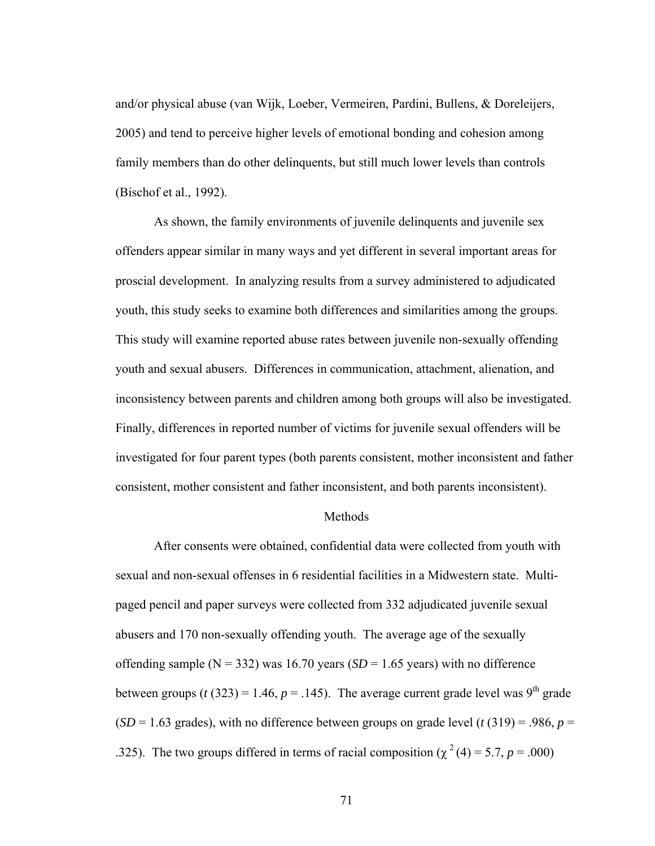and/or physical abuse (van Wijk, Loeber, Vermeiren, Pardini, Bullens, & Doreleijers, 2005) and tend to perceive higher levels of emotional bonding and cohesion among family members than do other delinquents, but still much lower levels than controls (Bischof et al., 1992).

 As shown, the family environments of juvenile delinquents and juvenile sex offenders appear similar in many ways and yet different in several important areas for proscial development. In analyzing results from a survey administered to adjudicated youth, this study seeks to examine both differences and similarities among the groups. This study will examine reported abuse rates between juvenile non-sexually offending youth and sexual abusers. Differences in communication, attachment, alienation, and inconsistency between parents and children among both groups will also be investigated. Finally, differences in reported number of victims for juvenile sexual offenders will be investigated for four parent types (both parents consistent, mother inconsistent and father consistent, mother consistent and father inconsistent, and both parents inconsistent).

#### Methods

After consents were obtained, confidential data were collected from youth with sexual and non-sexual offenses in 6 residential facilities in a Midwestern state. Multipaged pencil and paper surveys were collected from 332 adjudicated juvenile sexual abusers and 170 non-sexually offending youth. The average age of the sexually offending sample ( $N = 332$ ) was 16.70 years ( $SD = 1.65$  years) with no difference between groups ( $t$  (323) = 1.46,  $p = .145$ ). The average current grade level was 9<sup>th</sup> grade  $(SD = 1.63$  grades), with no difference between groups on grade level (*t* (319) = .986, *p* = .325). The two groups differed in terms of racial composition ( $\chi^2$  (4) = 5.7, *p* = .000)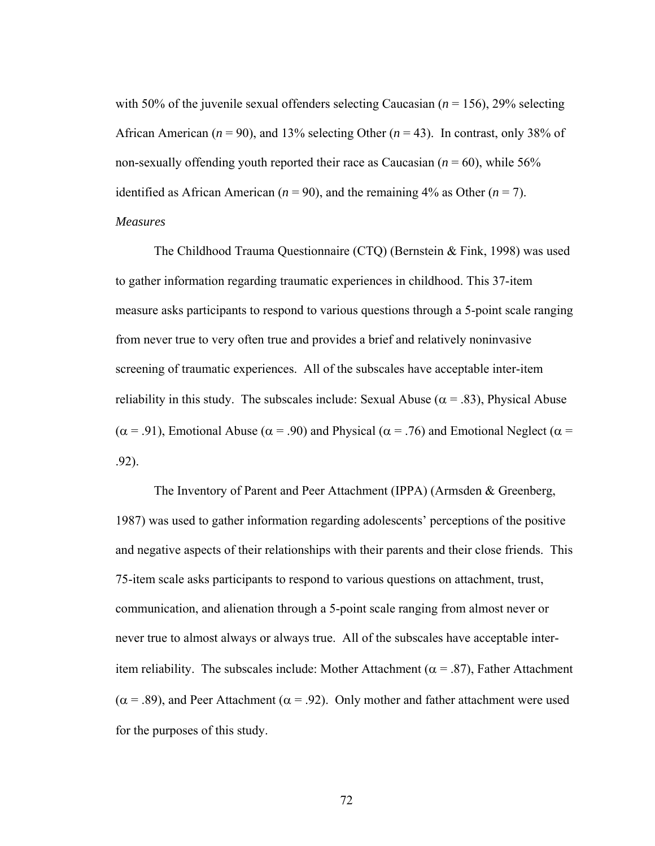with 50% of the juvenile sexual offenders selecting Caucasian  $(n = 156)$ , 29% selecting African American ( $n = 90$ ), and 13% selecting Other ( $n = 43$ ). In contrast, only 38% of non-sexually offending youth reported their race as Caucasian  $(n = 60)$ , while 56% identified as African American ( $n = 90$ ), and the remaining 4% as Other ( $n = 7$ ). *Measures*

The Childhood Trauma Questionnaire (CTQ) (Bernstein & Fink, 1998) was used to gather information regarding traumatic experiences in childhood. This 37-item measure asks participants to respond to various questions through a 5-point scale ranging from never true to very often true and provides a brief and relatively noninvasive screening of traumatic experiences. All of the subscales have acceptable inter-item reliability in this study. The subscales include: Sexual Abuse ( $\alpha$  = .83), Physical Abuse ( $\alpha$  = .91), Emotional Abuse ( $\alpha$  = .90) and Physical ( $\alpha$  = .76) and Emotional Neglect ( $\alpha$  = .92).

 The Inventory of Parent and Peer Attachment (IPPA) (Armsden & Greenberg, 1987) was used to gather information regarding adolescents' perceptions of the positive and negative aspects of their relationships with their parents and their close friends. This 75-item scale asks participants to respond to various questions on attachment, trust, communication, and alienation through a 5-point scale ranging from almost never or never true to almost always or always true. All of the subscales have acceptable interitem reliability. The subscales include: Mother Attachment ( $\alpha$  = .87), Father Attachment ( $\alpha$  = .89), and Peer Attachment ( $\alpha$  = .92). Only mother and father attachment were used for the purposes of this study.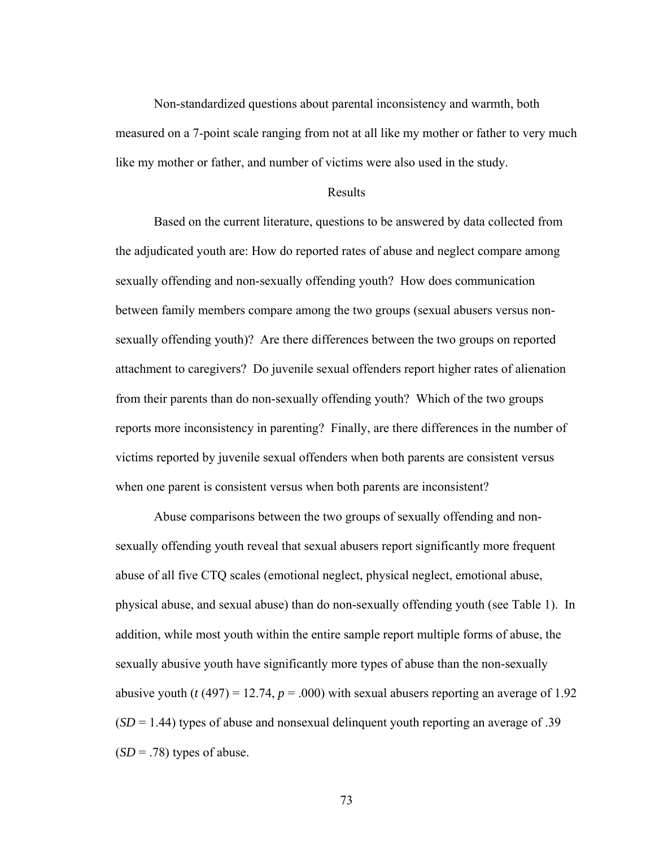Non-standardized questions about parental inconsistency and warmth, both measured on a 7-point scale ranging from not at all like my mother or father to very much like my mother or father, and number of victims were also used in the study.

#### Results

Based on the current literature, questions to be answered by data collected from the adjudicated youth are: How do reported rates of abuse and neglect compare among sexually offending and non-sexually offending youth? How does communication between family members compare among the two groups (sexual abusers versus nonsexually offending youth)? Are there differences between the two groups on reported attachment to caregivers? Do juvenile sexual offenders report higher rates of alienation from their parents than do non-sexually offending youth? Which of the two groups reports more inconsistency in parenting? Finally, are there differences in the number of victims reported by juvenile sexual offenders when both parents are consistent versus when one parent is consistent versus when both parents are inconsistent?

Abuse comparisons between the two groups of sexually offending and nonsexually offending youth reveal that sexual abusers report significantly more frequent abuse of all five CTQ scales (emotional neglect, physical neglect, emotional abuse, physical abuse, and sexual abuse) than do non-sexually offending youth (see Table 1). In addition, while most youth within the entire sample report multiple forms of abuse, the sexually abusive youth have significantly more types of abuse than the non-sexually abusive youth ( $t(497) = 12.74$ ,  $p = .000$ ) with sexual abusers reporting an average of 1.92  $(SD = 1.44)$  types of abuse and nonsexual delinguent youth reporting an average of .39  $(SD = .78)$  types of abuse.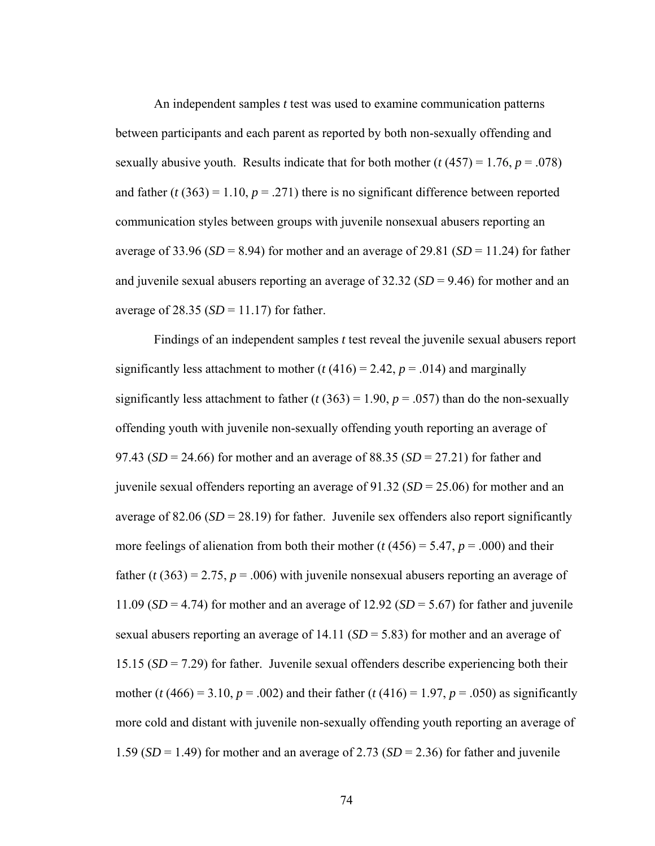An independent samples *t* test was used to examine communication patterns between participants and each parent as reported by both non-sexually offending and sexually abusive youth. Results indicate that for both mother  $(t (457) = 1.76, p = .078)$ and father  $(t (363) = 1.10, p = .271)$  there is no significant difference between reported communication styles between groups with juvenile nonsexual abusers reporting an average of 33.96 ( $SD = 8.94$ ) for mother and an average of 29.81 ( $SD = 11.24$ ) for father and juvenile sexual abusers reporting an average of 32.32 (*SD* = 9.46) for mother and an average of  $28.35$  ( $SD = 11.17$ ) for father.

Findings of an independent samples *t* test reveal the juvenile sexual abusers report significantly less attachment to mother  $(t (416) = 2.42, p = .014)$  and marginally significantly less attachment to father ( $t$  (363) = 1.90,  $p$  = .057) than do the non-sexually offending youth with juvenile non-sexually offending youth reporting an average of 97.43 (*SD* = 24.66) for mother and an average of 88.35 (*SD* = 27.21) for father and juvenile sexual offenders reporting an average of 91.32 (*SD* = 25.06) for mother and an average of  $82.06$  ( $SD = 28.19$ ) for father. Juvenile sex offenders also report significantly more feelings of alienation from both their mother ( $t$  (456) = 5.47,  $p$  = .000) and their father ( $t$  (363) = 2.75,  $p = .006$ ) with juvenile nonsexual abusers reporting an average of 11.09 ( $SD = 4.74$ ) for mother and an average of 12.92 ( $SD = 5.67$ ) for father and juvenile sexual abusers reporting an average of 14.11 (*SD* = 5.83) for mother and an average of 15.15 (*SD* = 7.29) for father. Juvenile sexual offenders describe experiencing both their mother (*t* (466) = 3.10, *p* = .002) and their father (*t* (416) = 1.97, *p* = .050) as significantly more cold and distant with juvenile non-sexually offending youth reporting an average of 1.59  $(SD = 1.49)$  for mother and an average of 2.73  $(SD = 2.36)$  for father and juvenile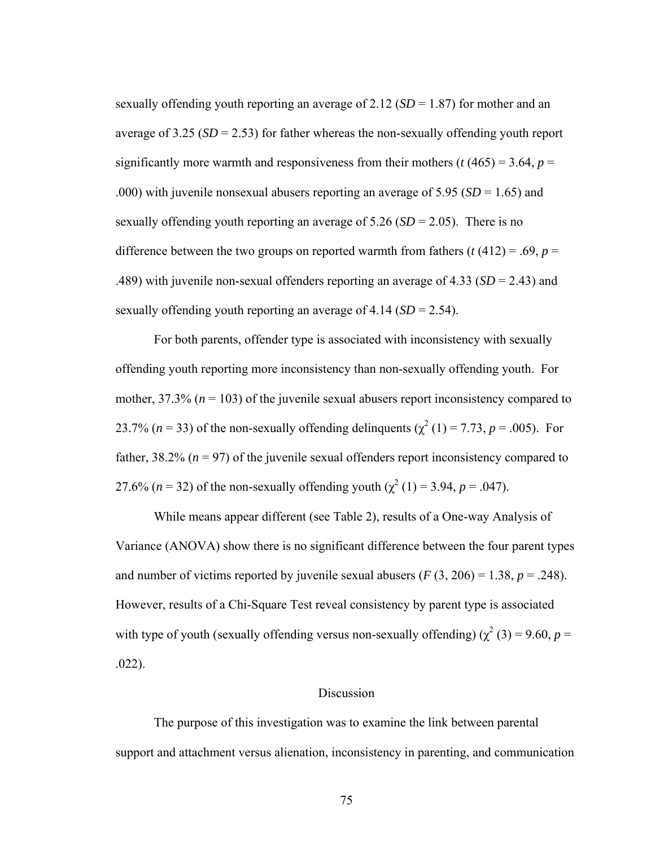sexually offending youth reporting an average of 2.12 (*SD* = 1.87) for mother and an average of  $3.25$  (*SD* = 2.53) for father whereas the non-sexually offending youth report significantly more warmth and responsiveness from their mothers ( $t$  (465) = 3.64,  $p$  = .000) with juvenile nonsexual abusers reporting an average of 5.95 (*SD* = 1.65) and sexually offending youth reporting an average of 5.26 (*SD* = 2.05). There is no difference between the two groups on reported warmth from fathers  $(t (412) = .69, p =$ .489) with juvenile non-sexual offenders reporting an average of 4.33 (*SD* = 2.43) and sexually offending youth reporting an average of 4.14 (*SD* = 2.54).

For both parents, offender type is associated with inconsistency with sexually offending youth reporting more inconsistency than non-sexually offending youth. For mother, 37.3% (*n* = 103) of the juvenile sexual abusers report inconsistency compared to 23.7% ( $n = 33$ ) of the non-sexually offending delinquents ( $\chi^2$  (1) = 7.73,  $p = .005$ ). For father,  $38.2\%$  ( $n = 97$ ) of the juvenile sexual offenders report inconsistency compared to 27.6% (*n* = 32) of the non-sexually offending youth ( $\chi^2$  (1) = 3.94, *p* = .047).

While means appear different (see Table 2), results of a One-way Analysis of Variance (ANOVA) show there is no significant difference between the four parent types and number of victims reported by juvenile sexual abusers  $(F(3, 206) = 1.38, p = .248)$ . However, results of a Chi-Square Test reveal consistency by parent type is associated with type of youth (sexually offending versus non-sexually offending)  $(\chi^2(3) = 9.60, p =$ .022).

#### Discussion

 The purpose of this investigation was to examine the link between parental support and attachment versus alienation, inconsistency in parenting, and communication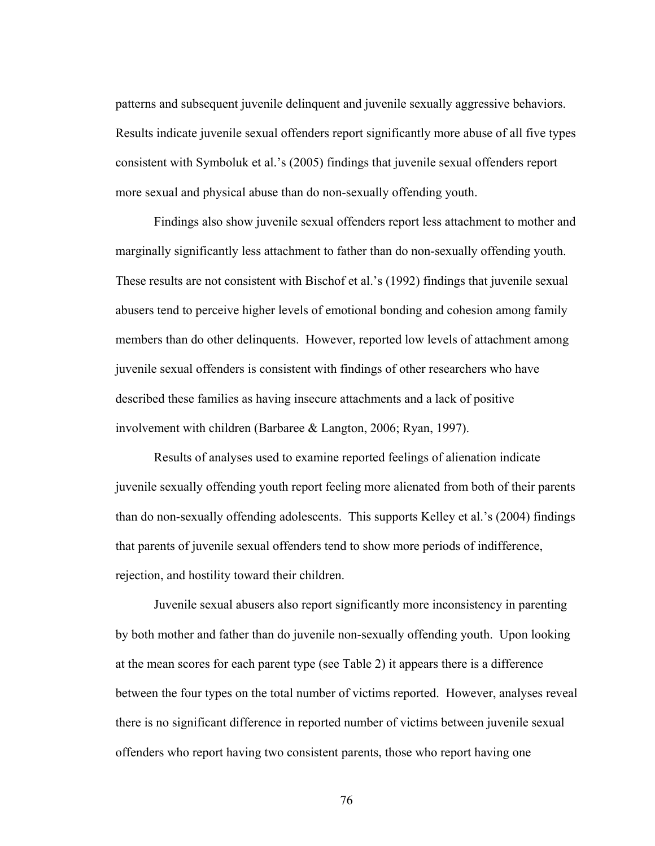patterns and subsequent juvenile delinquent and juvenile sexually aggressive behaviors. Results indicate juvenile sexual offenders report significantly more abuse of all five types consistent with Symboluk et al.'s (2005) findings that juvenile sexual offenders report more sexual and physical abuse than do non-sexually offending youth.

Findings also show juvenile sexual offenders report less attachment to mother and marginally significantly less attachment to father than do non-sexually offending youth. These results are not consistent with Bischof et al.'s (1992) findings that juvenile sexual abusers tend to perceive higher levels of emotional bonding and cohesion among family members than do other delinquents. However, reported low levels of attachment among juvenile sexual offenders is consistent with findings of other researchers who have described these families as having insecure attachments and a lack of positive involvement with children (Barbaree & Langton, 2006; Ryan, 1997).

 Results of analyses used to examine reported feelings of alienation indicate juvenile sexually offending youth report feeling more alienated from both of their parents than do non-sexually offending adolescents. This supports Kelley et al.'s (2004) findings that parents of juvenile sexual offenders tend to show more periods of indifference, rejection, and hostility toward their children.

 Juvenile sexual abusers also report significantly more inconsistency in parenting by both mother and father than do juvenile non-sexually offending youth. Upon looking at the mean scores for each parent type (see Table 2) it appears there is a difference between the four types on the total number of victims reported. However, analyses reveal there is no significant difference in reported number of victims between juvenile sexual offenders who report having two consistent parents, those who report having one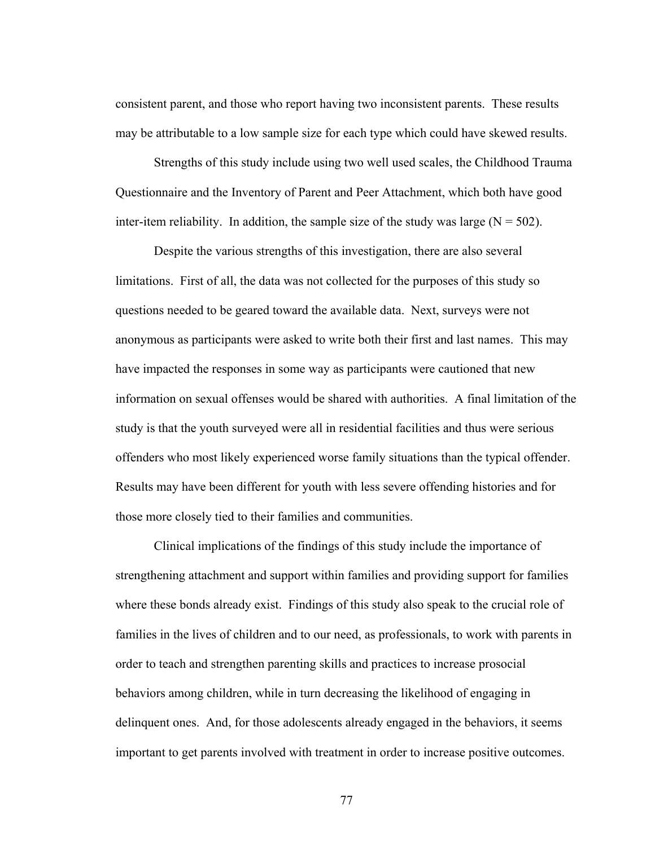consistent parent, and those who report having two inconsistent parents. These results may be attributable to a low sample size for each type which could have skewed results.

Strengths of this study include using two well used scales, the Childhood Trauma Questionnaire and the Inventory of Parent and Peer Attachment, which both have good inter-item reliability. In addition, the sample size of the study was large  $(N = 502)$ .

 Despite the various strengths of this investigation, there are also several limitations. First of all, the data was not collected for the purposes of this study so questions needed to be geared toward the available data. Next, surveys were not anonymous as participants were asked to write both their first and last names. This may have impacted the responses in some way as participants were cautioned that new information on sexual offenses would be shared with authorities. A final limitation of the study is that the youth surveyed were all in residential facilities and thus were serious offenders who most likely experienced worse family situations than the typical offender. Results may have been different for youth with less severe offending histories and for those more closely tied to their families and communities.

 Clinical implications of the findings of this study include the importance of strengthening attachment and support within families and providing support for families where these bonds already exist. Findings of this study also speak to the crucial role of families in the lives of children and to our need, as professionals, to work with parents in order to teach and strengthen parenting skills and practices to increase prosocial behaviors among children, while in turn decreasing the likelihood of engaging in delinquent ones. And, for those adolescents already engaged in the behaviors, it seems important to get parents involved with treatment in order to increase positive outcomes.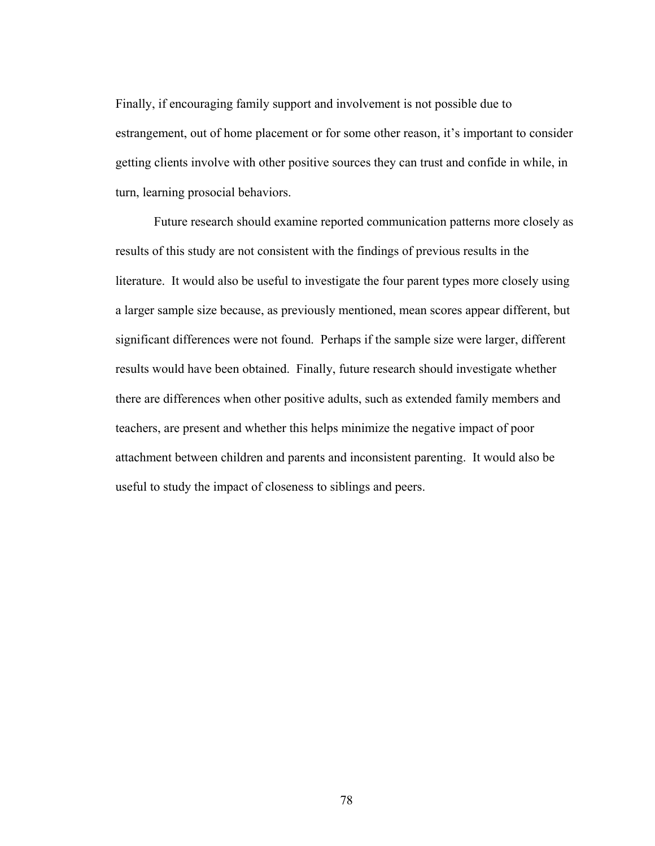Finally, if encouraging family support and involvement is not possible due to estrangement, out of home placement or for some other reason, it's important to consider getting clients involve with other positive sources they can trust and confide in while, in turn, learning prosocial behaviors.

 Future research should examine reported communication patterns more closely as results of this study are not consistent with the findings of previous results in the literature. It would also be useful to investigate the four parent types more closely using a larger sample size because, as previously mentioned, mean scores appear different, but significant differences were not found. Perhaps if the sample size were larger, different results would have been obtained. Finally, future research should investigate whether there are differences when other positive adults, such as extended family members and teachers, are present and whether this helps minimize the negative impact of poor attachment between children and parents and inconsistent parenting. It would also be useful to study the impact of closeness to siblings and peers.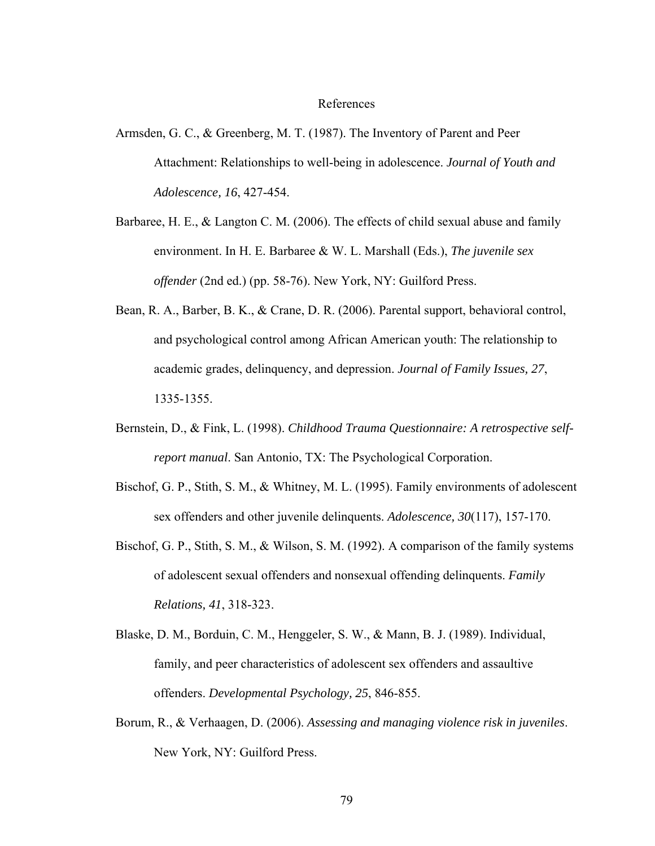#### References

- Armsden, G. C., & Greenberg, M. T. (1987). The Inventory of Parent and Peer Attachment: Relationships to well-being in adolescence. *Journal of Youth and Adolescence, 16*, 427-454.
- Barbaree, H. E., & Langton C. M. (2006). The effects of child sexual abuse and family environment. In H. E. Barbaree & W. L. Marshall (Eds.), *The juvenile sex offender* (2nd ed.) (pp. 58-76). New York, NY: Guilford Press.
- Bean, R. A., Barber, B. K., & Crane, D. R. (2006). Parental support, behavioral control, and psychological control among African American youth: The relationship to academic grades, delinquency, and depression. *Journal of Family Issues, 27*, 1335-1355.
- Bernstein, D., & Fink, L. (1998). *Childhood Trauma Questionnaire: A retrospective selfreport manual*. San Antonio, TX: The Psychological Corporation.
- Bischof, G. P., Stith, S. M., & Whitney, M. L. (1995). Family environments of adolescent sex offenders and other juvenile delinquents. *Adolescence, 30*(117), 157-170.
- Bischof, G. P., Stith, S. M., & Wilson, S. M. (1992). A comparison of the family systems of adolescent sexual offenders and nonsexual offending delinquents. *Family Relations, 41*, 318-323.
- Blaske, D. M., Borduin, C. M., Henggeler, S. W., & Mann, B. J. (1989). Individual, family, and peer characteristics of adolescent sex offenders and assaultive offenders. *Developmental Psychology, 25*, 846-855.
- Borum, R., & Verhaagen, D. (2006). *Assessing and managing violence risk in juveniles*. New York, NY: Guilford Press.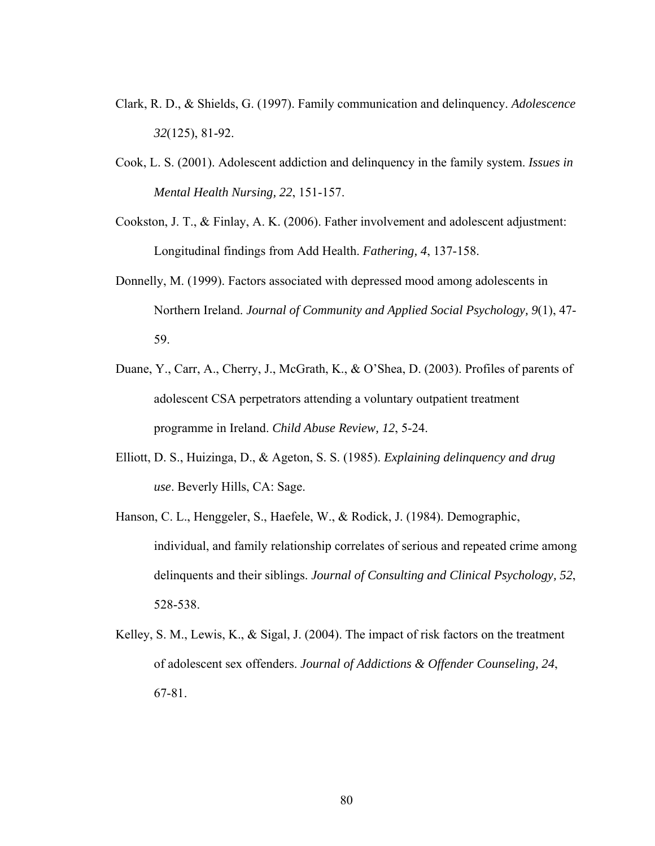- Clark, R. D., & Shields, G. (1997). Family communication and delinquency. *Adolescence 32*(125), 81-92.
- Cook, L. S. (2001). Adolescent addiction and delinquency in the family system. *Issues in Mental Health Nursing, 22*, 151-157.
- Cookston, J. T., & Finlay, A. K. (2006). Father involvement and adolescent adjustment: Longitudinal findings from Add Health. *Fathering, 4*, 137-158.
- Donnelly, M. (1999). Factors associated with depressed mood among adolescents in Northern Ireland. *Journal of Community and Applied Social Psychology, 9*(1), 47- 59.
- Duane, Y., Carr, A., Cherry, J., McGrath, K., & O'Shea, D. (2003). Profiles of parents of adolescent CSA perpetrators attending a voluntary outpatient treatment programme in Ireland. *Child Abuse Review, 12*, 5-24.
- Elliott, D. S., Huizinga, D., & Ageton, S. S. (1985). *Explaining delinquency and drug use*. Beverly Hills, CA: Sage.
- Hanson, C. L., Henggeler, S., Haefele, W., & Rodick, J. (1984). Demographic, individual, and family relationship correlates of serious and repeated crime among delinquents and their siblings. *Journal of Consulting and Clinical Psychology, 52*, 528-538.
- Kelley, S. M., Lewis, K., & Sigal, J. (2004). The impact of risk factors on the treatment of adolescent sex offenders. *Journal of Addictions & Offender Counseling, 24*, 67-81.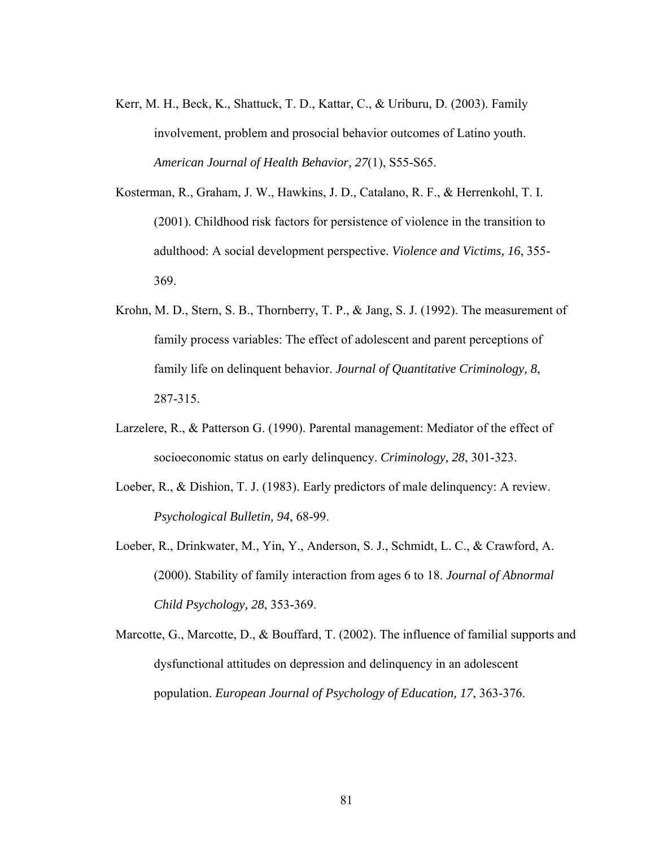- Kerr, M. H., Beck, K., Shattuck, T. D., Kattar, C., & Uriburu, D. (2003). Family involvement, problem and prosocial behavior outcomes of Latino youth. *American Journal of Health Behavior, 27*(1), S55-S65.
- Kosterman, R., Graham, J. W., Hawkins, J. D., Catalano, R. F., & Herrenkohl, T. I. (2001). Childhood risk factors for persistence of violence in the transition to adulthood: A social development perspective. *Violence and Victims, 16*, 355- 369.
- Krohn, M. D., Stern, S. B., Thornberry, T. P., & Jang, S. J. (1992). The measurement of family process variables: The effect of adolescent and parent perceptions of family life on delinquent behavior. *Journal of Quantitative Criminology, 8*, 287-315.
- Larzelere, R., & Patterson G. (1990). Parental management: Mediator of the effect of socioeconomic status on early delinquency. *Criminology, 28*, 301-323.
- Loeber, R., & Dishion, T. J. (1983). Early predictors of male delinquency: A review. *Psychological Bulletin, 94*, 68-99.
- Loeber, R., Drinkwater, M., Yin, Y., Anderson, S. J., Schmidt, L. C., & Crawford, A. (2000). Stability of family interaction from ages 6 to 18. *Journal of Abnormal Child Psychology, 28*, 353-369.
- Marcotte, G., Marcotte, D., & Bouffard, T. (2002). The influence of familial supports and dysfunctional attitudes on depression and delinquency in an adolescent population. *European Journal of Psychology of Education, 17*, 363-376.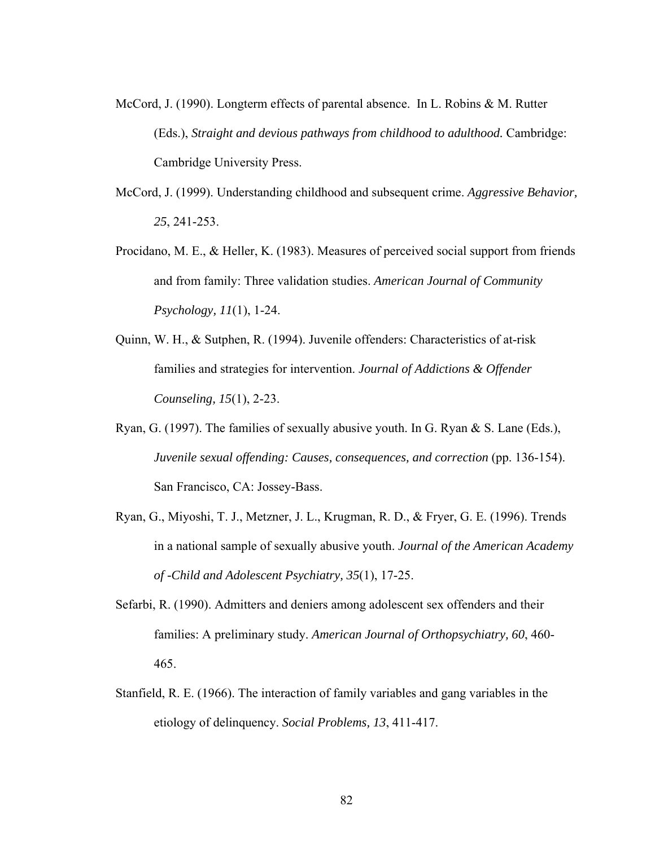- McCord, J. (1990). Longterm effects of parental absence. In L. Robins & M. Rutter (Eds.), *Straight and devious pathways from childhood to adulthood.* Cambridge: Cambridge University Press.
- McCord, J. (1999). Understanding childhood and subsequent crime. *Aggressive Behavior, 25*, 241-253.
- Procidano, M. E., & Heller, K. (1983). Measures of perceived social support from friends and from family: Three validation studies. *American Journal of Community Psychology, 11*(1), 1-24.
- Quinn, W. H., & Sutphen, R. (1994). Juvenile offenders: Characteristics of at-risk families and strategies for intervention. *Journal of Addictions & Offender Counseling, 15*(1), 2-23.
- Ryan, G. (1997). The families of sexually abusive youth. In G. Ryan & S. Lane (Eds.), *Juvenile sexual offending: Causes, consequences, and correction* (pp. 136-154). San Francisco, CA: Jossey-Bass.
- Ryan, G., Miyoshi, T. J., Metzner, J. L., Krugman, R. D., & Fryer, G. E. (1996). Trends in a national sample of sexually abusive youth. *Journal of the American Academy of -Child and Adolescent Psychiatry, 35*(1), 17-25.
- Sefarbi, R. (1990). Admitters and deniers among adolescent sex offenders and their families: A preliminary study. *American Journal of Orthopsychiatry, 60*, 460- 465.
- Stanfield, R. E. (1966). The interaction of family variables and gang variables in the etiology of delinquency. *Social Problems, 13*, 411-417.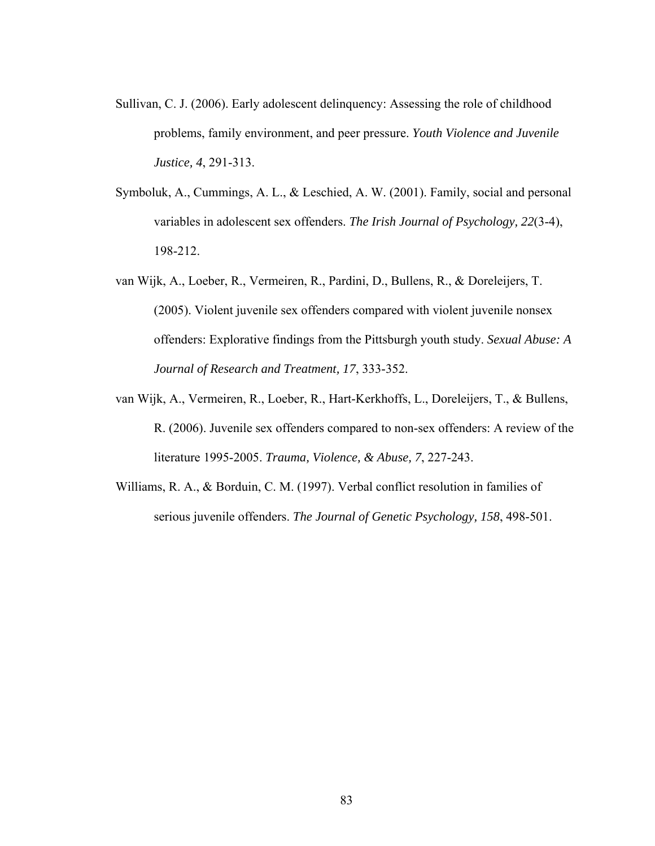- Sullivan, C. J. (2006). Early adolescent delinquency: Assessing the role of childhood problems, family environment, and peer pressure. *Youth Violence and Juvenile Justice, 4*, 291-313.
- Symboluk, A., Cummings, A. L., & Leschied, A. W. (2001). Family, social and personal variables in adolescent sex offenders. *The Irish Journal of Psychology, 22*(3-4), 198-212.
- van Wijk, A., Loeber, R., Vermeiren, R., Pardini, D., Bullens, R., & Doreleijers, T. (2005). Violent juvenile sex offenders compared with violent juvenile nonsex offenders: Explorative findings from the Pittsburgh youth study. *Sexual Abuse: A Journal of Research and Treatment, 17*, 333-352.
- van Wijk, A., Vermeiren, R., Loeber, R., Hart-Kerkhoffs, L., Doreleijers, T., & Bullens, R. (2006). Juvenile sex offenders compared to non-sex offenders: A review of the literature 1995-2005. *Trauma, Violence, & Abuse, 7*, 227-243.
- Williams, R. A., & Borduin, C. M. (1997). Verbal conflict resolution in families of serious juvenile offenders. *The Journal of Genetic Psychology, 158*, 498-501.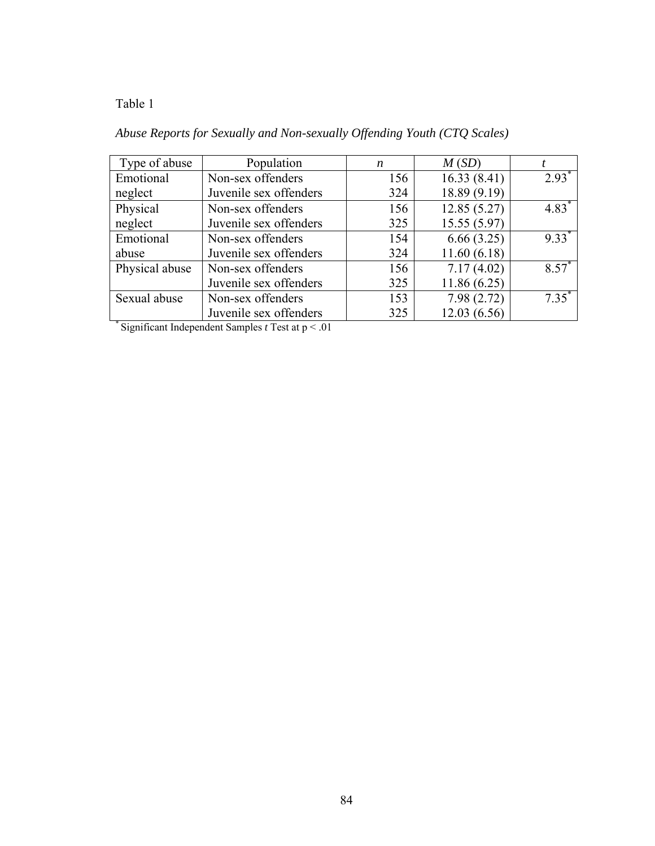### Table 1

| Type of abuse  | Population             | n   | M(SD)        |                     |
|----------------|------------------------|-----|--------------|---------------------|
| Emotional      | Non-sex offenders      | 156 | 16.33(8.41)  | $2.93^*$            |
| neglect        | Juvenile sex offenders | 324 | 18.89 (9.19) |                     |
| Physical       | Non-sex offenders      | 156 | 12.85(5.27)  | $4.83*$             |
| neglect        | Juvenile sex offenders | 325 | 15.55(5.97)  |                     |
| Emotional      | Non-sex offenders      | 154 | 6.66(3.25)   | $9.33$ <sup>*</sup> |
| abuse          | Juvenile sex offenders | 324 | 11.60(6.18)  |                     |
| Physical abuse | Non-sex offenders      | 156 | 7.17(4.02)   | $8.57*$             |
|                | Juvenile sex offenders | 325 | 11.86(6.25)  |                     |
| Sexual abuse   | Non-sex offenders      | 153 | 7.98(2.72)   | $7.35^*$            |
|                | Juvenile sex offenders | 325 | 12.03(6.56)  |                     |

## *Abuse Reports for Sexually and Non-sexually Offending Youth (CTQ Scales)*

\* Significant Independent Samples *t* Test at p < .01